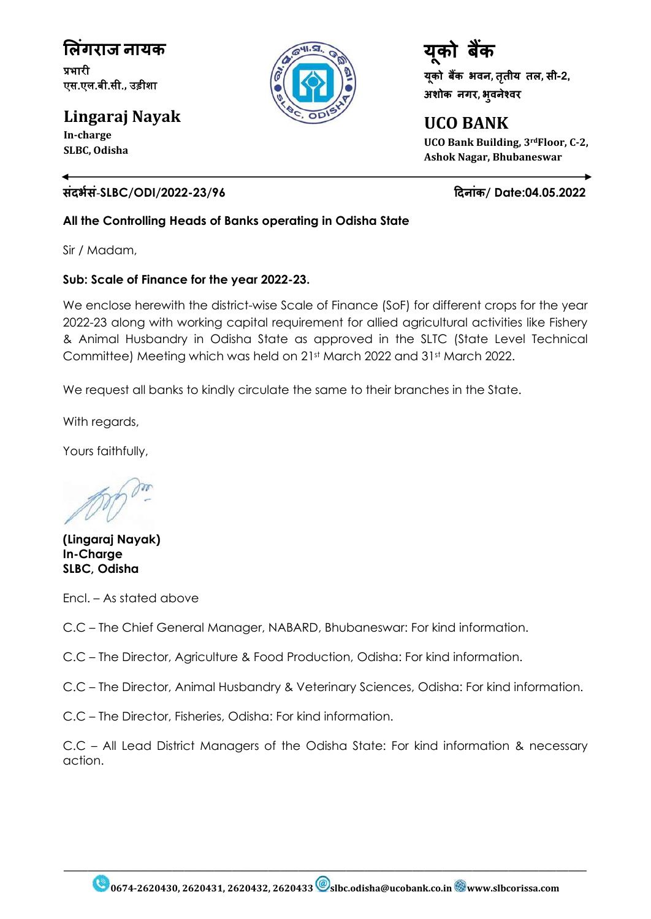**ल िंगराज नायक** प्रभारी एस.एल.बी.सी.**,** उड़ीशा

**Lingaraj Nayak In-charge**

**SLBC, Odisha**

### **सिंदभभसिं**-**SLBC/ODI/2022-23/96 ददनािंक/ Date:04.05.2022**

**All the Controlling Heads of Banks operating in Odisha State**

Sir / Madam,

### **Sub: Scale of Finance for the year 2022-23.**

We enclose herewith the district-wise Scale of Finance (SoF) for different crops for the year 2022-23 along with working capital requirement for allied agricultural activities like Fishery & Animal Husbandry in Odisha State as approved in the SLTC (State Level Technical Committee) Meeting which was held on 21st March 2022 and 31st March 2022.

We request all banks to kindly circulate the same to their branches in the State.

With regards,

Yours faithfully,

**(Lingaraj Nayak) In-Charge SLBC, Odisha**

Encl. – As stated above

C.C – The Chief General Manager, NABARD, Bhubaneswar: For kind information.

C.C – The Director, Agriculture & Food Production, Odisha: For kind information.

C.C – The Director, Animal Husbandry & Veterinary Sciences, Odisha: For kind information.

C.C – The Director, Fisheries, Odisha: For kind information.

C.C – All Lead District Managers of the Odisha State: For kind information & necessary action.



**UCO BANK UCO Bank Building, 3rdFloor, C-2, Ashok Nagar, Bhubaneswar**

 $\_$  , and the set of the set of the set of the set of the set of the set of the set of the set of the set of the set of the set of the set of the set of the set of the set of the set of the set of the set of the set of th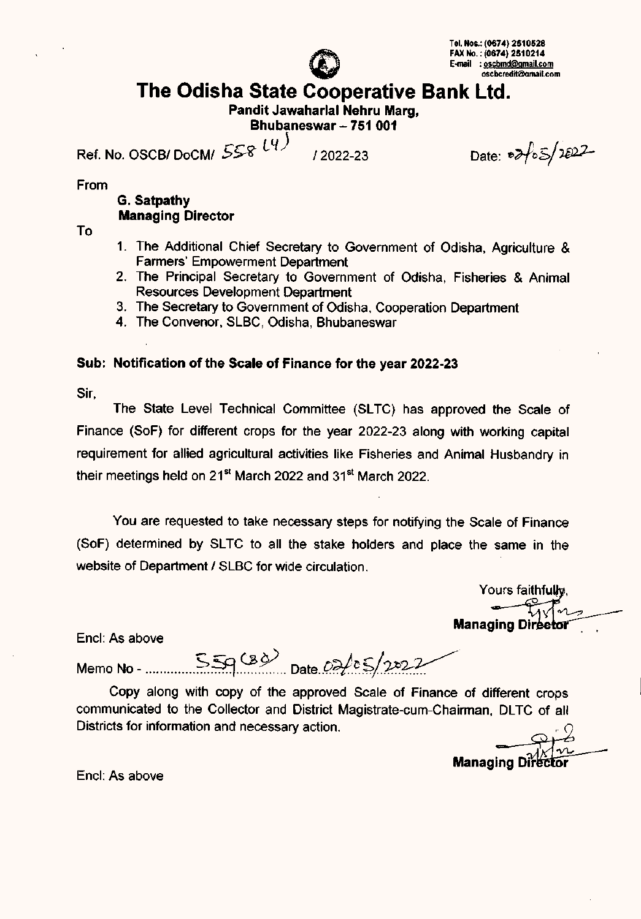

# **The Odisha State Cooperative Bank Ltd.**

**Pandit Jawaharlal Nehru Marg,**

**Bhubaneswar - 751 001**

*ss«* llf) Ref. No. *OSCBI DoCMI* \_;;yo *12022-23*

Date:  $\frac{1}{2}$   $\frac{1022}{102}$ 

From

### **G. Satpathy Managing Director**

To

- 1. The Additional Chief Secretary to Government of Odisha, Agriculture & Farmers' Empowerment Department
- 2. The Principal Secretary to Government of Odisha, Fisheries & Animal Resources Development Department
- 3. The Secretary to Government of Odisha, Cooperation Department
- 4. The Convenor, SLBC, Odisha, Bhubaneswar

### **Sub: Notification of the Scale of Finance for the year 2022-23**

Sir,

The State Level Technical Committee (SLTC) has approved the Scale of Finance (SoF) for different crops for the year 2022-23 along with working capital requirement for allied agricultural activities like Fisheries and Animal Husbandry in their meetings held on 21<sup>st</sup> March 2022 and 31<sup>st</sup> March 2022.

You are requested to take necessary steps for notifying the Scale of Finance (SoF) determined by SLTC to all the stake holders and place the same in the website of Department *1*SLBC for wide circulation.

Yours faithful<del>h</del> Managing Dire

Encl: As above

Memo No - *~~.~P.? ..Date ..P.?I..~£.!~?:-::~*

Copy along with copy of the approved Scale of Finance of different crops communicated to the Collector and District Magistrate-cum-Chairman, DLTC of all Districts for information and necessary action.

**Managing D** 

Encl: As above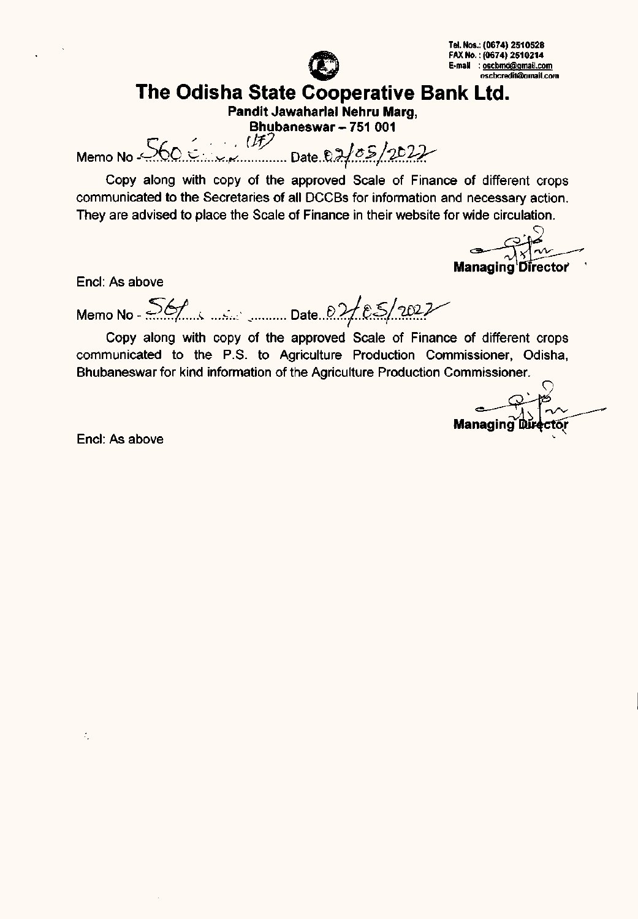

## **The Odisha State Cooperative Bank Ltd.**

**Pandit Jawaharlal Nehru Marg, Bhubaneswar - 751 001**

 $M_{\text{e}}$  Memo No  $560.6...$ ,  $\frac{(17)}{1}$  Date. 02/05/2022

Copy along with copy of the approved Scale of Finance of different crops communicated to the Secretaries of all DCCBs for information and necessary action. They are advised to place the Scale of Finance in their website for wide circulation.

Managing Director

End: As above

Memo No - 56/ *is and security* Date *02/05/2022* 

Copy along with copy of the approved Scale of Finance of different crops communicated to the P.S. to Agriculture Production Commissioner, Odisha, Bhubaneswar for kind information of the Agriculture Production Commissioner.

Managing Direct

End: As above

÷,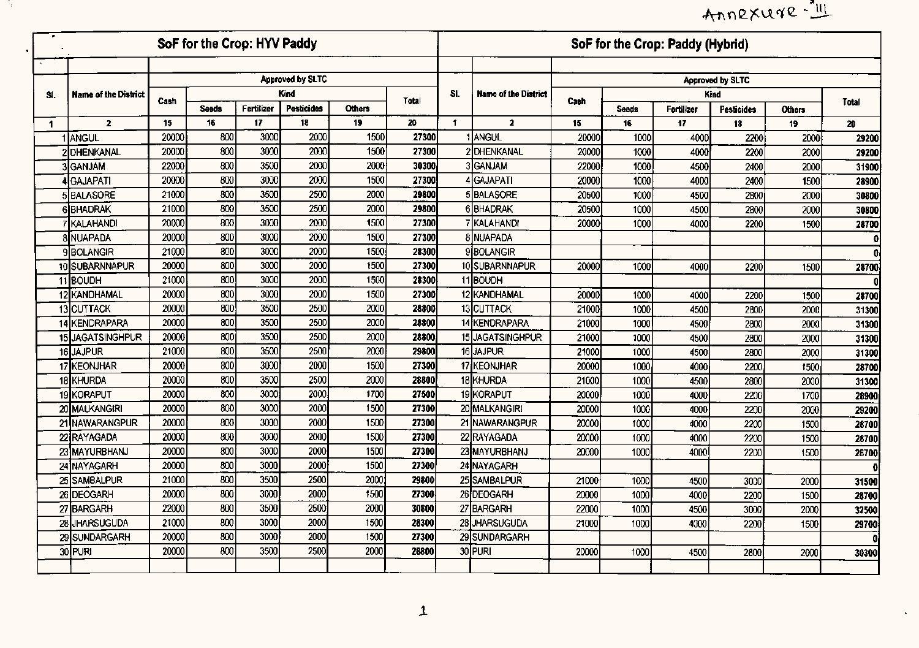# Annexure-

 $\mathcal{L}^{\pm}$ 

|                      |                             |                  | SoF for the Crop: HYV Paddy |            |                         |               |       |              |                             |       |              | SoF for the Crop: Paddy (Hybrid) |                   |               |              |
|----------------------|-----------------------------|------------------|-----------------------------|------------|-------------------------|---------------|-------|--------------|-----------------------------|-------|--------------|----------------------------------|-------------------|---------------|--------------|
|                      |                             |                  |                             |            |                         |               |       |              |                             |       |              |                                  |                   |               |              |
|                      |                             |                  |                             |            | <b>Approved by SLTC</b> |               |       |              |                             |       |              |                                  | Approved by SLTC  |               |              |
| SI.                  | <b>Name of the District</b> | Cash             |                             |            | <b>Kind</b>             |               | Total | SI.          | <b>Name of the District</b> | Cash  |              |                                  | Kind              |               | Total        |
|                      |                             |                  | <b>Seeds</b>                | Fertilizer | Pesticides              | <b>Others</b> |       |              |                             |       | <b>Seeds</b> | Fertilizer                       | <b>Pesticides</b> | <b>Others</b> |              |
| $\blacktriangleleft$ | $\mathbf{2}$                | 15 <sub>15</sub> | 16                          | 17         | 18                      | 19            | 20    | $\mathbf{f}$ | $\overline{2}$              | 15    | 16           | 17                               | 18                | 19            | 20           |
|                      | 1 ANGUL                     | 20000            | 800                         | 3000       | 2000                    | 1500          | 27300 |              | 1 ANGUL                     | 20000 | 1000         | 4000                             | 2200              | 2000          | 29200        |
|                      | 2DHENKANAL                  | 20000            | 800                         | 3000       | 2000                    | 1500          | 27300 |              | 2 DHENKANAL                 | 20000 | 1000         | 4000                             | 2200              | 2000          | 29200        |
|                      | 3lganjam                    | 22000            | 800                         | 3500       | 2000                    | 2000          | 30300 |              | 3GANJAM                     | 22000 | 1000         | 4500                             | 2400              | 2000          | 31900        |
|                      | 4 GAJAPATI                  | 20000            | 800                         | 3000       | 2000                    | 1500          | 27300 |              | 4 GAJAPATI                  | 20000 | 1000         | 4000                             | 2400              | 1500          | 28900        |
|                      | 5BALASORE                   | 21000            | 800                         | 3500       | 2500                    | 2000          | 29800 |              | 5 BALASORE                  | 20500 | 1000         | 4500                             | 2800              | 2000          | 30800        |
|                      | <b>6 BHADRAK</b>            | 21000            | 800                         | 3500       | 2500                    | 2000          | 29800 |              | 6BHADRAK                    | 20500 | 1000         | 4500                             | 2800              | 2000          | 30800        |
|                      | 7 IKALAHANDI                | 20000            | 800                         | 3000       | 2000                    | 1500          | 27300 |              | 7 KALAHANDI                 | 20000 | 1000         | 4000                             | 2200              | 1500          | 28700        |
|                      | <b>8 NUAPADA</b>            | 20000            | 800                         | 3000       | 2000                    | 1500          | 27300 |              | 8 NUAPADA                   |       |              |                                  |                   |               | $\mathbf{0}$ |
|                      | <b>9BOLANGIR</b>            | 21000            | 800                         | 3000       | 2000                    | 1500          | 28300 |              | <b>9</b> BOLANGIR           |       |              |                                  |                   |               | n            |
|                      | 10SUBARNNAPUR               | 20000            | 800                         | 3000       | 2000                    | 1500          | 27300 |              | 10 SUBARNNAPUR              | 20000 | 1000         | 4000                             | 2200              | 1500          | 28700        |
|                      | 11BOUDH                     | 21000            | 800                         | 3000       | 2000                    | 1500          | 28300 |              | 11BOUDH                     |       |              |                                  |                   |               |              |
|                      | 12 KANDHAMAL                | 20000            | 800                         | 3000       | 2000                    | 1500          | 27300 |              | 12 KANDHAMAL                | 20000 | 1000         | 4000                             | 2200              | 1500          | 28700        |
|                      | 13 CUTTACK                  | 20000            | 800                         | 3500       | 2500                    | 2000          | 28800 |              | 13 CUTTACK                  | 21000 | 1000         | 4500                             | 2800              | 2000          | 31300        |
|                      | <b>14 KENDRAPARA</b>        | 20000            | 800                         | 3500       | 2500                    | 2000          | 28800 |              | 14 KENDRAPARA               | 21000 | 1000         | 4500                             | 2800              | 2000          | 31300        |
|                      | 15 JAGATSINGHPUR            | 20000            | 800                         | 3500       | 2500                    | 2000          | 28800 |              | 15 JAGATSINGHPUR            | 21000 | 1000         | 4500                             | 2800              | 2000          | 31300        |
|                      | 16JAJPUR                    | 21000            | 800                         | 3500       | 2500                    | 2000          | 29800 |              | 16JAJPUR                    | 21000 | 1000         | 4500                             | 2800              | 2000          | 31300        |
|                      | 17 KEONJHAR                 | 20000            | 800                         | 3000       | 2000                    | 1500          | 27300 |              | 17 KEONJHAR                 | 20000 | 1000         | 4000                             | 2200              | 1500          | 28700        |
|                      | 18KHURDA                    | 20000            | 800                         | 3500       | 2500                    | 2000          | 28800 |              | 18 KHURDA                   | 21000 | 1000         | 4500                             | 2800              | 2000          | 31300        |
|                      | 19 KORAPUT                  | 20000            | 800                         | 3000       | 2000                    | 1700          | 27500 |              | 19KORAPUT                   | 20000 | 1000         | 4000                             | 2200              | 1700          | 28900        |
|                      | 20 MALKANGIRI               | 20000            | 800                         | 3000       | 2000                    | 1500          | 27300 |              | 20 MALKANGIRI               | 20000 | 1000         | 4000                             | 2200              | 2000          | 29200        |
|                      | 21 NAWARANGPUR              | 20000            | 800                         | 3000       | 2000                    | 1500          | 27300 |              | 21 NAWARANGPUR              | 20000 | 1000         | 4000                             | 2200              | 1500          | 28700        |
|                      | 22 RAYAGADA                 | 20000            | 800                         | 3000       | 2000                    | 1500          | 27300 |              | 22 RAYAGADA                 | 20000 | 1000         | 4000                             | 2200              | 1500          | 28700        |
|                      | 23 MAYURBHANJ               | 20000            | 800                         | 3000       | 2000                    | 1500          | 27300 |              | 23 MAYURBHANJ               | 20000 | 1000         | 4000                             | 2200              | 1500          | 28700        |
|                      | 24 NAYAGARH                 | 20000            | 800                         | 3000       | 2000                    | 1500          | 27300 |              | 24 NAYAGARH                 |       |              |                                  |                   |               |              |
|                      | 25 SAMBALPUR                | 21000            | 800                         | 3500       | 2500                    | 2000          | 29800 |              | 25 SAMBALPUR                | 21000 | 1000         | 4500                             | 3000              | 2000          | 31500        |
|                      | 26 DEOGARH                  | 20000            | 800                         | 3000       | 2000                    | 1500          | 27300 |              | 26 DEOGARH                  | 20000 | 1000         | 4000                             | 2200              | 1500          | 28700        |
|                      | 27 BARGARH                  | 22000            | 800                         | 3500       | 2500                    | 2000          | 30800 |              | 27 BARGARH                  | 22000 | 1000         | 4500                             | 3000              | 2000          | 32500        |
|                      | 28 JHARSUGUDA               | 21000            | 800                         | 3000       | 2000                    | 1500          | 28300 |              | 28 JHARSUGUDA               | 21000 | 1000         | 4000                             | 2200              | 1500          | 29700        |
|                      | 29 SUNDARGARH               | 20000            | 800                         | 3000       | 2000                    | 1500          | 27300 |              | 29 SUNDARGARH               |       |              |                                  |                   |               |              |
|                      | 30 PURI                     | 20000            | 800                         | 3500       | 2500                    | 2000          | 28800 |              | 30 PURI                     | 20000 | 1000         | 4500                             | 2800              | 2000          | 30300        |
|                      |                             |                  |                             |            |                         |               |       |              |                             |       |              |                                  |                   |               |              |

- 30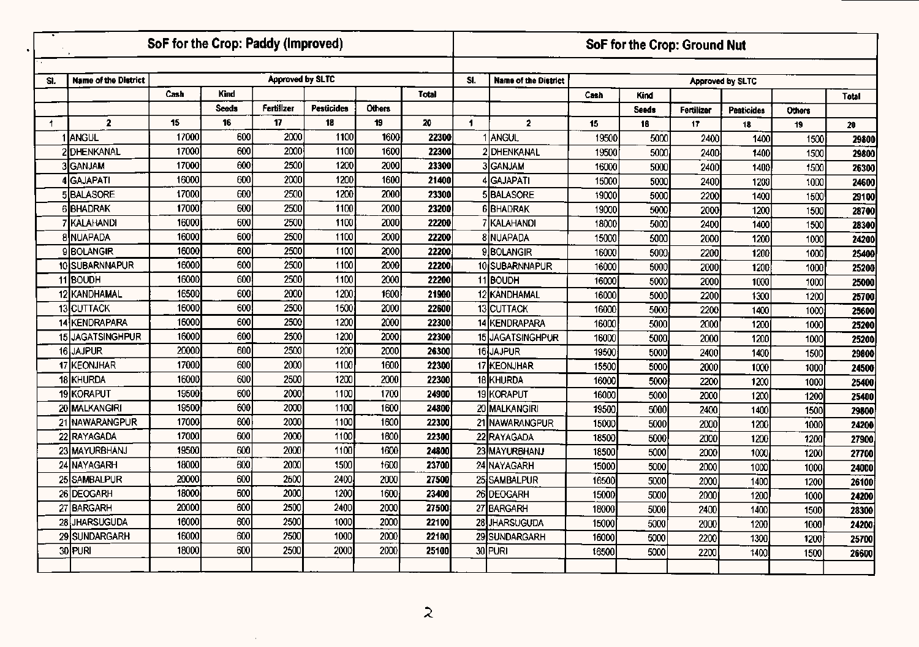|     |                             | SoF for the Crop: Paddy (Improved) |              |                         |                   |               |       |                |                             |       |              | SoF for the Crop: Ground Nut |                   |               |              |
|-----|-----------------------------|------------------------------------|--------------|-------------------------|-------------------|---------------|-------|----------------|-----------------------------|-------|--------------|------------------------------|-------------------|---------------|--------------|
| SI. | <b>Name of the District</b> |                                    |              | <b>Approved by SLTC</b> |                   |               |       | SI.            | <b>Name of the District</b> |       |              |                              | Approved by SLTC  |               |              |
|     |                             | Cash                               | Kind         |                         |                   |               | Total |                |                             | Cash  | <b>Kind</b>  |                              |                   |               | <b>Total</b> |
|     |                             |                                    | <b>Seeds</b> | Fertilizer              | <b>Pesticides</b> | <b>Others</b> |       |                |                             |       | <b>Seeds</b> | Fertilizer                   | <b>Pesticides</b> | <b>Others</b> |              |
| 1   | $\overline{2}$              | 15 <sub>15</sub>                   | 16           | 17                      | 18                | 19            | 20    | $\blacksquare$ | $\mathbf{2}$                | 15    | 16           | 17                           | 18                | 19            | 20           |
|     | 1 <b>JANGUL</b>             | 17000                              | 600          | 2000                    | 1100              | 1600          | 22300 |                | 1 ANGUL                     | 19500 | 5000         | 2400                         | 1400              | 1500          | 29800        |
|     | 2DHENKANAL                  | 17000                              | 600          | 2000                    | 1100              | 1600          | 22300 |                | 2 DHENKANAL                 | 19500 | 5000         | 2400                         | 1400              | 1500          | 29800        |
|     | 3GANJAM                     | 17000                              | 600          | 2500                    | 1200              | 2000          | 23300 |                | <b>3</b> GANJAM             | 16000 | 5000         | 2400                         | 1400              | 1500          | 26300        |
|     | 4 GAJAPATI                  | 16000                              | 600          | 2000                    | 1200              | 1600          | 21400 |                | 4 GAJAPATI                  | 15000 | 5000         | 2400                         | 1200              | 1000          | 24600        |
|     | 5BALASORE                   | 17000                              | 600          | 2500                    | 1200              | 2000          | 23300 |                | 5BALASORE                   | 19000 | 5000         | 2200                         | 1400              | 1500          | 29100        |
|     | <b>6BHADRAK</b>             | 17000                              | 600          | 2500                    | 1100              | 2000          | 23200 |                | 6BHADRAK                    | 19000 | 5000         | 2000                         | 1200              | 1500          | 28700        |
|     | <b>7 KALAHANDI</b>          | 16000                              | 600          | 2500                    | 1100              | 2000          | 22200 |                | 7 KALAHANDI                 | 18000 | 5000         | 2400                         | 1400              | 1500          | 28300        |
|     | <b>8 NUAPADA</b>            | 16000                              | 600          | 2500                    | 1100              | 2000          | 22200 |                | 8 NUAPADA                   | 15000 | 5000         | 2000                         | 1200              | 1000          | 24200        |
|     | 9BOLANGIR                   | 16000                              | 600          | 2500                    | 1100              | 2000          | 22200 |                | 9BOLANGIR                   | 16000 | 5000         | 2200                         | 1200              | 1000          | 25400        |
|     | 10 SUBARNNAPUR              | 16000                              | 600          | 2500                    | 1100              | 2000          | 22200 |                | 10 SUBARNNAPUR              | 16000 | 5000         | 2000                         | 1200              | 1000          | 25200        |
|     | 11 BOUDH                    | 16000                              | 600          | 2500                    | 1100              | 2000          | 22200 |                | 11BOUDH                     | 16000 | 5000         | 2000                         | 1000              | 1000          | 25000        |
|     | 12 KANDHAMAL                | 16500                              | 600          | 2000                    | 1200              | 1600          | 21900 |                | 12 KANDHAMAL                | 16000 | 5000         | 2200                         | 1300              | 1200          | 25700        |
|     | 13 CUTTACK                  | 16000                              | 600          | 2500                    | 1500              | 2000          | 22600 |                | 13 CUTTACK                  | 16000 | 5000         | 2200                         | 1400              | 1000          | 25600        |
|     | 14 KENDRAPARA               | 16000                              | 600          | 2500                    | 1200              | 2000          | 22300 |                | 14 KENDRAPARA               | 16000 | 5000         | 2000                         | 1200              | 1000          | 25200        |
|     | 15 JAGATSINGHPUR            | 16000                              | 600          | 2500                    | 1200              | 2000          | 22300 |                | 15 JAGATSINGHPUR            | 16000 | 5000         | 2000                         | 1200              | 1000          | 25200        |
|     | 16JAJPUR                    | 20000                              | 600          | 2500                    | 1200              | 2000          | 26300 |                | 16 JAJPUR                   | 19500 | 5000         | 2400                         | 1400              | 1500          | 29800        |
|     | 17 KEONJHAR                 | 17000                              | 600          | 2000                    | 1100              | 1600          | 22300 |                | 17 KEONJHAR                 | 15500 | 5000         | 2000                         | 1000              | 1000          | 24500        |
|     | 18 KHURDA                   | 16000                              | 600          | 2500                    | 1200              | 2000          | 22300 |                | 18 KHURDA                   | 16000 | 5000         | 2200                         | 1200              | 1000          | 25400        |
|     | 19 KORAPUT                  | 19500                              | 600          | 2000                    | 1100              | 1700          | 24900 |                | 19 KORAPUT                  | 16000 | 5000         | 2000                         | 1200              | 1200          | 25400        |
|     | 20 MALKANGIRI               | 19500                              | 600          | 2000                    | 1100              | 1600          | 24800 |                | 20 MALKANGIRI               | 19500 | 5000         | 2400                         | 1400              | 1500          | 29800        |
|     | 21 NAWARANGPUR              | 17000                              | 600          | 2000                    | 1100              | 1600          | 22300 |                | 21 NAWARANGPUR              | 15000 | 5000         | 2000                         | 1200              | 1000          | 24200        |
|     | 22 RAYAGADA                 | 17000                              | 600          | 2000                    | 1100              | 1600          | 22300 |                | 22 RAYAGADA                 | 18500 | 5000         | 2000                         | 1200              | 1200          | 27900        |
|     | 23 MAYURBHANJ               | 19500                              | 600          | 2000                    | 1100              | 1600          | 24800 |                | 23 MAYURBHANJ               | 18500 | 5000         | 2000                         | 1000              | 1200          | 27700        |
|     | 24 NAYAGARH                 | 18000                              | 600          | 2000                    | 1500              | 1600          | 23700 |                | 24 NAYAGARH                 | 15000 | 5000         | 2000                         | 1000              | 1000          | 24000        |
|     | 25 SAMBALPUR                | 20000                              | 600          | 2500                    | 2400              | 2000          | 27500 |                | 25 SAMBALPUR                | 16500 | 5000         | 2000                         | 1400              | 1200          | 26100        |
|     | 26 DEOGARH                  | 18000                              | 600          | 2000                    | 1200              | 1600          | 23400 |                | 26 DEOGARH                  | 15000 | 5000         | 2000                         | 1200              | 1000          | 24200        |
|     | 27 BARGARH                  | 20000                              | 600          | 2500                    | 2400              | 2000          | 27500 |                | 27 BARGARH                  | 18000 | 5000         | 2400                         | 1400              | 1500          | 28300        |
|     | 28 JHARSUGUDA               | 16000                              | 600          | 2500                    | 1000              | 2000          | 22100 |                | 28 JHARSUGUDA               | 15000 | 5000         | 2000                         | 1200              | 1000          | 24200        |
|     | 29 SUNDARGARH               | 16000                              | 600          | 2500                    | 1000              | 2000          | 22100 |                | 29 SUNDARGARH               | 16000 | 5000         | 2200                         | 1300              | 1200          | 25700        |
|     | 30 PURI                     | 18000                              | 600          | 2500                    | 2000              | 2000          | 25100 |                | 30 PURI                     | 16500 | 5000         | 2200                         | 1400              | 1500          | 26600        |
|     |                             |                                    |              |                         |                   |               |       |                |                             |       |              |                              |                   |               |              |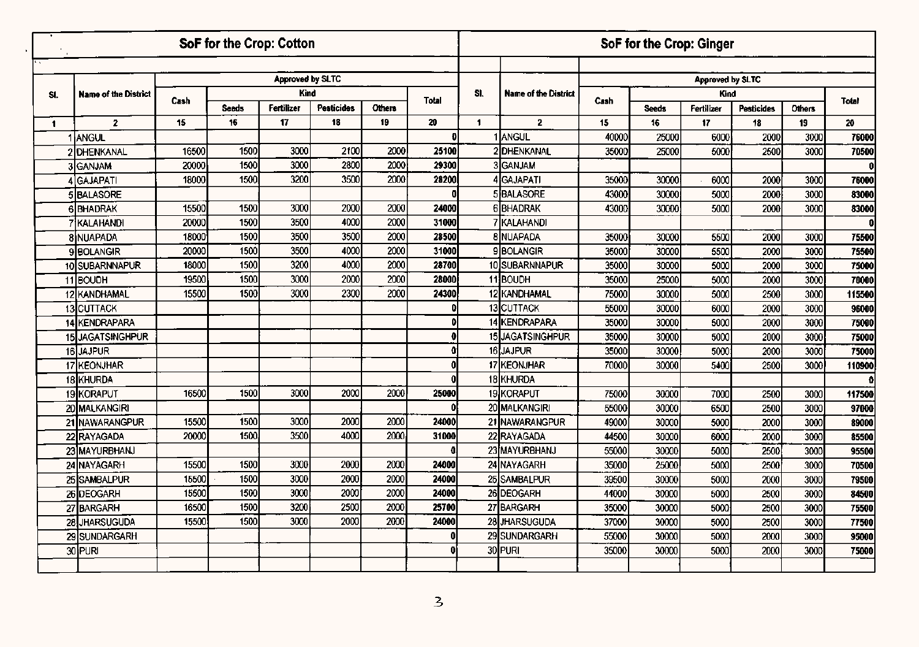|              |                             |                  | SoF for the Crop: Cotton |                         |                   |               |              |     |                             |       |              | SoF for the Crop: Ginger |                   |               |              |
|--------------|-----------------------------|------------------|--------------------------|-------------------------|-------------------|---------------|--------------|-----|-----------------------------|-------|--------------|--------------------------|-------------------|---------------|--------------|
|              |                             |                  |                          |                         |                   |               |              |     |                             |       |              |                          |                   |               |              |
|              |                             |                  |                          | <b>Approved by SLTC</b> |                   |               |              |     |                             |       |              | Approved by SLTC         |                   |               |              |
| SI.          | <b>Name of the District</b> | Cash             |                          | Kind                    |                   |               | <b>Total</b> | SI. | <b>Name of the District</b> | Cash  |              | Kind                     |                   |               | <b>Total</b> |
|              |                             |                  | <b>Seeds</b>             | Fertilizer              | <b>Pesticides</b> | <b>Others</b> |              |     |                             |       | <b>Seeds</b> | Fertilizer               | <b>Pesticides</b> | <b>Others</b> |              |
| $\mathbf{1}$ | $\mathbf{z}$                | 15 <sub>15</sub> | 16                       | 17                      | 18                | 19            | 20           | 1   | $\overline{2}$              | 15    | 16           | 17                       | 18                | 19            | 20           |
|              | I ANGUL                     |                  |                          |                         |                   |               | Ð            |     | ANGUL                       | 40000 | 25000        | 6000                     | 2000              | 3000          | 76000        |
|              | 2 DHENKANAL                 | 16500            | 1500                     | 3000                    | 2100              | 2000          | 25100        |     | 2DHENKANAL                  | 35000 | 25000        | 5000                     | 2500              | 3000          | 70500        |
|              | 3 GANJAM                    | 20000            | 1500                     | 3000                    | 2800              | 2000          | 29300        |     | 3 <sub>GANJAM</sub>         |       |              |                          |                   |               | $\mathbf{0}$ |
|              | 4 GAJAPATI                  | 18000            | 1500                     | 3200                    | 3500              | 2000          | 28200        |     | 4GAJAPATI                   | 35000 | 30000        | 6000                     | 2000              | 3000          | 76000        |
|              | <b>5BALASORE</b>            |                  |                          |                         |                   |               |              |     | 5 BALASORE                  | 43000 | 30000        | 5000                     | 2000              | 3000          | 83000        |
|              | <b>6BHADRAK</b>             | 15500            | 1500                     | 3000                    | 2000              | 2000          | 24000        |     | 6BHADRAK                    | 43000 | 30000        | 5000                     | 2000              | 3000          | 83000        |
|              | 7 KALAHANDI                 | 20000            | 1500                     | 3500                    | 4000              | 2000          | 31000        |     | 7 KALAHANDI                 |       |              |                          |                   |               | $\mathbf{0}$ |
|              | <b>8INUAPADA</b>            | 18000            | 1500                     | 3500                    | 3500              | 2000          | 28500        |     | <b>8 NUAPADA</b>            | 35000 | 30000        | 5500                     | 2000              | 3000          | 75500        |
|              | <b>9 BOLANGIR</b>           | 20000            | 1500                     | 3500                    | 4000              | 2000          | 31000        |     | 9BOLANGIR                   | 35000 | 30000        | 5500                     | 2000              | 3000          | 75500        |
|              | 10 SUBARNNAPUR              | 18000            | 1500                     | 3200                    | 4000              | 2000          | 28700        |     | 10 SUBARNNAPUR              | 35000 | 30000        | 5000                     | 2000              | 3000          | 75000        |
|              | 11BOUDH                     | 19500            | 1500                     | 3000                    | 2000              | 2000          | 28000        |     | 11 BOUDH                    | 35000 | 25000        | 5000                     | 2000              | 3000          | 70000        |
|              | 12 KANDHAMAL                | 15500            | 1500                     | 3000                    | 2300              | 2000          | 24300        |     | 12 KANDHAMAL                | 75000 | 30000        | 5000                     | 2500              | 3000          | 115500       |
|              | 13 CUTTACK                  |                  |                          |                         |                   |               | $\mathbf{D}$ |     | 13 CUTTACK                  | 55000 | 30000        | 6000                     | 2000              | 3000          | 96000        |
|              | 14 KENDRAPARA               |                  |                          |                         |                   |               | M            |     | 14 KENDRAPARA               | 35000 | 30000        | 5000                     | 2000              | 3000          | 75000        |
|              | 15 JAGATSINGHPUR            |                  |                          |                         |                   |               |              |     | 15 JAGATSINGHPUR            | 35000 | 30000        | 5000                     | 2000              | 3000          | 75000        |
|              | 16JAJPUR                    |                  |                          |                         |                   |               | 01           |     | 16 JAJPUR                   | 35000 | 30000        | 5000                     | 2000              | 3000          | 75000        |
|              | 17 KEONJHAR                 |                  |                          |                         |                   |               | ΩI           |     | 17 KEONJHAR                 | 70000 | 30000        | 5400                     | 2500              | 3000          | 110900       |
|              | 18 KHURDA                   |                  |                          |                         |                   |               |              |     | 18 KHURDA                   |       |              |                          |                   |               | O            |
|              | 19 KORAPUT                  | 16500            | 1500                     | 3000                    | 2000              | 2000          | 25000        |     | 19 KORAPUT                  | 75000 | 30000        | 7000                     | 2500              | 3000          | 117500       |
|              | 20 MALKANGIRI               |                  |                          |                         |                   |               | ΩI           |     | 20 MALKANGIRI               | 55000 | 30000        | 6500                     | 2500              | 3000          | 97000        |
|              | 21 NAWARANGPUR              | 15500            | 1500                     | 3000                    | 2000              | 2000          | 24000        |     | 21 NAWARANGPUR              | 49000 | 30000        | 5000                     | 2000              | 3000          | 89000        |
|              | 22 RAYAGADA                 | 20000            | 1500                     | 3500                    | 4000              | 2000          | 31000        |     | 22 RAYAGADA                 | 44500 | 30000        | 6000                     | 2000              | 3000          | 85500        |
|              | 23 MAYURBHANJ               |                  |                          |                         |                   |               | O            |     | 23 MAYURBHANJ               | 55000 | 30000        | 5000                     | 2500              | 3000          | 95500        |
|              | 24 NAYAGARH                 | 15500            | 1500                     | 3000                    | 2000              | 2000          | 24000        |     | 24 NAYAGARH                 | 35000 | 25000        | 5000                     | 2500              | 3000          | 70500        |
|              | 25 SAMBALPUR                | 15500            | 1500                     | 3000                    | 2000              | 2000          | 24000        |     | 25 SAMBALPUR                | 39500 | 30000        | 5000                     | 2000              | 3000          | 79500        |
|              | 26 DEOGARH                  | 15500            | 1500                     | 3000                    | 2000              | 2000          | 24000        |     | 26 DEOGARH                  | 44000 | 30000        | 5000                     | 2500              | 3000          | 84500        |
|              | 27 BARGARH                  | 16500            | 1500                     | 3200                    | 2500              | 2000          | 25700        |     | 27 BARGARH                  | 35000 | 30000        | 5000                     | 2500              | 3000          | 75500        |
|              | 28 JHARSUGUDA               | 15500            | 1500                     | 3000                    | 2000              | 2000          | 24000        |     | 28 JHARSUGUDA               | 37000 | 30000        | 5000                     | 2500              | 3000          | 77500        |
|              | 29 SUNDARGARH               |                  |                          |                         |                   |               | 0            |     | 29 SUNDARGARH               | 55000 | 30000        | 5000                     | 2000              | 3000          | 95000        |
|              | 30 PURI                     |                  |                          |                         |                   |               | Û            |     | 30 PURI                     | 35000 | 30000        | 5000                     | 2000              | 3000          | 75000        |
|              |                             |                  |                          |                         |                   |               |              |     |                             |       |              |                          |                   |               |              |

 $\ddot{\phantom{0}}$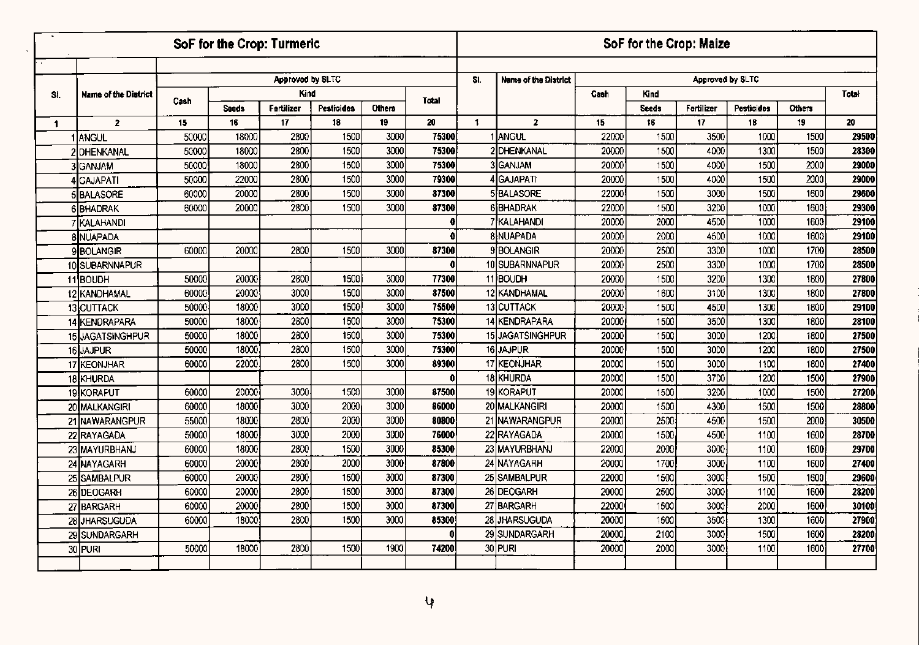|              |                             |                |                | <b>SoF for the Crop: Turmeric</b> |                   |               |                |            |                             |                | SoF for the Crop: Maize |                  |              |              |                |
|--------------|-----------------------------|----------------|----------------|-----------------------------------|-------------------|---------------|----------------|------------|-----------------------------|----------------|-------------------------|------------------|--------------|--------------|----------------|
|              |                             |                |                |                                   |                   |               |                |            |                             |                |                         |                  |              |              |                |
|              |                             |                |                | Approved by SLTC                  |                   |               |                | SI.        | <b>Name of the District</b> |                |                         | Approved by SLTC |              |              |                |
| SI.          | <b>Name of the District</b> | Cash           |                | Kind                              |                   |               | <b>Total</b>   |            |                             | Cash           | Kind                    |                  |              |              | Total          |
|              |                             |                | <b>Seeds</b>   | Fertilizer                        | <b>Pesticides</b> | <b>Others</b> |                |            |                             |                | <b>Seeds</b>            | Fertilizer       | Pesticides   | Others       |                |
| $\mathbf{1}$ | $\overline{2}$              | 15             | 16             | 17                                | 18                | 19            | 20             | $\ddagger$ | $\overline{2}$              | 15             | 16                      | 17               | 18           | 19           | 20             |
|              | 1 ANGUL                     | 50000          | 18000          | 2800                              | 1500              | 3000          | 75300          |            | 1 ANGUL                     | 22000          | 1500<br>1500            | 3500             | 1000         | 1500         | 29500          |
|              | 2DHENKANAL                  | 50000          | 18000          | 2800<br>2800                      | 1500<br>1500      | 3000<br>3000  | 75300<br>75300 |            | 2DHENKANAL<br>3GANJAM       | 20000          | 1500                    | 4000             | 1300         | 1500<br>2000 | 28300<br>29000 |
|              | 3 <sub>IGANJAM</sub>        | 50000          | 18000<br>22000 | 2800                              | 1500              | 3000          | 79300          |            | 4 GAJAPATI                  | 20000<br>20000 | 1500                    | 4000<br>4000     | 1500<br>1500 | 2000         | 29000          |
|              | 4GAJAPATI                   | 50000          | 20000          | 2800                              | 1500              | 3000          | 87300          |            | 5BALASORE                   | 22000          | 1500                    | 3000             | 1500         | 1600         | 29600          |
|              | <b>5 BALASORE</b>           | 60000<br>60000 | 20000          | 2800                              | 1500              | 3000          | 87300          |            | <b>6BHADRAK</b>             | 22000          | 1500                    | 3200             | 1000         | 1600         | 29300          |
|              | 6BHADRAK<br>7 KALAHANDI     |                |                |                                   |                   |               | Ð              |            | 7 KALAHANDI                 | 20000          | 2000                    | 4500             | 1000         | 1600         | 29100          |
|              | <b>8 NUAPADA</b>            |                |                |                                   |                   |               | 0              |            | 8 NUAPADA                   | 20000          | 2000                    | 4500             | 1000         | 1600         | 29100          |
|              | 9BOLANGIR                   | 60000          | 20000          | 2800                              | 1500              | 3000          | 87300          |            | 9 <b>BOLANGIR</b>           | 20000          | 2500                    | 3300             | 1000         | 1700         | 28500          |
|              | 10 SUBARNNAPUR              |                |                |                                   |                   |               | 0              |            | 10 SUBARNNAPUR              | 20000          | 2500                    | 3300             | 1000         | 1700         | 28500          |
|              | 11BOUDH                     | 50000          | 20000          | 2800                              | 1500              | 3000          | 77300          |            | 11BOUDH                     | 20000          | 1500                    | 3200             | 1300         | 1800         | 27800          |
|              | 12 KANDHAMAL                | 60000          | 20000          | 3000                              | 1500              | 3000          | 87500          |            | 12 KANDHAMAL                | 20000          | 1600                    | 3100             | 1300         | 1800         | 27800          |
|              | 13 CUTTACK                  | 50000          | 18000          | 3000                              | 1500              | 3000          | 75500          |            | 13 CUTTACK                  | 20000          | 1500                    | 4500             | 1300         | 1800         | 29100          |
|              | 14 KENDRAPARA               | 50000          | 18000          | 2800                              | 1500              | 3000          | 75300          |            | 14 KENDRAPARA               | 20000          | 1500                    | 3500             | 1300         | 1800         | 28100          |
|              | 15 JAGATSINGHPUR            | 50000          | 18000          | 2800                              | 1500              | 3000          | 75300          |            | 15JAGATSINGHPUR             | 20000          | 1500                    | 3000             | 1200         | 1800         | 27500          |
|              | 16 JAJPUR                   | 50000          | 18000          | 2800                              | 1500              | 3000          | 75300          |            | 16 JAJPUR                   | 20000          | 1500                    | 3000             | 1200         | 1800         | 27500          |
|              | 17 KEONJHAR                 | 60000          | 22000          | 2800                              | 1500              | 3000          | 89300          |            | 17 KEONJHAR                 | 20000          | 1500                    | 3000             | 1100         | 1800         | 27400          |
|              | 18 KHURDA                   |                |                |                                   |                   |               | n              |            | 18 KHURDA                   | 20000          | 1500                    | 3700             | 1200         | 1500         | 27900          |
|              | 19KORAPUT                   | 60000          | 20000          | 3000                              | 1500              | 3000          | 87500          |            | 19 KORAPUT                  | 20000          | 1500                    | 3200             | 1000         | 1500         | 27200          |
|              | 20 MALKANGIRI               | 60000          | 18000          | 3000                              | 2000              | 3000          | 86000          |            | 20 MALKANGIRI               | 20000          | 1500                    | 4300             | 1500         | 1500         | 28800          |
|              | 21 NAWARANGPUR              | 55000          | 18000          | 2800                              | 2000              | 3000          | 80800          |            | 21 NAWARANGPUR              | 20000          | 2500                    | 4500             | 1500         | 2000         | 30500          |
|              | 22 RAYAGADA                 | 50000          | 18000          | 3000                              | 2000              | 3000          | 76000          |            | 22 RAYAGADA                 | 20000          | 1500                    | 4500             | 1100         | 1600         | 28700          |
|              | 23 MAYURBHANJ               | 60000          | 18000          | 2800                              | 1500              | 3000          | 85300          |            | 23 MAYURBHANJ               | 22000          | 2000                    | 3000             | 1100         | 1600         | 29700          |
|              | 24 NAYAGARH                 | 60000          | 20000          | 2800                              | 2000              | 3000          | 87800          |            | 24 NAYAGARH                 | 20000          | 1700                    | 3000             | 1100         | 1600         | 27400          |
|              | 25 SAMBALPUR                | 60000          | 20000          | 2800                              | 1500              | 3000          | 87300          |            | 25 SAMBALPUR                | 22000          | 1500                    | 3000             | 1500         | 1600         | 29600          |
|              | 26 DEOGARH                  | 60000          | 20000          | 2800                              | 1500              | 3000          | 87300          |            | 26 DEOGARH                  | 20000          | 2500                    | 3000             | 1100         | 1600         | 28200          |
|              | 27 BARGARH                  | 60000          | 20000          | 2800                              | 1500              | 3000          | 87300          |            | 27 BARGARH                  | 22000          | 1500                    | 3000             | 2000         | 1600         | 30100          |
|              | 28 JHARSUGUDA               | 60000          | 18000          | 2800                              | 1500              | 3000          | 85300          |            | 28 JHARSUGUDA               | 20000          | 1500                    | 3500             | 1300         | 1600         | 27900          |
|              | 29 SUNDARGARH               |                |                |                                   |                   |               | Ω              |            | 29 SUNDARGARH               | 20000          | 2100                    | 3000             | 1500         | 1600         | 28200          |
|              | 30 PURI                     | 50000          | 18000          | 2800                              | 1500              | 1900          | 74200          |            | 30 PURI                     | 20000          | 2000                    | 3000             | 1100         | 1600         | 27700          |
|              |                             |                |                |                                   |                   |               |                |            |                             |                |                         |                  |              |              |                |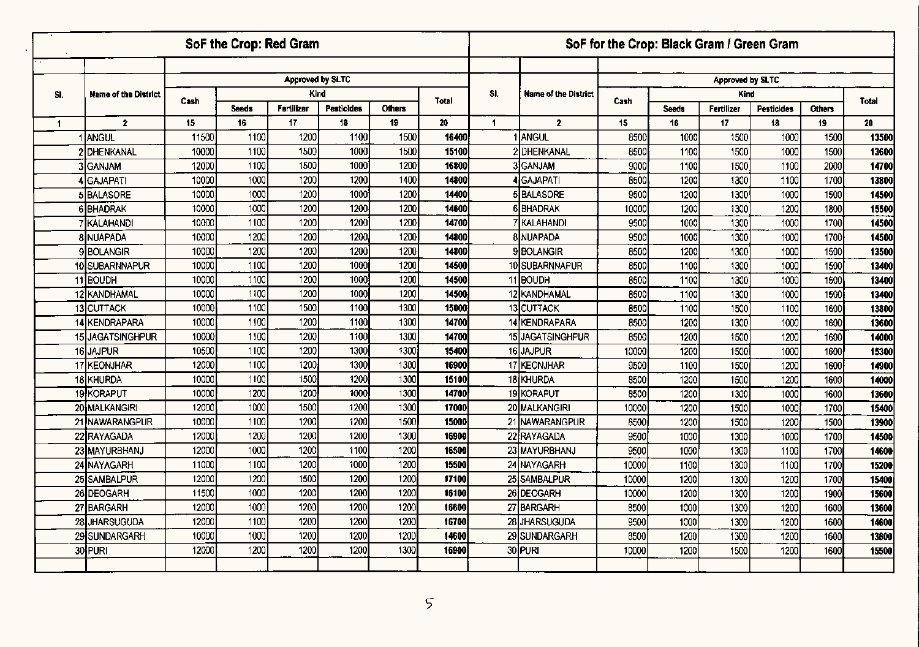|                      |                             |       |             | SoF the Crop: Red Gram  |                         |                     |              |     |                             | SoF for the Crop: Black Gram / Green Gram |                    |                  |                  |                     |       |
|----------------------|-----------------------------|-------|-------------|-------------------------|-------------------------|---------------------|--------------|-----|-----------------------------|-------------------------------------------|--------------------|------------------|------------------|---------------------|-------|
|                      |                             |       |             |                         |                         |                     |              |     |                             |                                           |                    |                  |                  |                     |       |
|                      |                             |       |             | <b>Approved by SLTC</b> |                         |                     |              |     |                             |                                           |                    | Approved by SLTC |                  |                     |       |
| SI.                  | <b>Name of the District</b> | Cash  |             |                         | Kind                    |                     | <b>Total</b> | SI. | <b>Name of the District</b> | Cash                                      |                    | Kind             |                  |                     | Total |
|                      | $\overline{2}$              | 15    | Seeds<br>16 | Fertilizer<br>17        | <b>Pesticides</b><br>18 | <b>Others</b><br>19 | 20           | 1   | $\overline{2}$              | 15                                        | <b>Seeds</b><br>16 | Fertilizer<br>17 | Pesticides<br>18 | <b>Others</b><br>19 | 20    |
| $\blacktriangleleft$ | 1 ANGUL                     | 11500 | 1100        | 1200                    | 1100                    | 1500                | 16400        |     | 1 ANGUL                     | 8500                                      | 1000               | 1500             | 1000             | 1500                | 13500 |
|                      | DHENKANAL                   | 10000 | 1100        | 1500                    | 1000                    | 1500                | 15100        |     | 2 DHENKANAL                 | 8500                                      | 1100               | 1500             | 1000             | 1500                | 13600 |
|                      | 3 GANJAM                    | 12000 | 1100        | 1500                    | 1000                    | 1200                | 16800        |     | 3ÌGANJAM                    | 9000                                      | 1100               | 1500             | 1100             | 2000                | 14700 |
|                      | 4 İGAJAPATI                 | 10000 | 1000        | 1200                    | 1200                    | 1400                | 14800        |     | 4 GAJAPATI                  | 8500                                      | 1200               | 1300             | 1100             | 1700                | 13800 |
|                      | 5 BALASORE                  | 10000 | 1000        | 1200                    | 1000                    | 1200                | 14400        |     | 5 BALASORE                  | 9500                                      | 1200               | 1300             | 1000             | 1500                | 14500 |
|                      | 6BHADRAK                    | 10000 | 1000        | 1200                    | 1200                    | 1200                | 14600        |     | 6BHADRAK                    | 10000                                     | 1200               | 1300             | 1200             | 1800                | 15500 |
|                      | <b>IKALAHANDI</b>           | 10000 | 1100        | 1200                    | 1200                    | 1200                | 14700        |     | 7 KALAHANDI                 | 9500                                      | 1000               | 1300             | 1000             | 1700                | 14500 |
|                      | 8 NUAPADA                   | 10000 | 1200        | 1200                    | 1200                    | 1200                | 14800        |     | <b>8 NUAPADA</b>            | 9500                                      | 1000               | 1300             | 1000             | 1700                | 14500 |
|                      | 9 BOLANGIR                  | 10000 | 1200        | 1200                    | 1200                    | 1200                | 14800        |     | 9 <b>BOLANGIR</b>           | 8500                                      | 1200               | 1300             | 1000             | 1500                | 13500 |
|                      | 10 SUBARNNAPUR              | 10000 | 1100        | 1200                    | <b>1000</b>             | 1200                | 14500        |     | 10 SUBARNNAPUR              | 8500                                      | 1100               | 1300             | 1000             | 1500                | 13400 |
|                      | 11BOUDH                     | 10000 | 1100        | 1200                    | 1000                    | 1200                | 14500        |     | 11BOUDH                     | 8500                                      | 1100               | 1300             | 1000             | 1500                | 13400 |
|                      | 12 KANDHAMAL                | 10000 | 1100        | 1200                    | 1000                    | 1200                | 14500        |     | 12 KANDHAMAL                | 8500                                      | 1100               | 1300             | 1000             | 1500                | 13400 |
|                      | 13 CUTTACK                  | 10000 | 1100        | 1500                    | 1100                    | 1300                | 15000        |     | 13 CUTTACK                  | 8500                                      | 1100               | 1500             | 1100             | 1600                | 13800 |
|                      | 14 KENDRAPARA               | 10000 | 1100        | 1200                    | 1100                    | 1300                | 14700        |     | 14 KENDRAPARA               | 8500                                      | 1200               | 1300             | 1000             | 1600                | 13600 |
|                      | 15 JAGATSINGHPUR            | 10000 | 1100        | 1200                    | 1100                    | 1300                | 14700        |     | 15 JAGATSINGHPUR            | 8500                                      | 1200               | 1500             | 1200             | 1600                | 14000 |
|                      | 16JAJPUR                    | 10500 | 1100        | 1200                    | 1300                    | 1300                | 15400        |     | 16JAJPUR                    | 10000                                     | 1200               | 1500             | 1000             | 1600                | 15300 |
|                      | 17 KEONJHAR                 | 12000 | 1100        | 1200                    | 1300                    | 1300                | 16900        |     | 17 KEONJHAR                 | 9500                                      | 1100               | 1500             | 1200             | 1600                | 14900 |
|                      | 18 KHURDA                   | 10000 | 1100        | 1500                    | 1200                    | 1300                | 15100        |     | 18 KHURDA                   | 8500                                      | 1200               | 1500             | 1200             | 1600                | 14000 |
|                      | 19 KORAPUT                  | 10000 | 1200        | 1200                    | 1000                    | 1300                | 14700        |     | 19 KORAPUT                  | 8500                                      | 1200               | 1300             | 1000             | 1600                | 13600 |
|                      | 20 MALKANGIRI               | 12000 | 1000        | 1500                    | 1200                    | 1300                | 17000        |     | 20 MALKANGIRI               | 10000                                     | 1200               | 1500             | 1000             | 1700                | 15400 |
|                      | 21 NAWARANGPUR              | 10000 | 1100        | 1200                    | 1200                    | 1500                | 15000        |     | 21 NAWARANGPUR              | 8500                                      | 1200               | 1500             | 1200             | 1500                | 13900 |
|                      | 22 RAYAGADA                 | 12000 | 1200        | 1200                    | 1200                    | 1300                | 16900        |     | 22 RAYAGADA                 | 9500                                      | 1000               | 1300             | 1000             | 1700                | 14500 |
|                      | 23 MAYURBHANJ               | 12000 | 1000        | 1200                    | 1100                    | 1200                | 16500        |     | 23 MAYURBHANJ               | 9500                                      | 1000               | 1300             | 1100             | 1700                | 14600 |
|                      | 24 NAYAGARH                 | 11000 | 1100        | 1200                    | 1000                    | 1200                | 15500        |     | 24 NAYAGARH                 | 10000                                     | 1100               | 1300             | 1100             | 1700                | 15200 |
|                      | 25 SAMBALPUR                | 12000 | 1200        | 1500                    | 1200                    | 1200                | 17100        |     | 25 SAMBALPUR                | 10000                                     | 1200               | 1300             | 1200             | 1700                | 15400 |
|                      | 26 DEOGARH                  | 11500 | 1000        | 1200                    | 1200                    | 1200                | 16100        |     | 26 DEOGARH                  | 10000                                     | 1200               | 1300             | 1200             | 1900                | 15600 |
|                      | 27 BARGARH                  | 12000 | 1000        | 1200                    | 1200                    | 1200                | 16600        |     | 27 BARGARH                  | 8500                                      | 1000               | 1300             | 1200             | 1600                | 13600 |
|                      | 28 JHARSUGUDA               | 12000 | 1100        | 1200                    | 1200                    | 1200                | 16700        |     | 28 JHARSUGUDA               | 9500                                      | 1000               | 1300             | 1200             | 1600                | 14600 |
|                      | 29 SUNDARGARH               | 10000 | 1000        | 1200                    | 1200                    | 1200                | 14600        |     | 29 SUNDARGARH               | 8500                                      | 1200               | 1300             | 1200             | 1600                | 13800 |
|                      | 30 PURI                     | 12000 | 1200        | 1200                    | 1200                    | 1300                | 16900        |     | 30 PURI                     | 10000                                     | 1200               | 1500             | 1200             | 1600                | 15500 |
|                      |                             |       |             |                         |                         |                     |              |     |                             |                                           |                    |                  |                  |                     |       |

 $\blacksquare$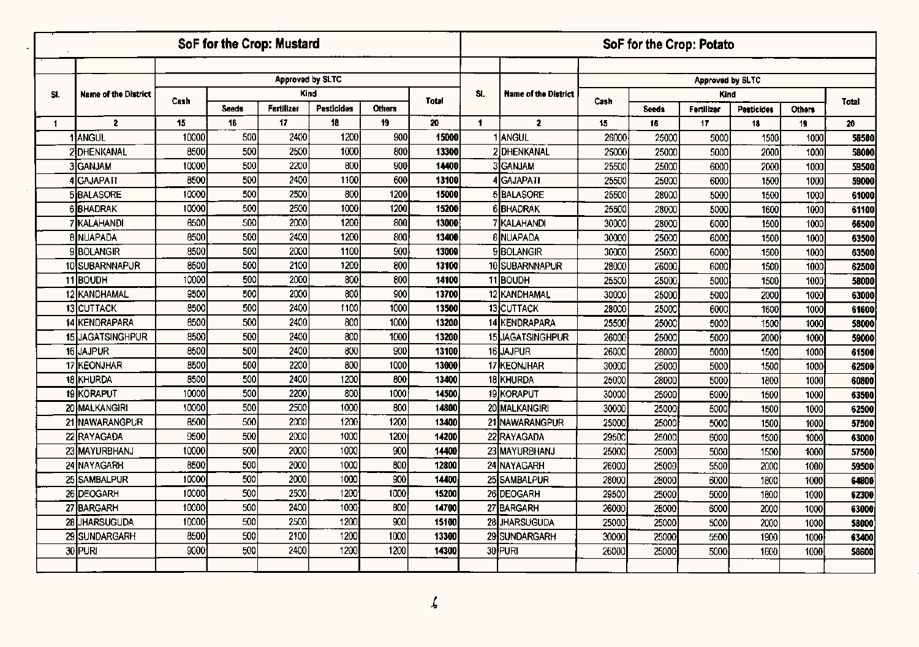|                      |                      |       | SoF for the Crop: Mustard |            |                  |        |              |                |                             |       | SoF for the Crop: Potato |                  |            |               |       |
|----------------------|----------------------|-------|---------------------------|------------|------------------|--------|--------------|----------------|-----------------------------|-------|--------------------------|------------------|------------|---------------|-------|
|                      |                      |       |                           |            |                  |        |              |                |                             |       |                          |                  |            |               |       |
|                      |                      |       |                           |            | Approved by SLTC |        |              |                |                             |       |                          | Approved by SLTC |            |               |       |
| SI.                  | Name of the District | Cash  |                           |            | Kind             |        | <b>Total</b> | SI.            | <b>Name of the District</b> | Cash  |                          | Kind             |            |               | Total |
|                      |                      |       | <b>Seeds</b>              | Fertilizer | Pesticides       | Others |              |                |                             |       | <b>Seeds</b>             | Fertilizer       | Pesticides | <b>Others</b> |       |
| $\blacktriangleleft$ | $\overline{2}$       | 15    | 16                        | 17         | 18               | 19     | 20           | $\blacksquare$ | $\overline{2}$              | 15    | 16                       | 17               | 18         | 19            | 20    |
|                      | 1 ANGUL              | 10000 | 500                       | 2400       | 1200             | 900    | 15000        |                | ANGUL                       | 26000 | 25000                    | 5000             | 1500       | 1000          | 58500 |
|                      | 2 DHENKANAL          | 8500  | 500                       | 2500       | 1000             | 800    | 13300        |                | 2DHENKANAL                  | 25000 | 25000                    | 5000             | 2000       | 1000          | 58000 |
|                      | 3 GANJAM             | 10000 | 500                       | 2200       | 800              | 900    | 14400        |                | 3GANJAM                     | 25500 | 25000                    | 6000             | 2000       | 1000          | 59500 |
|                      | <b>GAJAPATI</b>      | 8500  | 500                       | 2400       | 1100             | 600    | 13100        |                | <b>4</b> GAJAPATI           | 25500 | 25000                    | 6000             | 1500       | 1000          | 59000 |
|                      | <b>5BALASORE</b>     | 10000 | 500                       | 2500       | 800              | 1200   | 15000        |                | 5 BALASORE                  | 25500 | 28000                    | 5000             | 1500       | 1000          | 61000 |
|                      | 6BHADRAK             | 10000 | 500                       | 2500       | 1000             | 1200   | 15200        |                | 6BHADRAK                    | 25500 | 28000                    | 5000             | 1600       | 1000          | 61100 |
|                      | 7 KALAHANDI          | 8500  | 500                       | 2000       | 1200             | 800    | 13000        |                | <b>7 KALAHANDI</b>          | 30000 | 28000                    | 6000             | 1500       | 1000          | 66500 |
|                      | <b>8 NUAPADA</b>     | 8500  | 500                       | 2400       | 1200             | 800    | 13400        |                | 8 NUAPADA                   | 30000 | 25000                    | 6000             | 1500       | 1000          | 63500 |
|                      | <b>9BOLANGIR</b>     | 8500  | 500                       | 2000       | 1100             | 900    | 13000        |                | <b>9BOLANGIR</b>            | 30000 | 25000                    | 6000             | 1500       | 1000          | 63500 |
|                      | 10 SUBARNNAPUR       | 8500  | 500                       | 2100       | 1200             | 800    | 13100        |                | 10 SUBARNNAPUR              | 28000 | 26000                    | 6000             | 1500       | 1000          | 62500 |
|                      | 11 BOUDH             | 10000 | 500                       | 2000       | 800              | 800    | 14100        |                | 11 BOUDH                    | 25500 | 25000                    | 5000             | 1500       | 1000          | 58000 |
|                      | 12 KANDHAMAL         | 9500  | 500                       | 2000       | 800              | 900    | 13700        |                | 12 KANDHAMAL                | 30000 | 25000                    | 5000             | 2000       | 1000          | 63000 |
|                      | 13 CUTTACK           | 8500  | 500                       | 2400       | 1100             | 1000   | 13500        |                | 13 CUTTACK                  | 28000 | 25000                    | 6000             | 1600       | 1000          | 61600 |
|                      | 14 KENDRAPARA        | 8500  | 500                       | 2400       | 800              | 1000   | 13200        |                | 14 KENDRAPARA               | 25500 | 25000                    | 5000             | 1500       | 1000          | 58000 |
|                      | 15 JAGATSINGHPUR     | 8500  | 500                       | 2400       | 800              | 1000   | 13200        |                | 15 JAGATSINGHPUR            | 26000 | 25000                    | 5000             | 2000       | 1000          | 59000 |
|                      | 16 JAJPUR            | 8500  | 500                       | 2400       | 800              | 900    | 13100        |                | 16 JAJPUR                   | 26000 | 28000                    | 5000             | 1500       | 1000          | 61500 |
|                      | 17 KEONJHAR          | 8500  | $\overline{500}$          | 2200       | 800              | 1000   | 13000        |                | 17 KEONJHAR                 | 30000 | 25000                    | 5000             | 1500       | 1000          | 62500 |
|                      | 18 KHURDA            | 8500  | 500                       | 2400       | 1200             | 800    | 13400        |                | 18 KHURDA                   | 25000 | 28000                    | 5000             | 1800       | 1000          | 60800 |
|                      | 19 KORAPUT           | 10000 | 500                       | 2200       | 800              | 1000   | 14500        |                | 19 KORAPUT                  | 30000 | 25000                    | 6000             | 1500       | 1000          | 63500 |
|                      | 20 MALKANGIRI        | 10000 | 500                       | 2500       | 1000             | 800    | 14800        |                | 20 MALKANGIRI               | 30000 | 25000                    | 5000             | 1500       | 1000          | 62500 |
|                      | 21 NAWARANGPUR       | 8500  | 500                       | 2000       | 1200             | 1200   | 13400        |                | 21 NAWARANGPUR              | 25000 | 25000                    | 5000             | 1500       | 1000          | 57500 |
|                      | 22 RAYAGADA          | 9500  | 500                       | 2000       | 1000             | 1200   | 14200        |                | 22 RAYAGADA                 | 29500 | 25000                    | 6000             | 1500       | 1000          | 63000 |
|                      | 23 MAYURBHANJ        | 10000 | 500                       | 2000       | 1000             | 900    | 14400        |                | 23 MAYURBHANJ               | 25000 | 25000                    | 5000             | 1500       | 1000          | 57500 |
|                      | 24 NAYAGARH          | 8500  | 500                       | 2000       | 1000             | 800    | 12800        |                | 24 NAYAGARH                 | 26000 | 25000                    | 5500             | 2000       | 1000          | 59500 |
|                      | 25 SAMBALPUR         | 10000 | 500                       | 2000       | 1000             | 900    | 14400        |                | 25 SAMBALPUR                | 28000 | 28000                    | 6000             | 1800       | 1000          | 64800 |
|                      | 26 DEOGARH           | 10000 | 500                       | 2500       | 1200             | 1000   | 15200        |                | 26 DEOGARH                  | 29500 | 25000                    | 5000             | 1800       | 1000          | 62300 |
|                      | 27 BARGARH           | 10000 | 500                       | 2400       | 1000             | 800    | 14700        |                | 27 BARGARH                  | 26000 | 28000                    | 6000             | 2000       | 1000          | 63000 |
|                      | 28 JHARSUGUDA        | 10000 | 500                       | 2500       | 1200             | 900    | 15100        |                | 28 JHARSUGUDA               | 25000 | 25000                    | 5000             | 2000       | 1000          | 58000 |
|                      | 29 SUNDARGARH        | 8500  | 500                       | 2100       | 1200             | 1000   | 13300        |                | 29 SUNDARGARH               | 30000 | 25000                    | 5500             | 1900       | 1000          | 63400 |
|                      | 30 PURI              | 9000  | 500                       | 2400       | 1200             | 1200   | 14300        |                | 30 PURI                     | 26000 | 25000                    | 5000             | 1600       | 1000          | 58600 |
|                      |                      |       |                           |            |                  |        |              |                |                             |       |                          |                  |            |               |       |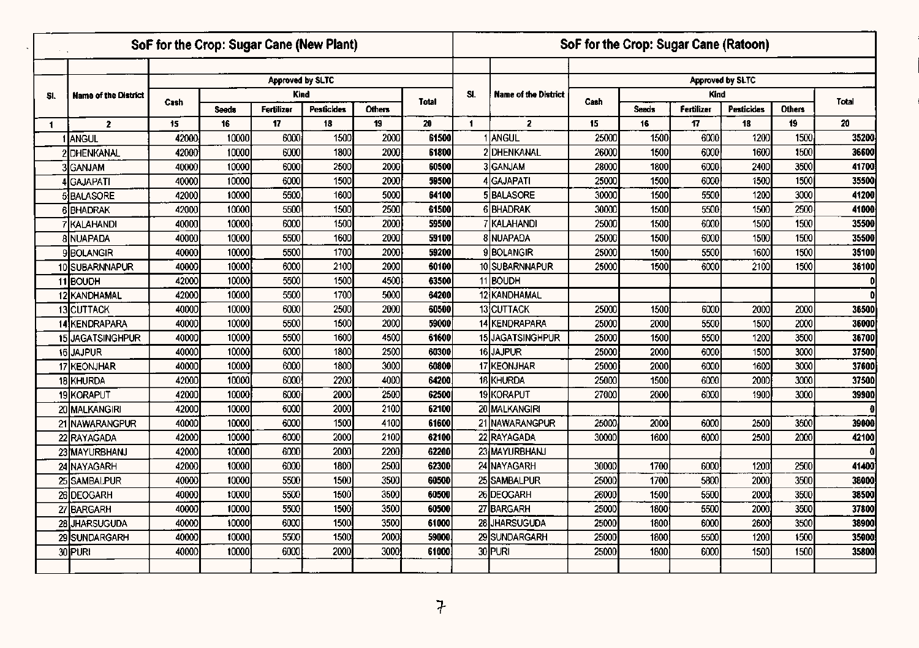|                |                               |              | SoF for the Crop: Sugar Cane (New Plant) |                         |                   |               |              |                |                             |             | SoF for the Crop: Sugar Cane (Ratoon) |             |                         |               |             |
|----------------|-------------------------------|--------------|------------------------------------------|-------------------------|-------------------|---------------|--------------|----------------|-----------------------------|-------------|---------------------------------------|-------------|-------------------------|---------------|-------------|
|                |                               |              |                                          |                         |                   |               |              |                |                             |             |                                       |             |                         |               |             |
|                |                               |              |                                          | <b>Approved by SLTC</b> |                   |               |              |                |                             |             |                                       |             | <b>Approved by SLTC</b> |               |             |
| SI.            | <b>Name of the District</b>   | Cash         |                                          | Kind                    |                   |               | <b>Total</b> | SI.            | <b>Name of the District</b> | Cash        |                                       | <b>Kind</b> |                         |               | Total       |
|                |                               |              | <b>Seeds</b>                             | Fertilizer              | <b>Pesticides</b> | <b>Others</b> |              |                |                             |             | <b>Seeds</b>                          | Fertilizer  | Pesticides              | <b>Others</b> |             |
| $\blacksquare$ | $\overline{2}$                | 15<br>42000  | 16<br>10000                              | 17<br>6000              | 18<br>1500        | 19<br>2000    | 20<br>61500  | $\blacksquare$ | $\mathbf{z}$<br>1 ANGUL     | 15<br>25000 | 16<br>1500                            | 17<br>6000  | 18<br>1200              | 19<br>1500    | 20<br>35200 |
|                | ANGUL<br>2 <b>I</b> DHENKANAL | 42000        | 10000                                    | 6000                    | 1800              | 2000          | 61800        |                | 2 DHENKANAL                 | 26000       | 1500                                  | 6000        | 1600                    | 1500          | 36600       |
|                | 3lganjam                      | 40000        | 10000                                    | 6000                    | 2500              | 2000          | 60500        |                | 3GANJAM                     | 28000       | 1800                                  | 6000        | 2400                    | 3500          | 41700       |
|                | IGAJAPATI                     | 40000        | 10000                                    | 6000                    | 1500              | 2000          | 59500        |                | 4GAJAPATI                   | 25000       | 1500                                  | 6000        | 1500                    | 1500          | 35500       |
|                | 5 BALASORE                    | 42000        | 10000                                    | 5500                    | 1600              | 5000          | 64100        |                | 5BALASORE                   | 30000       | 1500                                  | 5500        | 1200                    | 3000          | 41200       |
|                | <b>6 BHADRAK</b>              | 42000        | 10000                                    | 5500                    | 1500              | 2500          | 61500        |                | 6BHADRAK                    | 30000       | 1500                                  | 5500        | 1500                    | 2500          | 41000       |
|                | 7 KALAHANDI                   | 40000        | 10000                                    | 6000                    | 1500              | 2000          | 59500        |                | 7 KALAHANDI                 | 25000       | 1500                                  | 6000        | 1500                    | 1500          | 35500       |
|                | <b>8 NUAPADA</b>              | 40000        | 10000                                    | 5500                    | 1600              | 2000          | 59100        |                | 8 NUAPADA                   | 25000       | 1500                                  | 6000        | 1500                    | 1500          | 35500       |
|                | 9BOLANGIR                     | 40000        | 10000                                    | 5500                    | 1700              | 2000          | 59200        |                | 9BOLANGIR                   | 25000       | 1500                                  | 5500        | 1600                    | 1500          | 35100       |
|                | 10 SUBARNNAPUR                | 40000        | 10000                                    | 6000                    | 2100              | 2000          | 60100        |                | 10 SUBARNNAPUR              | 25000       | 1500                                  | 6000        | 2100                    | 1500          | 36100       |
|                | 11BOUDH                       | 42000        | 10000                                    | 5500                    | 1500              | 4500          | 63500        |                | 11 BOUDH                    |             |                                       |             |                         |               | D           |
|                | 12 KANDHAMAL                  | 42000        | 10000                                    | 5500                    | 1700              | 5000          | 64200        |                | 12 KANDHAMAL                |             |                                       |             |                         |               | D           |
|                | 13 CUTTACK                    | 40000        | 10000                                    | 6000                    | 2500              | 2000          | 60500        |                | 13CUTTACK                   | 25000       | 1500                                  | 6000        | 2000                    | 2000          | 36500       |
|                | 14 KENDRAPARA                 | 40000        | 10000                                    | 5500                    | 1500              | 2000          | 59000        |                | 14 KENDRAPARA               | 25000       | 2000                                  | 5500        | 1500                    | 2000          | 36000       |
|                | 15 JAGATSINGHPUR              | 40000        | 10000                                    | 5500                    | 1600              | 4500          | 61600        |                | 15 JAGATSINGHPUR            | 25000       | 1500                                  | 5500        | 1200                    | 3500          | 36700       |
|                | 16 JAJPUR                     | 40000        | 10000                                    | 6000                    | 1800              | 2500          | 60300        |                | 16JAJPUR                    | 25000       | 2000                                  | 6000        | 1500                    | 3000          | 37500       |
|                | 17 KEONJHAR                   | 40000        | 10000                                    | 6000                    | 1800              | 3000          | 60800        |                | 17 KEONJHAR                 | 25000       | 2000                                  | 6000        | 1600                    | 3000          | 37600       |
|                | 18 KHURDA                     | 42000        | 10000                                    | 6000                    | 2200              | 4000          | 64200        |                | 18 KHURDA                   | 25000       | 1500                                  | 6000        | 2000                    | 3000          | 37500       |
|                | 19KORAPUT                     | 42000        | 10000                                    | 6000                    | 2000              | 2500          | 62500        |                | 19KORAPUT                   | 27000       | 2000                                  | 6000        | 1900                    | 3000          | 39900       |
|                | 20 MALKANGIRI                 | <b>42000</b> | 10000                                    | 6000                    | 2000              | 2100          | 62100        |                | 20 MALKANGIRI               |             |                                       |             |                         |               |             |
|                | 21 NAWARANGPUR                | 40000        | 10000                                    | 6000                    | 1500              | 4100          | 61600        |                | 21 NAWARANGPUR              | 25000       | 2000                                  | 6000        | 2500                    | 3500          | 39000       |
|                | 22 RAYAGADA                   | 42000        | 10000                                    | 6000                    | 2000              | 2100          | 62100        |                | 22 RAYAGADA                 | 30000       | 1600                                  | 6000        | 2500                    | 2000          | 42100       |
|                | 23 MAYURBHANJ                 | 42000        | 10000                                    | 6000                    | 2000              | 2200          | 62200        |                | 23 MAYURBHANJ               |             |                                       |             |                         |               |             |
|                | 24 NAYAGARH                   | 42000        | 10000                                    | 6000                    | 1800              | 2500          | 62300        |                | 24 NAYAGARH                 | 30000       | 1700                                  | 6000        | 1200                    | 2500          | 41400       |
|                | 25 SAMBALPUR                  | 40000        | 10000                                    | 5500                    | 1500              | 3500          | 60500        |                | 25 SAMBALPUR                | 25000       | 1700                                  | 5800        | 2000                    | 3500          | 38000       |
|                | 26 DEOGARH                    | 40000        | 10000                                    | 5500                    | 1500              | 3500          | 60500        |                | 26 DEOGARH                  | 26000       | 1500                                  | 5500        | 2000                    | 3500          | 38500       |
|                | 27 BARGARH                    | 40000        | 10000                                    | 5500                    | 1500              | 3500          | 60500        |                | 27 BARGARH                  | 25000       | 1800                                  | 5500        | 2000                    | 3500          | 37800       |
|                | 28 JHARSUGUDA                 | 40000        | 10000                                    | 6000                    | 1500              | 3500          | 61000        |                | 28 JHARSUGUDA               | 25000       | 1800                                  | 6000        | 2600                    | 3500          | 38900       |
|                | 29 SUNDARGARH                 | 40000        | 10000                                    | 5500                    | 1500              | 2000          | 59000        |                | 29 SUNDARGARH               | 25000       | 1800                                  | 5500        | 1200                    | 1500          | 35000       |
|                | 30 PURI                       | 4000         | 10000                                    | 6000                    | 2000              | 3000          | 61000        |                | 30 PURI                     | 25000       | 1800                                  | 6000        | 1500                    | 1500          | 35800       |
|                |                               |              |                                          |                         |                   |               |              |                |                             |             |                                       |             |                         |               |             |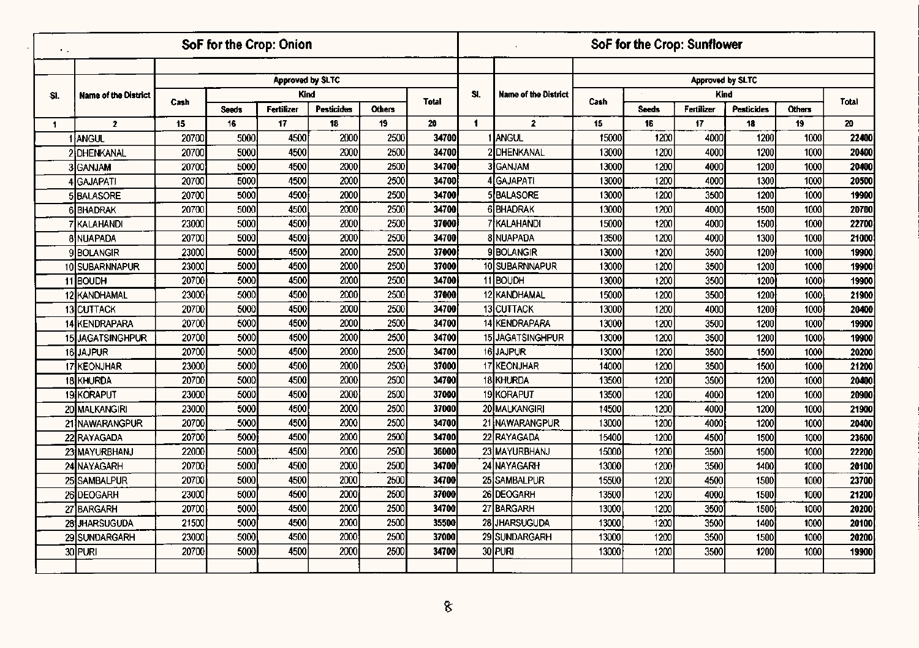| $\mathbf{1}$ |                      |       | SoF for the Crop: Onion |                  |                   |        |              |                      |                             |       | SoF for the Crop: Sunflower |                  |                   |        |       |
|--------------|----------------------|-------|-------------------------|------------------|-------------------|--------|--------------|----------------------|-----------------------------|-------|-----------------------------|------------------|-------------------|--------|-------|
|              |                      |       |                         |                  |                   |        |              |                      |                             |       |                             |                  |                   |        |       |
|              |                      |       |                         | Approved by SLTC |                   |        |              |                      |                             |       |                             | Approved by SLTC |                   |        |       |
| SI.          | Name of the District | Cash  |                         | <b>Kind</b>      |                   |        | <b>Total</b> | SI.                  | <b>Name of the District</b> | Cash  |                             | Kind             |                   |        | Total |
|              |                      |       | <b>Seeds</b>            | Fertilizer       | <b>Pesticides</b> | Others |              |                      |                             |       | <b>Seeds</b>                | Fertilizer       | <b>Pesticides</b> | Others |       |
| 1.           | $\mathbf{z}$         | 15    | 16                      | 17               | 18                | 19     | 20           | $\blacktriangleleft$ | $\mathbf{2}$                | 15    | 16                          | 17               | 18                | 19     | 20    |
|              | 1 ANGUL              | 20700 | 5000                    | 4500             | 2000              | 2500   | 34700        |                      | I IANGUL                    | 15000 | 1200                        | 4000             | 1200              | 1000   | 22400 |
|              | 2 DHENKANAL          | 20700 | 5000                    | 4500             | 2000              | 2500   | 34700        |                      | 2 DHENKANAL                 | 13000 | 1200                        | 4000             | 1200              | 1000   | 20400 |
|              | <b>3</b> GANJAM      | 20700 | 5000                    | 4500             | 2000              | 2500   | 34700        |                      | 3 GANJAM                    | 13000 | 1200                        | 4000             | 1200              | 1000   | 20400 |
|              | 4 İGAJAPATI          | 20700 | 5000                    | 4500             | 2000              | 2500   | 34700        |                      | GAJAPATI                    | 13000 | 1200                        | 4000             | 1300              | 1000   | 20500 |
|              | <b>5BALASORE</b>     | 20700 | 5000                    | 4500             | 2000              | 2500   | 34700        |                      | 5BALASORE                   | 13000 | 1200                        | 3500             | 1200              | 1000   | 19900 |
|              | <b>6BHADRAK</b>      | 20700 | 5000                    | 4500             | 2000              | 2500   | 34700        |                      | 6BHADRAK                    | 13000 | 1200                        | 4000             | 1500              | 1000   | 20700 |
|              | Ikalahandi           | 23000 | 5000                    | 4500             | 2000              | 2500   | 37000        |                      | 7 İKALAHANDI                | 15000 | 1200                        | 4000             | 1500              | 1000   | 22700 |
|              | 8 NUAPADA            | 20700 | 5000                    | 4500             | 2000              | 2500   | 34700        |                      | 8 NUAPADA                   | 13500 | 1200                        | 4000             | 1300              | 1000   | 21000 |
|              | 9 BOLANGIR           | 23000 | 5000                    | 4500             | 2000              | 2500   | 37000        |                      | 9 BOLANGIR                  | 13000 | 1200                        | 3500             | 1200              | 1000   | 19900 |
|              | 10 SUBARNNAPUR       | 23000 | 5000                    | 4500             | 2000              | 2500   | 37000        |                      | 10 SUBARNNAPUR              | 13000 | 1200                        | 3500             | 1200              | 1000   | 19900 |
|              | 11BOUDH              | 20700 | 5000                    | 4500             | 2000              | 2500   | 34700        |                      | 11 BOUDH                    | 13000 | 1200                        | 3500             | 1200              | 1000   | 19900 |
|              | 12 KANDHAMAL         | 23000 | 5000                    | 4500             | 2000              | 2500   | 37000        |                      | 12 KANDHAMAL                | 15000 | 1200                        | 3500             | 1200              | 1000   | 21900 |
|              | <b>13 CUTTACK</b>    | 20700 | 5000                    | 4500             | 2000              | 2500   | 34700        |                      | 13 CUTTACK                  | 13000 | 1200                        | 4000             | 1200              | 1000   | 20400 |
|              | 14 KENDRAPARA        | 20700 | 5000                    | 4500             | 2000              | 2500   | 34700        |                      | 14 KENDRAPARA               | 13000 | 1200                        | 3500             | 1200              | 1000   | 19900 |
|              | 15 JAGATSINGHPUR     | 20700 | 5000                    | 4500             | 2000              | 2500   | 34700        |                      | 15 JAGATSINGHPUR            | 13000 | 1200                        | 3500             | 1200              | 1000   | 19900 |
|              | 16JAJPUR             | 20700 | 5000                    | 4500             | 2000              | 2500   | 34700        |                      | 16 JAJPUR                   | 13000 | 1200                        | 3500             | 1500              | 1000   | 20200 |
|              | 17 KEONJHAR          | 23000 | 5000                    | 4500             | 2000              | 2500   | 37000        |                      | 17 KEONJHAR                 | 14000 | 1200                        | 3500             | 1500              | 1000   | 21200 |
|              | 18 KHURDA            | 20700 | 5000                    | 4500             | 2000              | 2500   | 34700        |                      | 18 KHURDA                   | 13500 | 1200                        | 3500             | 1200              | 1000   | 20400 |
|              | 19 KORAPUT           | 23000 | 5000                    | 4500             | 2000              | 2500   | 37000        |                      | 19KORAPUT                   | 13500 | 1200                        | 4000             | 1200              | 1000   | 20900 |
|              | 20 MALKANGIRI        | 23000 | 5000                    | 4500             | 2000              | 2500   | 37000        |                      | 20 MALKANGIRI               | 14500 | 1200                        | 4000             | 1200              | 1000   | 21900 |
|              | 21 NAWARANGPUR       | 20700 | 5000                    | 4500             | 2000              | 2500   | 34700        |                      | 21 NAWARANGPUR              | 13000 | 1200                        | 4000             | 1200              | 1000   | 20400 |
|              | 22 RAYAGADA          | 20700 | 5000                    | 4500             | 2000              | 2500   | 34700        |                      | 22 RAYAGADA                 | 15400 | 1200                        | 4500             | 1500              | 1000   | 23600 |
|              | 23 MAYURBHANJ        | 22000 | 5000                    | 4500             | 2000              | 2500   | 36000        |                      | 23 MAYURBHANJ               | 15000 | 1200                        | 3500             | 1500              | 1000   | 22200 |
|              | 24 NAYAGARH          | 20700 | 5000                    | 4500             | 2000              | 2500   | 34700        |                      | 24 NAYAGARH                 | 13000 | 1200                        | 3500             | 1400              | 1000   | 20100 |
|              | 25 SAMBALPUR         | 20700 | 5000                    | 4500             | 2000              | 2500   | 34700        |                      | 25 SAMBALPUR                | 15500 | 1200                        | 4500             | 1500              | 1000   | 23700 |
|              | 26 DEOGARH           | 23000 | 5000                    | 4500             | 2000              | 2500   | 37000        |                      | 26 DEOGARH                  | 13500 | 1200                        | 4000             | 1500              | 1000   | 21200 |
|              | 27 BARGARH           | 20700 | 5000                    | 4500             | 2000              | 2500   | 34700        |                      | 27 BARGARH                  | 13000 | 1200                        | 3500             | 1500              | 1000   | 20200 |
|              | 28 JHARSUGUDA        | 21500 | 5000                    | 4500             | 2000              | 2500   | 35500        |                      | 28 JHARSUGUDA               | 13000 | 1200                        | 3500             | 1400              | 1000   | 20100 |
|              | 29 SUNDARGARH        | 23000 | 5000                    | 4500             | 2000              | 2500   | 37000        |                      | 29 SUNDARGARH               | 13000 | 1200                        | 3500             | 1500              | 1000   | 20200 |
|              | 30 PURI              | 20700 | 5000                    | 4500             | 2000              | 2500   | 34700        |                      | 30 PURI                     | 13000 | 1200                        | 3500             | 1200              | 1000   | 19900 |
|              |                      |       |                         |                  |                   |        |              |                      |                             |       |                             |                  |                   |        |       |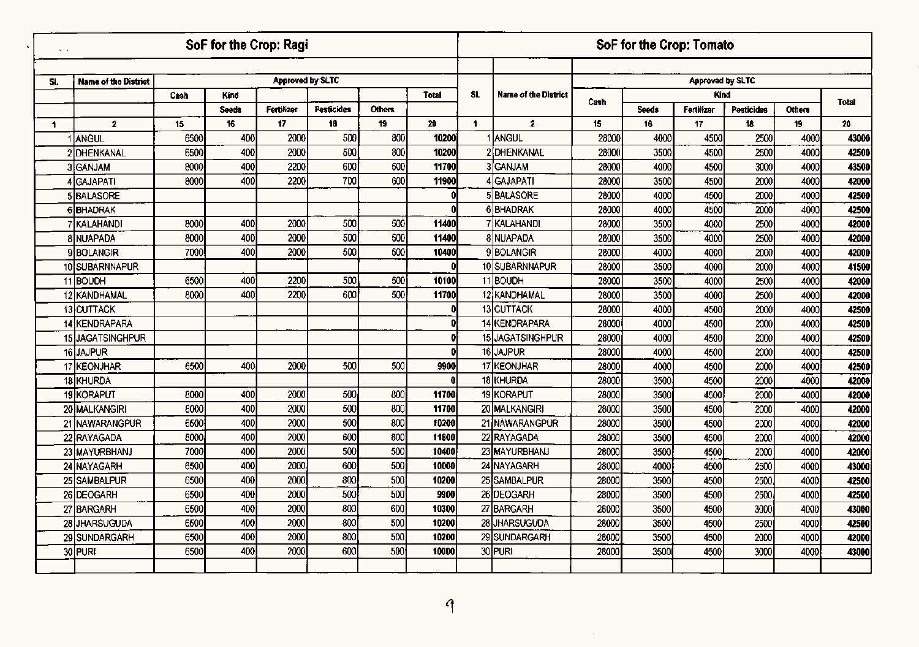| $\sim$ |                             |      | SoF for the Crop: Ragi |                  |                   |               |              |     |                             |       |              | SoF for the Crop: Tomato |                   |               |              |
|--------|-----------------------------|------|------------------------|------------------|-------------------|---------------|--------------|-----|-----------------------------|-------|--------------|--------------------------|-------------------|---------------|--------------|
|        |                             |      |                        |                  |                   |               |              |     |                             |       |              |                          |                   |               |              |
| SI.    | <b>Name of the District</b> |      |                        | Approved by SLTC |                   |               |              |     |                             |       |              | Approved by SLTC         |                   |               |              |
|        |                             | Cash | <b>Kind</b>            |                  |                   |               | Total        | SI. | <b>Name of the District</b> | Cash  |              | Kind                     |                   |               | <b>Total</b> |
|        |                             |      | <b>Seeds</b>           | Fertilizer       | <b>Pesticides</b> | <b>Others</b> |              |     |                             |       | <b>Seeds</b> | Fertilizer               | <b>Pesticides</b> | <b>Others</b> |              |
| 1      | $\mathbf{2}$                | 15   | 16                     | 17               | 18                | 19            | 20           | 1   | $\overline{2}$              | 15    | 16           | 17                       | 18                | 19            | 20           |
|        | 1 ANGUL                     | 6500 | 400                    | 2000             | 500               | 800           | 10200        |     | 1 Iangul                    | 28000 | 4000         | 4500                     | 2500              | 4000          | 43000        |
|        | 2DHENKANAL                  | 6500 | 400                    | 2000             | 500               | 800           | 10200        |     | 2 DHENKANAL                 | 28000 | 3500         | 4500                     | 2500              | 4000          | 42500        |
|        | <b>3</b> GANJAM             | 8000 | 400                    | 2200             | 600               | 500           | 11700        |     | 3GANJAM                     | 28000 | 4000         | 4500                     | 3000              | 4000          | 43500        |
|        | 4 GAJAPATI                  | 8000 | 400                    | 2200             | 700               | 600           | 11900        |     | GAJAPATI                    | 28000 | 3500         | 4500                     | 2000              | 4000          | 42000        |
|        | <b>5 BALASORE</b>           |      |                        |                  |                   |               |              |     | 5BALASORE                   | 28000 | 4000         | 4500                     | 2000              | 4000          | 42500        |
|        | 6BHADRAK                    |      |                        |                  |                   |               |              |     | 6BHADRAK                    | 28000 | 4000         | 4500                     | 2000              | 4000          | 42500        |
|        | <b>KALAHANDI</b>            | 8000 | 400                    | 2000             | 500               | 500           | 11400        |     | KALAHANDI                   | 28000 | 3500         | 4000                     | 2500              | 4000          | 42000        |
|        | <b>8 NUAPADA</b>            | 8000 | 400                    | 2000             | 500               | 500           | 11400        |     | 8 NUAPADA                   | 28000 | 3500         | 4000                     | 2500              | 4000          | 42000        |
|        | 9 BOLANGIR                  | 7000 | 400                    | 2000             | 500               | 500           | 10400        |     | 9BOLANGIR                   | 28000 | 4000         | 4000                     | 2000              | 4000          | 42000        |
|        | 10 SUBARNNAPUR              |      |                        |                  |                   |               |              |     | 10 SUBARNNAPUR              | 28000 | 3500         | 4000                     | 2000              | 4000          | 41500        |
|        | 11BOUDH                     | 6500 | 400                    | 2200             | 500               | 500           | 10100        |     | 11 BOUDH                    | 28000 | 3500         | 4000                     | 2500              | 4000          | 42000        |
|        | 12 KANDHAMAL                | 8000 | 400                    | 2200             | 600               | 500           | 11700        |     | 12 KANDHAMAL                | 28000 | 3500         | 4000                     | 2500              | 4000          | 42000        |
|        | 13 CUTTACK                  |      |                        |                  |                   |               | Đ            |     | 13 CUTTACK                  | 28000 | 4000         | 4500                     | 2000              | 4000          | 42500        |
|        | 14 KENDRAPARA               |      |                        |                  |                   |               | ΩI           |     | 14 KENDRAPARA               | 28000 | 4000         | 4500                     | 2000              | 4000          | 42500        |
|        | 15 JAGATSINGHPUR            |      |                        |                  |                   |               | 0I           |     | 15 JAGATSINGHPUR            | 28000 | 4000         | 4500                     | 2000              | 4000          | 42500        |
|        | 16 JAJPUR                   |      |                        |                  |                   |               | n            |     | 16 JAJPUR                   | 28000 | 4000         | 4500                     | 2000              | 4000          | 42500        |
|        | 17 KEONJHAR                 | 6500 | 400                    | 2000             | 500               | 500           | 9900         |     | 17 KEONJHAR                 | 28000 | 4000         | 4500                     | 2000              | 4000          | 42500        |
|        | 18 KHURDA                   |      |                        |                  |                   |               | $\mathbf{0}$ |     | 18 KHURDA                   | 28000 | 3500         | 4500                     | 2000              | 4000          | 42000        |
|        | 19 KORAPUT                  | 8000 | 400                    | 2000             | 500               | 800           | 11700        |     | 19 KORAPUT                  | 28000 | 3500         | 4500                     | 2000              | 4000          | 42000        |
|        | 20 MALKANGIRI               | 8000 | 400                    | 2000             | 500               | 800           | 11700        |     | 20 MALKANGIRI               | 28000 | 3500         | 4500                     | 2000              | 4000          | 42000        |
|        | 21 NAWARANGPUR              | 6500 | 400                    | 2000             | 500               | 800           | 10200        |     | 21 NAWARANGPUR              | 28000 | 3500         | 4500                     | 2000              | 4000          | 42000        |
|        | 22 RAYAGADA                 | 8000 | 400                    | 2000             | 600               | 800           | 11800        |     | 22 RAYAGADA                 | 28000 | 3500         | 4500                     | 2000              | 4000          | 42000        |
|        | 23 MAYURBHANJ               | 7000 | 400                    | 2000             | 500               | 500           | 10400        |     | 23 MAYURBHANJ               | 28000 | 3500         | 4500                     | 2000              | 4000          | 42000        |
|        | 24 NAYAGARH                 | 6500 | 400                    | 2000             | 600               | 500           | 10000        |     | 24 NAYAGARH                 | 28000 | 4000         | 4500                     | 2500              | 4000          | 43000        |
|        | 25 SAMBALPUR                | 6500 | 400                    | 2000             | 800               | 500           | 10200        |     | 25 SAMBALPUR                | 28000 | 3500         | 4500                     | 2500              | 4000          | 42500        |
|        | 26 DEOGARH                  | 6500 | 400                    | 2000             | 500               | 500           | 9900         |     | 26 DEOGARH                  | 28000 | 3500         | 4500                     | 2500              | 4000          | 42500        |
|        | 27 BARGARH                  | 6500 | 400                    | 2000             | 800               | 600           | 10300        |     | 27 BARGARH                  | 28000 | 3500         | 4500                     | 3000              | 4000          | 43000        |
|        | 28 JHARSUGUDA               | 6500 | 400                    | 2000             | 800               | 500           | 10200        |     | 28 JHARSUGUDA               | 28000 | 3500         | 4500                     | 2500              | 4000          | 42500        |
|        | 29 SUNDARGARH               | 6500 | 400                    | 2000             | 800               | 500           | 10200        |     | 29 SUNDARGARH               | 28000 | 3500         | 4500                     | 2000              | 4000          | 42000        |
|        | 30 PURI                     | 6500 | 400                    | 2000             | 600               | 500           | 10000        |     | 30 PURI                     | 28000 | 3500         | 4500                     | 3000              | 4000          | 43000        |
|        |                             |      |                        |                  |                   |               |              |     |                             |       |              |                          |                   |               |              |
|        |                             |      |                        |                  |                   |               |              |     |                             |       |              |                          |                   |               |              |

 $\bar{z}$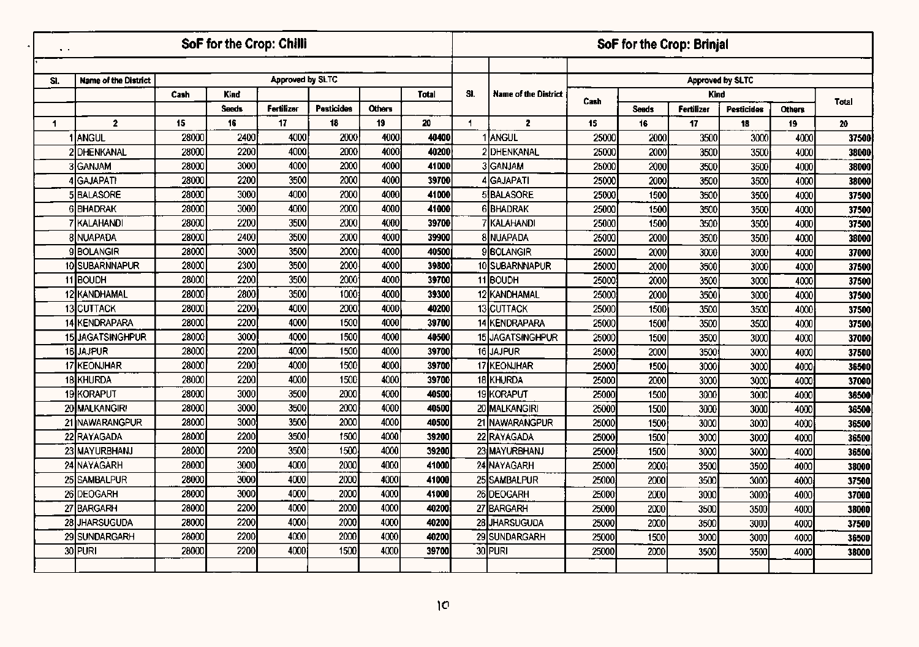|              |                             |       | SoF for the Crop: Chilli |                   |                   |        |              |                      |                      |       | SoF for the Crop: Brinjal |             |                         |               |       |
|--------------|-----------------------------|-------|--------------------------|-------------------|-------------------|--------|--------------|----------------------|----------------------|-------|---------------------------|-------------|-------------------------|---------------|-------|
|              |                             |       |                          |                   |                   |        |              |                      |                      |       |                           |             |                         |               |       |
| SI.          | <b>Name of the District</b> |       |                          | Approved by SLTC  |                   |        |              |                      |                      |       |                           |             | <b>Approved by SLTC</b> |               |       |
|              |                             | Cash  | Kind                     |                   |                   |        | <b>Total</b> | SI.                  | Name of the District | Cash  |                           | <b>Kind</b> |                         |               | Total |
|              |                             |       | <b>Seeds</b>             | <b>Fertilizer</b> | <b>Pesticides</b> | Others |              |                      |                      |       | <b>Seeds</b>              | Fertilizer  | <b>Pesticides</b>       | <b>Others</b> |       |
| $\mathbf{1}$ | $\mathbf{z}$                | 15    | 16                       | 17                | 18                | 19     | 20           | $\blacktriangleleft$ | $\overline{2}$       | 15    | 16                        | 17          | 18                      | 19            | 20    |
|              | <b>1 ANGUL</b>              | 28000 | 2400                     | 4000              | 2000              | 4000   | 40400        |                      | 1 IANGUL             | 25000 | 2000                      | 3500        | 3000                    | 4000          | 37500 |
|              | 2 DHENKANAL                 | 28000 | 2200                     | 4000              | 2000              | 4000   | 40200        |                      | 2 DHENKANAL          | 25000 | 2000                      | 3500        | 3500                    | 4000          | 38000 |
|              | 3 GANJAM                    | 28000 | 3000                     | 4000              | 2000              | 4000   | 41000        |                      | 3GANJAM              | 25000 | 2000                      | 3500        | 3500                    | 4000          | 38000 |
|              | 4 GAJAPATI                  | 28000 | 2200                     | 3500              | 2000              | 4000   | 39700        |                      | <b>4</b> GAJAPATI    | 25000 | 2000                      | 3500        | 3500                    | 4000          | 38000 |
|              | 5BALASORE                   | 28000 | 3000                     | 4000              | 2000              | 4000   | 41000        |                      | 5 BALASORE           | 25000 | 1500                      | 3500        | 3500                    | 4000          | 37500 |
|              | 6BHADRAK                    | 28000 | 3000                     | 4000              | 2000              | 4000   | 41000        |                      | 6BHADRAK             | 25000 | 1500                      | 3500        | 3500                    | 4000          | 37500 |
|              | KALAHANDI                   | 28000 | 2200                     | 3500              | 2000              | 4000   | 39700        |                      | KALAHANDI            | 25000 | 1500                      | 3500        | 3500                    | 4000          | 37500 |
|              | 8 NUAPADA                   | 28000 | 2400                     | 3500              | 2000              | 4000   | 39900        |                      | <b>8 NUAPADA</b>     | 25000 | 2000                      | 3500        | 3500                    | 4000          | 38000 |
|              | <b>9BOLANGIR</b>            | 28000 | 3000                     | 3500              | 2000              | 4000   | 40500        |                      | 9BOLANGIR            | 25000 | 2000                      | 3000        | 3000                    | 4000          | 37000 |
|              | 10 SUBARNNAPUR              | 28000 | 2300                     | 3500              | 2000              | 4000   | 39800        |                      | 10 SUBARNNAPUR       | 25000 | 2000                      | 3500        | 3000                    | 4000          | 37500 |
|              | 11BOUDH                     | 28000 | 2200                     | 3500              | 2000              | 4000   | 39700        |                      | 11 BOUDH             | 25000 | 2000                      | 3500        | 3000                    | 4000          | 37500 |
|              | 12 KANDHAMAL                | 28000 | 2800                     | 3500              | 1000              | 4000   | 39300        |                      | 12 KANDHAMAL         | 25000 | 2000                      | 3500        | 3000                    | 4000          | 37500 |
|              | <b>13 CUTTACK</b>           | 28000 | 2200                     | 4000              | 2000              | 4000   | 40200        |                      | 13 CUTTACK           | 25000 | 1500                      | 3500        | 3500                    | 4000          | 37500 |
|              | 14 KENDRAPARA               | 28000 | 2200                     | 4000              | 1500              | 4000   | 39700        | 14                   | <b>KENDRAPARA</b>    | 25000 | 1500                      | 3500        | 3500                    | 4000          | 37500 |
| 15           | <b>JAGATSINGHPUR</b>        | 28000 | 3000                     | 4000              | 1500              | 4000   | 40500        |                      | 15 JAGATSINGHPUR     | 25000 | 1500                      | 3500        | 3000                    | 4000          | 37000 |
|              | 16 JAJPUR                   | 28000 | 2200                     | 4000              | 1500              | 4000   | 39700        |                      | 16JAJPUR             | 25000 | 2000                      | 3500        | 3000                    | 4000          | 37500 |
|              | 17 KEONJHAR                 | 28000 | 2200                     | 4000              | 1500              | 4000   | 39700        |                      | 17 KEONJHAR          | 25000 | 1500                      | 3000        | 3000                    | 4000          | 36500 |
|              | 18 KHURDA                   | 28000 | 2200                     | 4000              | 1500              | 4000   | 39700        |                      | 18 KHURDA            | 25000 | 2000                      | 3000        | 3000                    | 4000          | 37000 |
|              | 19KORAPUT                   | 28000 | 3000                     | 3500              | 2000              | 4000   | 40500        |                      | 19KORAPUT            | 25000 | 1500                      | 3000        | 3000                    | 4000          | 36500 |
|              | 20 MALKANGIRI               | 28000 | 3000                     | 3500              | 2000              | 4000   | 40500        |                      | 20 MALKANGIRI        | 25000 | 1500                      | 3000        | 3000                    | 4000          | 36500 |
|              | 21 INAWARANGPUR             | 28000 | 3000                     | 3500              | 2000              | 4000   | 40500        |                      | 21 NAWARANGPUR       | 25000 | 1500                      | 3000        | 3000                    | 4000          | 36500 |
|              | 22 RAYAGADA                 | 28000 | 2200                     | 3500              | 1500              | 4000   | 39200        |                      | 22 RAYAGADA          | 25000 | 1500                      | 3000        | 3000                    | 4000          | 36500 |
|              | 23 MAYURBHANJ               | 28000 | 2200                     | 3500              | 1500              | 4000   | 39200        |                      | 23 MAYURBHANJ        | 25000 | 1500                      | 3000        | 3000                    | 4000          | 36500 |
|              | 24 NAYAGARH                 | 28000 | 3000                     | 4000              | 2000              | 4000   | 41000        |                      | 24 NAYAGARH          | 25000 | 2000                      | 3500        | 3500                    | 4000          | 38000 |
|              | 25 SAMBALPUR                | 28000 | 3000                     | 4000              | 2000              | 4000   | 41000        |                      | 25 SAMBALPUR         | 25000 | 2000                      | 3500        | 3000                    | 4000          | 37500 |
|              | 26 DEOGARH                  | 28000 | 3000                     | 4000              | 2000              | 4000   | 41000        |                      | 26 DEOGARH           | 25000 | 2000                      | 3000        | 3000                    | 4000          | 37000 |
|              | 27 BARGARH                  | 28000 | 2200                     | 4000              | 2000              | 4000   | 40200        |                      | 27 BARGARH           | 25000 | 2000                      | 3500        | 3500                    | 4000          | 38000 |
|              | 28 JHARSUGUDA               | 28000 | 2200                     | 4000              | 2000              | 4000   | 40200        |                      | 28 JHARSUGUDA        | 25000 | 2000                      | 3500        | 3000                    | 4000          | 37500 |
|              | 29 SUNDARGARH               | 28000 | 2200                     | 4000              | 2000              | 4000   | 40200        |                      | 29 SUNDARGARH        | 25000 | 1500                      | 3000        | 3000                    | 4000          | 36500 |
|              | 30 PURI                     | 28000 | 2200                     | 4000              | 1500              | 4000   | 39700        |                      | 30 PURI              | 25000 | 2000                      | 3500        | 3500                    | 4000          | 38000 |
|              |                             |       |                          |                   |                   |        |              |                      |                      |       |                           |             |                         |               |       |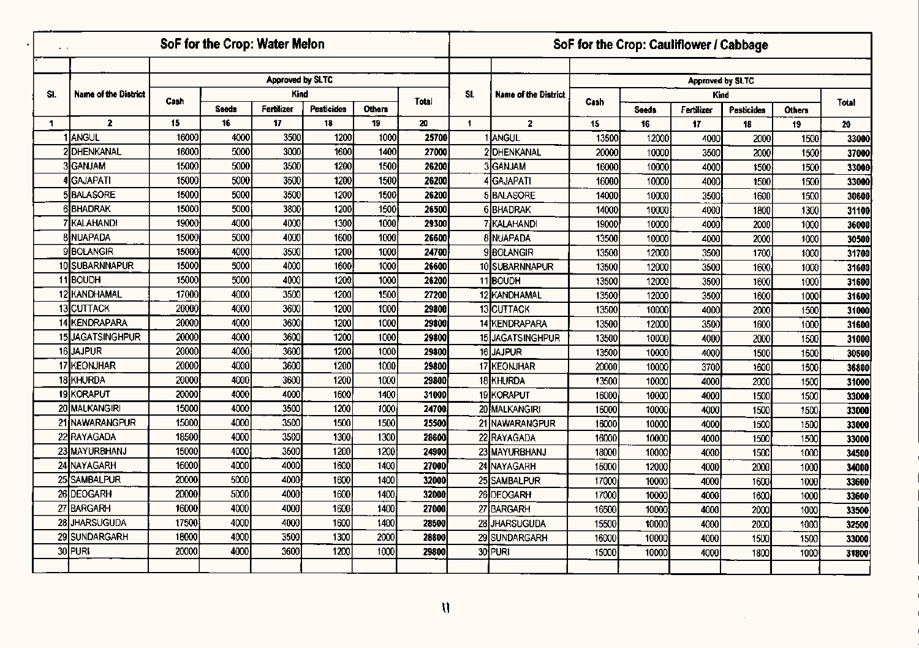| $\sim$       |                             |       |              | SoF for the Crop: Water Melon |                   |               |              |                      |                             |       |              | SoF for the Crop: Cauliflower / Cabbage |                   |               |  |
|--------------|-----------------------------|-------|--------------|-------------------------------|-------------------|---------------|--------------|----------------------|-----------------------------|-------|--------------|-----------------------------------------|-------------------|---------------|--|
|              |                             |       |              | <b>Approved by SLTC</b>       |                   |               |              |                      |                             |       |              | <b>Approved by SLTC</b>                 |                   |               |  |
| SI.          | <b>Name of the District</b> |       |              | Kind                          |                   |               |              | SI.                  | <b>Name of the District</b> |       |              | Kind                                    |                   |               |  |
|              |                             | Cash  | <b>Seeds</b> | <b>Fertilizer</b>             | <b>Pesticides</b> | <b>Others</b> | <b>Total</b> |                      |                             | Cash  | <b>Seeds</b> | Fertilizer                              | <b>Pesticides</b> | <b>Others</b> |  |
| $\mathbf{1}$ | $\mathbf{2}$                | 15    | 16           | 17                            | 18                | 19            | 20           | $\blacktriangleleft$ | $\overline{2}$              | 15    | 16           | 17                                      | 18                | 19            |  |
|              | Iangul                      | 16000 | 4000         | 3500                          | 1200              | 1000          | 25700        |                      | ANGUL                       | 13500 | 12000        | 4000                                    | 2000              | 1500          |  |
|              | 2 DHENKANAL                 | 16000 | 5000         | 3000                          | <b>1600</b>       | 1400          | 27000        |                      | PIDHENKANAL                 | 20000 | 10000        | 3500                                    | 2000              | 1500          |  |
|              | 3GANJAM                     | 15000 | 5000         | 3500                          | 1200              | 1500          | 26200        |                      | 3 GANJAM                    | 16000 | 10000        | 4000                                    | 1500              | 1500          |  |
|              | <b>4</b> GAJAPATI           | 15000 | 5000         | 3500                          | 1200              | 1500          | 26200        |                      | 4 GAJAPATI                  | 16000 | 10000        | 4000                                    | 1500              | 1500          |  |
|              | 5BALASORE                   | 15000 | 5000         | 3500                          | 1200              | 1500          | 26200        |                      | 5 BALASORE                  | 14000 | 10000        | 3500                                    | 1600              | 1500          |  |
|              | <b>6 BHADRAK</b>            | 15000 | 5000         | 3800                          | 1200              | 1500          | 26500        |                      | 6 IBHADRAK                  | 14000 | 10000        | 4000                                    | 1800              | 1300          |  |
|              | 7 KALAHANDI                 | 19000 | 4000         | 4000                          | 1300              | 1000          | 29300        |                      | 7 KALAHANDI                 | 19000 | 10000        | 4000                                    | 2000              | 1000          |  |
|              | 8 NUAPADA                   | 15000 | 5000         | 4000                          | 1600              | 1000          | 26600        |                      | 8 NUAPADA                   | 13500 | 10000        | 4000                                    | 2000              | 1000          |  |
|              | <b>9BOLANGIR</b>            | 15000 | 4000         | 3500                          | $\overline{1200}$ | 1000          | 24700        |                      | 9BOLANGIR                   | 13500 | 12000        | 3500                                    | 1700              | 1000          |  |
|              | 10 SUBARNNAPUR              | 15000 | 5000         | 4000                          | 1600              | 1000          | 26600        |                      | 10 SUBARNNAPUR              | 13500 | 12000        | 3500                                    | 1600              | 1000          |  |
|              | 11 BOUDH                    | 15000 | 5000         | 4000                          | 1200              | 1000          | 26200        |                      | 11BOUDH                     | 13500 | 12000        | 3500                                    | 1600              | 1000          |  |
|              | 12 KANDHAMAL                | 17000 | 4000         | 3500                          | 1200              | 1500          | 27200        |                      | 12 KANDHAMAL                | 13500 | 12000        | 3500                                    | 1600              | 1000          |  |
|              | <b>13 CUTTACK</b>           | 20000 | 4000         | 3600                          | 1200              | 1000          | 29800        |                      | 13 CUTTACK                  | 13500 | 10000        | 4000                                    | 2000              | 1500          |  |
|              | 14 KENDRAPARA               | 20000 | 4000         | 3600                          | 1200              | 1000          | 29800        |                      | 14 KENDRAPARA               | 13500 | 12000        | 3500                                    | 1600              | 1000          |  |
|              | 15 JAGATSINGHPUR            | 20000 | 4000         | 3600                          | 1200              | 1000          | 29800        |                      | 15 JAGATSINGHPUR            | 13500 | 10000        | 4000                                    | 2000              | 1500          |  |
|              | 16JAJPUR                    | 20000 | 4000         | 3600                          | 1200              | 1000          | 29800        |                      | 16JAJPUR                    | 13500 | 10000        | 4000                                    | 1500              | 1500          |  |
|              | 17 KEONJHAR                 | 20000 | 4000         | 3600                          | 1200              | 1000          | 29800        |                      | 17 KEONJHAR                 | 20000 | 10000        | 3700                                    | 1600              | 1500          |  |
|              | 18 KHURDA                   | 20000 | 4000         | 3600                          | 1200              | 1000          | 29800        |                      | 18 KHURDA                   | 13500 | 10000        | 4000                                    | 2000              | 1500          |  |
|              | 19 KORAPUT                  | 20000 | 4000         | 4000                          | 1600              | 1400          | 31000        |                      | 19KORAPUT                   | 16000 | 10000        | 4000                                    | 1500              | 1500          |  |
|              | 20 MALKANGIRI               | 15000 | 4000         | 3500                          | 1200              | 1000          | 24700        |                      | 20 MALKANGIRI               | 16000 | 10000        | 4000                                    | 1500              | 1500          |  |
|              | 21 NAWARANGPUR              | 15000 | 4000         | 3500                          | 1500              | 1500          | 25500        |                      | 21 NAWARANGPUR              | 16000 | 10000        | 4000                                    | 1500              | 1500          |  |
|              | 22 RAYAGADA                 | 18500 | 4000         | 3500                          | 1300              | 1300          | 28600        |                      | 22 RAYAGADA                 | 16000 | 10000        | 4000                                    | 1500              | 1500          |  |
|              | 23 MAYURBHANJ               | 15000 | 4000         | 3500                          | 1200              | 1200          | 24900        |                      | 23 MAYURBHANJ               | 18000 | 10000        | 4000                                    | 1500              | 1000          |  |
|              | 24 NAYAGARH                 | 16000 | 4000         | 4000                          | 1600              | 1400          | 27000        |                      | 24 NAYAGARH                 | 15000 | 12000        | 4000                                    | 2000              | 1000          |  |
|              | 25 SAMBALPUR                | 20000 | 5000         | 4000                          | 1600              | 1400          | 32000        |                      | 25 SAMBALPUR                | 17000 | 10000        | 4000                                    | 1600              | 1000          |  |
|              | 26 DEOGARH                  | 20000 | 5000         | 4000                          | 1600              | 1400          | 32000        |                      | 26 DEOGARH                  | 17000 | 10000        | 4000                                    | 1600i             | 1000          |  |
|              | 27 BARGARH                  | 16000 | 4000         | 4000                          | 1600              | 1400          | 27000        |                      | 27 BARGARH                  | 16500 | 10000        | 4000                                    | 2000              | 1000          |  |
|              | 28 JHARSUGUDA               | 17500 | 4000         | 4000                          | 1600              | 1400          | 28500        |                      | 28 JHARSUGUDA               | 15500 | 10000        | 4000                                    | 2000              | 1000          |  |
|              | 29 SUNDARGARH               | 18000 | 4000         | 3500                          | 1300              | 2000          | 28800        |                      | 29 SUNDARGARH               | 16000 | 10000        | 4000                                    | 1500              | 1500          |  |
|              | 30 PURI                     | 20000 | 4000         | 3600                          | 1200              | 1000          | 29800        |                      | 30 PURI                     | 15000 | 10000        | 4000                                    | 1800              | 1000          |  |

 $\label{eq:2.1} \frac{1}{\sqrt{2}}\int_{\mathbb{R}^3}\frac{1}{\sqrt{2}}\left(\frac{1}{\sqrt{2}}\right)^2\frac{1}{\sqrt{2}}\left(\frac{1}{\sqrt{2}}\right)^2\frac{1}{\sqrt{2}}\left(\frac{1}{\sqrt{2}}\right)^2.$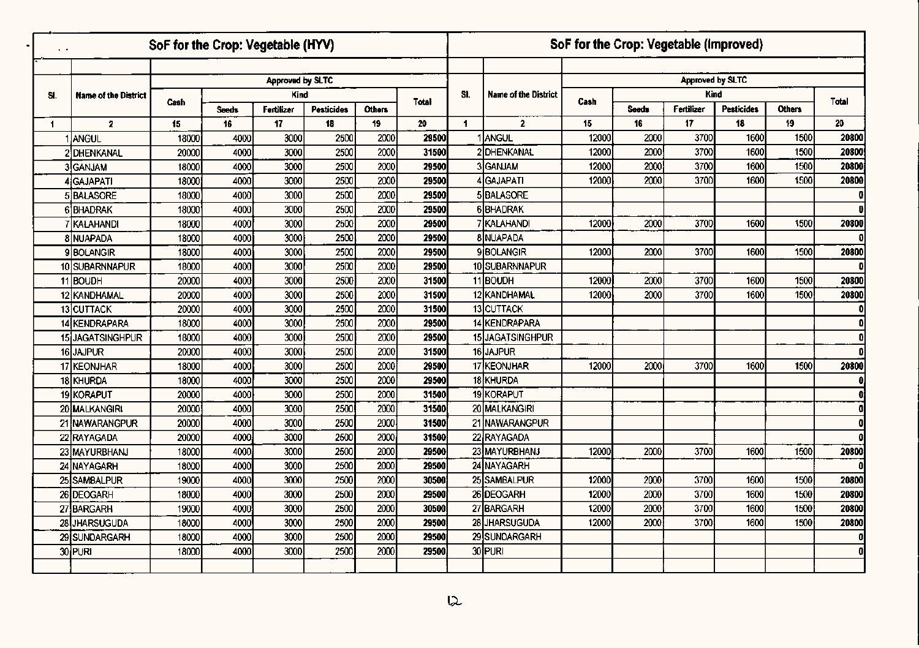|              |                             |                 | SoF for the Crop: Vegetable (HYV) |                         |                   |               |       |                |                             |       | SoF for the Crop: Vegetable (Improved) |                         |                   |               |              |
|--------------|-----------------------------|-----------------|-----------------------------------|-------------------------|-------------------|---------------|-------|----------------|-----------------------------|-------|----------------------------------------|-------------------------|-------------------|---------------|--------------|
|              |                             |                 |                                   |                         |                   |               |       |                |                             |       |                                        |                         |                   |               |              |
|              |                             |                 |                                   | <b>Approved by SLTC</b> |                   |               |       |                |                             |       |                                        | <b>Approved by SLTC</b> |                   |               |              |
| SI.          | <b>Name of the District</b> | Cash            |                                   | Kind                    |                   |               | Total | SI.            | <b>Name of the District</b> | Cash  |                                        | Kind                    |                   |               | Total        |
|              |                             |                 | <b>Seeds</b>                      | Fertilizer              | <b>Pesticides</b> | <b>Others</b> |       |                |                             |       | <b>Seeds</b>                           | Fertilizer              | <b>Pesticides</b> | <b>Others</b> |              |
| $\mathbf{1}$ | $\mathbf{2}$                | 15 <sub>1</sub> | 16                                | 17                      | 18                | 19            | 20    | $\blacksquare$ | $\mathbf{2}$                | 15    | 16                                     | 17                      | 18                | 19            | 20           |
|              | I JANGUL                    | 18000           | 4000                              | 3000                    | 2500              | 2000          | 29500 |                | 1 ANGUL                     | 12000 | 2000                                   | 3700                    | 1600              | 1500          | 20800        |
|              | 2 DHENKANAL                 | 20000           | 4000                              | 3000                    | 2500              | 2000          | 31500 |                | <b>2IDHENKANAL</b>          | 12000 | 2000                                   | 3700                    | 1600              | 1500          | 20800        |
|              | 3GANJAM                     | 18000           | 4000                              | 3000                    | 2500              | 2000          | 29500 |                | 3 <sub>GANJAM</sub>         | 12000 | 2000                                   | 3700                    | 1600              | 1500          | 20800        |
|              | 4 GAJAPATI                  | 18000           | 4000                              | 3000                    | 2500              | 2000          | 29500 |                | 4 GAJAPATI                  | 12000 | 2000                                   | 3700                    | 1600              | 1500          | 20800        |
|              | 5 BALASORE                  | 18000           | 4000                              | 3000                    | 2500              | 2000          | 29500 |                | 5BALASORE                   |       |                                        |                         |                   |               | $\mathbf 0$  |
|              | 6 BHADRAK                   | 18000           | 4000                              | 3000                    | 2500              | 2000          | 29500 |                | 6BHADRAK                    |       |                                        |                         |                   |               | ß            |
|              | 7 KALAHANDI                 | 18000           | 4000                              | 3000                    | 2500              | 2000          | 29500 |                | <b>7 KALAHANDI</b>          | 12000 | 2000                                   | 3700                    | 1600              | 1500          | 20800        |
|              | 8 NUAPADA                   | 18000           | 4000                              | 3000                    | 2500              | 2000          | 29500 |                | 8 NUAPADA                   |       |                                        |                         |                   |               |              |
|              | <b>9BOLANGIR</b>            | 18000           | 4000                              | 3000                    | 2500              | 2000          | 29500 |                | <b>9 BOLANGIR</b>           | 12000 | 2000                                   | 3700                    | 1600              | 1500          | 20800        |
|              | 10 SUBARNNAPUR              | 18000           | 4000                              | 3000                    | 2500              | 2000          | 29500 |                | 10 SUBARNNAPUR              |       |                                        |                         |                   |               | $\mathbf{a}$ |
|              | 11 BOUDH                    | 20000           | 4000                              | 3000                    | 2500              | 2000          | 31500 |                | 11BOUDH                     | 12000 | 2000                                   | 3700                    | 1600              | 1500          | 20800        |
|              | 12 KANDHAMAL                | 20000           | 4000                              | 3000                    | 2500              | 2000          | 31500 |                | 12 KANDHAMAL                | 12000 | 2000                                   | 3700                    | 1600              | 1500          | 20800        |
|              | 13 CUTTACK                  | 20000           | 4000                              | 3000                    | 2500              | 2000          | 31500 |                | 13 CUTTACK                  |       |                                        |                         |                   |               | $\mathbf{0}$ |
|              | 14 KENDRAPARA               | 18000           | 4000                              | 3000                    | 2500              | 2000          | 29500 |                | 14 KENDRAPARA               |       |                                        |                         |                   |               | $\mathbf{0}$ |
| 15i          | <b>JAGATSINGHPUR</b>        | 18000           | 4000                              | 3000                    | 2500              | 2000          | 29500 |                | 15 JAGATSINGHPUR            |       |                                        |                         |                   |               | 0            |
| 16           | <b>JAJPUR</b>               | 20000           | 4000                              | 3000                    | 2500              | 2000          | 31500 |                | 16JAJPUR                    |       |                                        |                         |                   |               | ۵I           |
|              | 17 KEONJHAR                 | 18000           | 4000                              | 3000                    | 2500              | 2000          | 29500 |                | 17 KEONJHAR                 | 12000 | 2000                                   | 3700                    | 1600              | 1500          | 20800        |
|              | 18 KHURDA                   | 18000           | 4000                              | 3000                    | 2500              | 2000          | 29500 |                | 18 KHURDA                   |       |                                        |                         |                   |               | 0            |
|              | 19 KORAPUT                  | 20000           | 4000                              | 3000                    | 2500              | 2000          | 31500 |                | 19 KORAPUT                  |       |                                        |                         |                   |               |              |
|              | 20 MALKANGIRI               | 20000           | 4000                              | 3000                    | 2500              | 2000          | 31500 |                | 20 MALKANGIRI               |       |                                        |                         |                   |               | o            |
|              | 21 NAWARANGPUR              | 20000           | 4000                              | 3000                    | 2500              | 2000          | 31500 |                | 21 INAWARANGPUR             |       |                                        |                         |                   |               | 0.           |
|              | 22 RAYAGADA                 | 20000           | 4000                              | 3000                    | 2500              | 2000          | 31500 |                | 22 RAYAGADA                 |       |                                        |                         |                   |               | Λ            |
|              | 23 MAYURBHANJ               | 18000           | 4000                              | 3000                    | 2500              | 2000          | 29500 |                | 23 MAYURBHANJ               | 12000 | 2000                                   | 3700                    | 1600              | 1500          | 20800        |
|              | 24 NAYAGARH                 | 18000           | 4000                              | 3000                    | 2500              | 2000          | 29500 |                | 24 NAYAGARH                 |       |                                        |                         |                   |               | û            |
|              | 25 SAMBALPUR                | 19000           | 4000                              | 3000                    | 2500              | 2000          | 30500 |                | 25 SAMBALPUR                | 12000 | 2000                                   | 3700                    | 1600              | 1500          | 20800        |
|              | 26 DEOGARH                  | 18000           | 4000                              | 3000                    | 2500              | 2000          | 29500 |                | 26 DEOGARH                  | 12000 | 2000                                   | 3700                    | 1600              | 1500          | 20800        |
|              | 27 BARGARH                  | 19000           | 4000                              | 3000                    | 2500              | 2000          | 30500 |                | 27 BARGARH                  | 12000 | 2000                                   | 3700                    | 1600              | 1500          | 20800        |
|              | 28 JHARSUGUDA               | 18000           | 4000                              | 3000                    | 2500              | 2000          | 29500 |                | 28 JHARSUGUDA               | 12000 | 2000                                   | 3700                    | 1600              | 1500          | 20800        |
|              | 29 SUNDARGARH               | 18000           | 4000                              | 3000                    | 2500              | 2000          | 29500 |                | 29 SUNDARGARH               |       |                                        |                         |                   |               | $\mathbf{0}$ |
|              | 30 PURI                     | 18000           | 4000                              | 3000                    | 2500              | 2000          | 29500 |                | 30 PURI                     |       |                                        |                         |                   |               | $\mathbf 0$  |
|              |                             |                 |                                   |                         |                   |               |       |                |                             |       |                                        |                         |                   |               |              |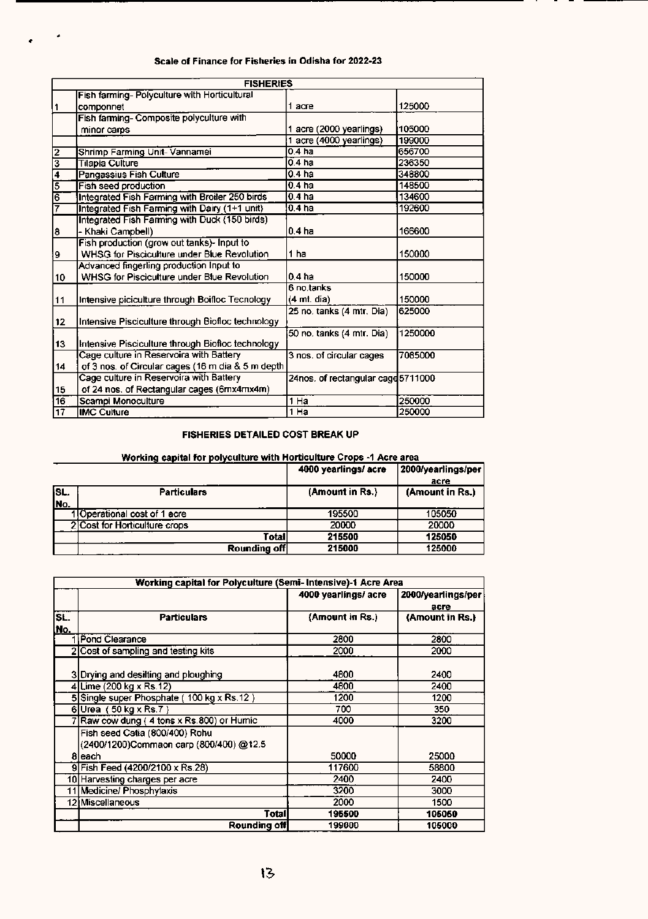| Scale of Finance for Fisheries in Odisha for 2022-23 |  |  |  |  |  |  |
|------------------------------------------------------|--|--|--|--|--|--|
|------------------------------------------------------|--|--|--|--|--|--|

..

|                         | <b>FISHERIES</b>                                   |                                    |         |
|-------------------------|----------------------------------------------------|------------------------------------|---------|
|                         | Fish farming- Polyculture with Horticultural       |                                    |         |
| 1                       | componnet                                          | 1 acre                             | 125000  |
|                         | Fish farming- Composite polyculture with           |                                    |         |
|                         | minor carps                                        | 1 acre (2000 yearlings)            | 105000  |
|                         |                                                    | 1 acre (4000 yearlings)            | 199000  |
|                         | Shrimp Farming Unit-Vannamei                       | 0.4 <sub>ha</sub>                  | 656700  |
| 이었다                     | Tilapia Culture                                    | 0.4 ha                             | 236350  |
|                         | Pangassius Fish Culture                            | 0.4 ha                             | 348800  |
|                         | Fish seed production                               | 0.4 <sub>ha</sub>                  | 148500  |
| $\frac{1}{2}$           | Integrated Fish Farming with Broiler 250 birds     | 0.4 ha                             | 134600  |
| 7                       | Integrated Fish Farming with Dairy (1+1 unit)      | 0.4 <sub>ha</sub>                  | 192600  |
|                         | Integrated Fish Farming with Duck (150 birds)      |                                    |         |
| $\overline{\mathbf{g}}$ | - Khaki Campbell)                                  | 0.4 <sub>ha</sub>                  | 166600  |
|                         | Fish production (grow out tanks)- Input to         |                                    |         |
| 9                       | WHSG for Pisciculture under Blue Revolution        | 1 ha                               | 150000  |
|                         | Advanced fingerling production Input to            |                                    |         |
| 10                      | <b>WHSG for Pisciculture under Blue Revolution</b> | 0.4 ha                             | 150000  |
|                         |                                                    | 6 no.tanks                         |         |
| 11                      | Intensive piciculture through Boifloc Tecnology    | $(4 \text{ mt. dia})$              | 150000  |
|                         |                                                    | 25 no. tanks (4 mtr. Dia)          | 625000  |
| 12                      | Intensive Pisciculture through Biofloc technology  |                                    |         |
|                         |                                                    | 50 no. tanks (4 mtr. Dia)          | 1250000 |
| 13                      | Intensive Pisciculture through Biofloc technology  |                                    |         |
|                         | Cage culture in Reservoira with Battery            | 3 nos. of circular cages           | 7085000 |
| 14                      | of 3 nos. of Circular cages (16 m dia & 5 m depth  |                                    |         |
|                         | Cage culture in Reservoira with Battery            | 24nos. of rectangular cage 5711000 |         |
| 15                      | of 24 nos. of Rectangular cages (6mx4mx4m)         |                                    |         |
| 16                      | Scampi Monoculture                                 | 1 Ha                               | 250000  |
| 17                      | <b>IMC Culture</b>                                 | $1$ Ha                             | 250000  |

#### FISHERIES DETAILED COST BREAK UP

#### Working capital for polyculture with Horticult<mark>ure</mark> Crops -1 Acre area

| acre            |
|-----------------|
|                 |
| (Amount in Rs.) |
|                 |
| 105050          |
| 20000           |
| 125050          |
| 125000          |
|                 |

|             | Working capital for Polyculture (Semi- Intensive)-1 Acre Area                       |                     |                         |  |  |  |
|-------------|-------------------------------------------------------------------------------------|---------------------|-------------------------|--|--|--|
|             |                                                                                     | 4000 yearlings/acre | 2000/yearlings/per      |  |  |  |
| SL.<br>lNo. | <b>Particulars</b>                                                                  | (Amount in Rs.)     | acre<br>(Amount in Rs.) |  |  |  |
|             | Pond Clearance                                                                      | 2800                | 2800                    |  |  |  |
|             | 2 Cost of sampling and testing kits                                                 | 2000                | 2000                    |  |  |  |
|             | 3 Drying and desilting and ploughing                                                | 4800                | 2400                    |  |  |  |
|             | 4 Lime (200 kg x Rs.12)                                                             | 4800                | 2400                    |  |  |  |
|             | 5 Single super Phosphate (100 kg x Rs.12)                                           | 1200                | 1200                    |  |  |  |
|             | 6Urea $(50 \text{ kg} \times \text{Rs.}7)$                                          | 700                 | 350                     |  |  |  |
|             | Raw cow dung (4 tons x Rs.800) or Humic                                             | 4000                | 3200                    |  |  |  |
|             | Fish seed Catia (800/400) Rohu<br>(2400/1200)Commaon carp (800/400) @12.5<br>8leach | 50000               | 25000                   |  |  |  |
|             | 9 Fish Feed (4200/2100 x Rs.28)                                                     | 117600              | 58800                   |  |  |  |
|             | 10 Harvesting charges per acre                                                      | 2400                | 2400                    |  |  |  |
|             | Medicine/ Phosphylaxis                                                              | 3200                | 3000                    |  |  |  |
|             | 12 Miscellaneous                                                                    | 2000                | 1500                    |  |  |  |
|             | Totall                                                                              | 195500              | 105050                  |  |  |  |
|             | Rounding off                                                                        | 199000              | 105000                  |  |  |  |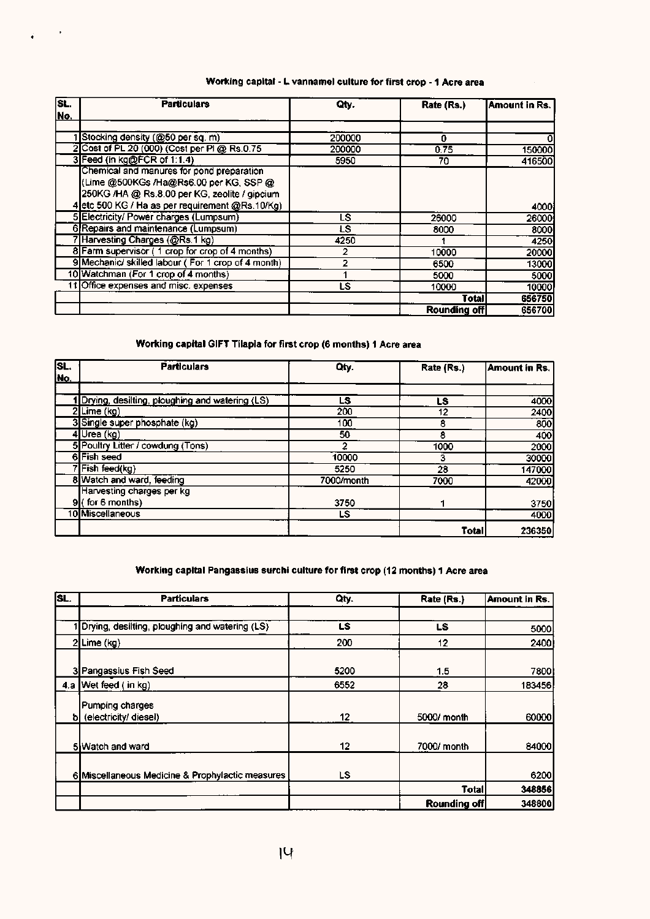#### Working capital - L vannamel culture for first crop - 1 Acre area

| sc. | <b>Particulars</b>                                 | Qty.   | Rate (Rs.)          | Amount in Rs. |
|-----|----------------------------------------------------|--------|---------------------|---------------|
| No. |                                                    |        |                     |               |
|     |                                                    |        |                     |               |
|     | Stocking density (@50 per sq. m)                   | 200000 | 0                   | 0             |
|     | 2 Cost of PL 20 (000) (Cost per Pl @ Rs.0.75       | 200000 | 0.75                | 150000        |
|     | 3 Feed (in kg@FCR of 1:1.4)                        | 5950   | 70                  | 416500        |
|     | Chemical and manures for pond preparation          |        |                     |               |
|     | (Lime @500KGs /Ha@Rs6.00 per KG, SSP @             |        |                     |               |
|     | 250KG /HA @ Rs.8.00 per KG, zeolite / gipcium      |        |                     |               |
|     | 4 etc 500 KG / Ha as per requirement @Rs.10/Kg)    |        |                     | 4000          |
|     | 5 Electricity/ Power charges (Lumpsum)             | LS     | 26000               | 26000         |
|     | 6 Repairs and maintenance (Lumpsum)                | LS.    | 8000                | 8000          |
|     | 7 Harvesting Charges (@Rs.1 kg)                    | 4250   |                     | 4250          |
|     | 8 Farm supervisor (1 crop for crop of 4 months)    |        | 10000               | 20000         |
|     | 9 Mechanic/ skilled labour (For 1 crop of 4 month) | 2      | 6500                | 13000         |
|     | 10 Watchman (For 1 crop of 4 months)               |        | 5000                | 5000          |
|     | 11 Office expenses and misc. expenses              | LS     | 10000               | 10000         |
|     |                                                    |        | Total               | 656750        |
|     |                                                    |        | <b>Rounding off</b> | 656700        |

 $\mathcal{L} \subset \mathcal{L}$ 

### Working capital GIFT Tilapia for first crop (6 months) 1 Acre area

| SL. | <b>Particulars</b>                               | Qty.       | Rate (Rs.) | Amount in Rs. |
|-----|--------------------------------------------------|------------|------------|---------------|
| No. |                                                  |            |            |               |
|     |                                                  |            |            |               |
|     | 1 Drying, desilting, ploughing and watering (LS) | LS         | LS         | 4000          |
|     | $2$ Lime (kg)                                    | 200        | 12         | 2400          |
|     | 3 Single super phosphate (kg)                    | 100        | 8          | 800           |
|     | 4Urea (kg)                                       | 50         | 8          | 400           |
|     | 5 Poultry Litter / cowdung (Tons)                |            | 1000       | 2000          |
|     | 6 Fish seed                                      | 10000      | 3          | 30000         |
|     | Fish feed(kg)                                    | 5250       | 28         | 147000        |
|     | 8 Watch and ward, feeding                        | 7000/month | 7000       | 42000         |
|     | Harvesting charges per kg                        |            |            |               |
|     | $9$ (for 6 months)                               | 3750       |            | 3750          |
|     | 10 Miscellaneous                                 | LS         |            | 4000          |
|     |                                                  |            | Total      | 236350        |

### Working capital Pangassius surchi culture for first crop (12 months) 1 Acre area

| SL. | <b>Particulars</b>                               | Qty. | Rate (Rs.)   | Amount in Rs. |
|-----|--------------------------------------------------|------|--------------|---------------|
|     |                                                  |      |              |               |
|     | Drying, desilting, ploughing and watering (LS)   | LS.  | LS.          | 5000          |
|     | $2$ Lime (kg)                                    | 200  | 12           | 2400          |
|     | 3 Pangassius Fish Seed                           | 5200 | 1.5          | 7800          |
|     | 4.a Wet feed (in kg)                             | 6552 | 28           | 183456        |
|     | Pumping charges<br>b (electricity/ diesel)       | 12   | 5000/ month  | 60000         |
|     | 5 Watch and ward                                 | 12   | 7000/ month  | 84000         |
|     | 6 Miscellaneous Medicine & Prophylactic measures | LS   |              | 6200          |
|     |                                                  |      | <b>Total</b> | 348856        |
|     |                                                  |      | Rounding off | 348800        |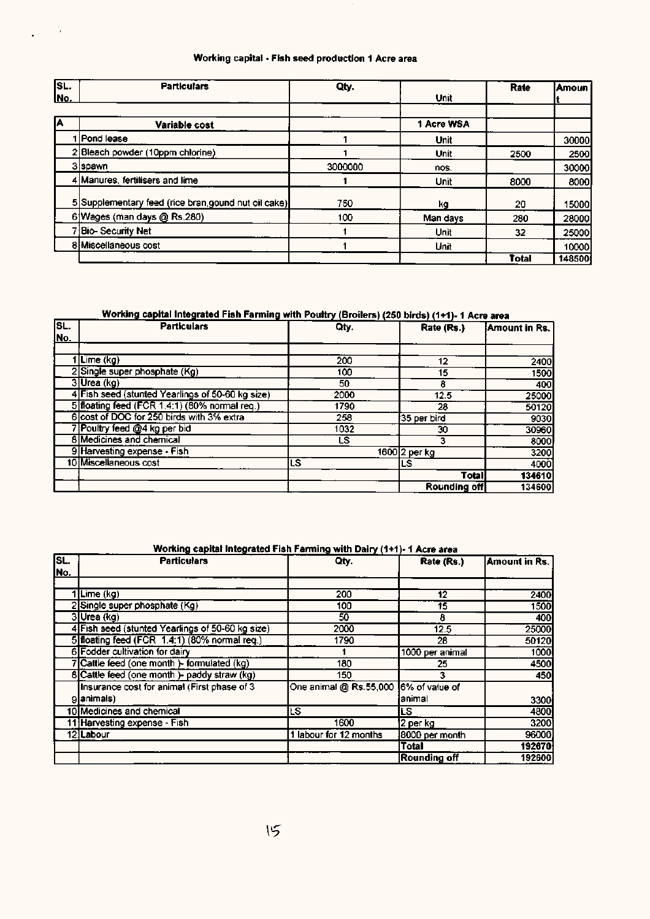### Working capital - Fish seed production 1 Acre area

 $\frac{1}{2}$  ,  $\frac{1}{2}$ 

| SL.        | <b>Particulars</b>                                   | Qty.    |             | Rate  | Amoun  |
|------------|------------------------------------------------------|---------|-------------|-------|--------|
| <u>No.</u> |                                                      |         | Unit        |       |        |
|            |                                                      |         |             |       |        |
| А          | Variable cost                                        |         | 1 Acre WSA  |       |        |
|            | 1   Pond lease                                       |         | Unit        |       | 30000  |
|            | 2 Bleach powder (10ppm chlorine)                     |         | <b>Unit</b> | 2500  | 2500   |
|            | 3 spawn                                              | 3000000 | nos.        |       | 30000  |
|            | 4 Manures, fertilisers and lime                      |         | <b>Unit</b> | 8000  | 8000   |
|            | 5 Supplementary feed (rice bran, gound nut oil cake) | 750     | ka          | 20    | 15000  |
|            | 6 Wages (man days @ Rs.280)                          | 100     | Man days    | 280   | 28000  |
|            | ' Bio-Security Net                                   |         | Unit        | 32    | 25000  |
|            | 8 Miscellaneous cost                                 |         | Unit        |       | 10000  |
|            |                                                      |         |             | Total | 148500 |

### Working capital Integrated Fish Farming with Poultry (Broilers) (250 birds) (1+1)- 1 Acre area

| SL.         | <b>Particulars</b>                               | Qty. | Rate (Rs.)    | Amount in Rs. |
|-------------|--------------------------------------------------|------|---------------|---------------|
| <u>lNo.</u> |                                                  |      |               |               |
|             |                                                  |      |               |               |
|             | <b>Lime</b> (kg)                                 | 200  | 12            | 2400          |
|             | 2 Single super phosphate (Kg)                    | 100  | 15            | 1500          |
|             | 3Urea (kg)                                       | 50   | 8             | 400           |
|             | 4 Fish seed (stunted Yearlings of 50-60 kg size) | 2000 | 12.5          | 25000         |
|             | 5 floating feed (FCR 1.4:1) (80% normal req.)    | 1790 | 28            | 50120         |
|             | 6 cost of DOC for 250 birds with 3% extra        | 258  | 35 per bird   | 9030          |
|             | 7 Poultry feed @4 kg per bid                     | 1032 | 30            | 30960         |
|             | 8 Medicines and chemical                         | LS.  |               | 8000          |
|             | 9 Harvesting expense - Fish                      |      | 1600 2 per kg | 3200          |
|             | 10 Miscellaneous cost                            | LS   | LS            | 4000          |
|             |                                                  |      | <b>Total</b>  | 134610        |
|             |                                                  |      | Rounding off  | 134600        |

#### Working capital Integrated Fish Farming with Dairy (1+1)- 1 Acre area

| SL. | <b>Particulars</b>                               | Qty.                                  | Rate (Rs.)          | Amount in Rs. |
|-----|--------------------------------------------------|---------------------------------------|---------------------|---------------|
| No. |                                                  |                                       |                     |               |
|     |                                                  |                                       |                     |               |
|     | 1Lime (kg)                                       | 200                                   | 12                  | 2400          |
|     | 2 Single super phosphate (Kg)                    | 100                                   | 15                  | 1500          |
|     | 3Urea (kg)                                       | 50                                    | 8                   | 400           |
|     | 4 Fish seed (stunted Yearlings of 50-60 kg size) | 2000                                  | 12.5                | 25000         |
|     | 5 floating feed (FCR 1.4:1) (80% normal req.)    | 1790                                  | 28                  | 50120         |
|     | 6 Fodder cultivation for dairy                   |                                       | 1000 per animal     | 1000          |
|     | 7 Cattle feed (one month) - formulated (kg)      | 180                                   | 25                  | 4500          |
|     | 8 Cattle feed (one month) - paddy straw (kg)     | 150                                   | 3                   | 450           |
|     | Insurance cost for animal (First phase of 3      | One animal @ Rs.55,000 6% of value of |                     |               |
|     | glanimals)                                       |                                       | animal              | 33001         |
|     | 10 Medicines and chemical                        | LS.                                   | LS.                 | 4800          |
|     | 11 Harvesting expense - Fish                     | 1600                                  | 2 per ka            | 3200          |
|     | 12 Labour                                        | 1 labour for 12 months                | 8000 per month      | 96000         |
|     |                                                  |                                       | <b>Total</b>        | 192670        |
|     |                                                  |                                       | <b>Rounding off</b> | 192600        |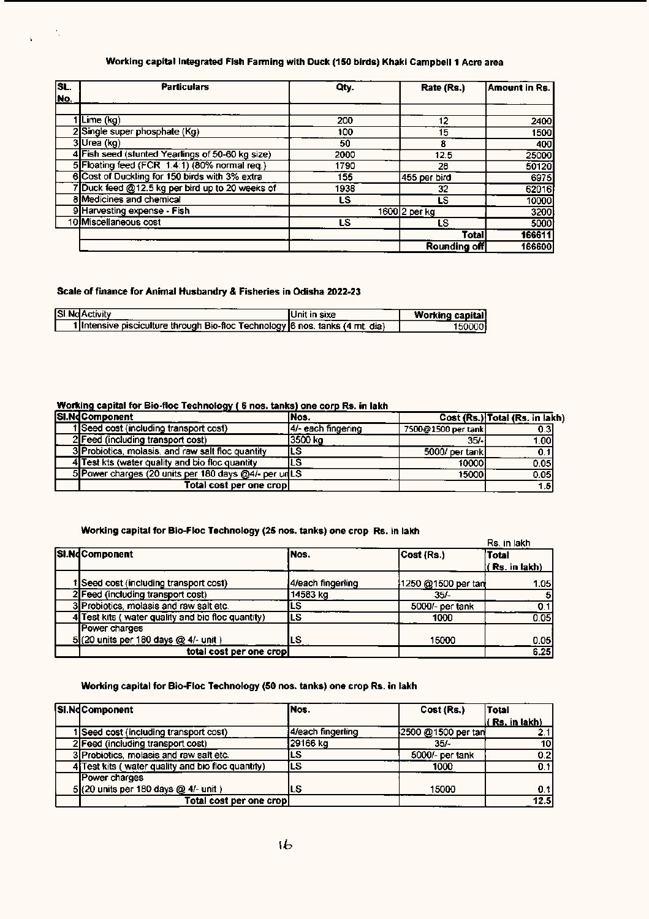#### Working capital Integrated Fish Farming with Duck (150 birds) Khaki Campbell 1 Acre area

| SL.        | <b>Particulars</b>                               | Oty. | Rate (Rs.)    | Amount in Rs. |
|------------|--------------------------------------------------|------|---------------|---------------|
| <u>No.</u> |                                                  |      |               |               |
|            |                                                  |      |               |               |
|            | Lime (kg)                                        | 200  | 12            | 2400          |
|            | 2 Single super phosphate (Kg)                    | 100  | 15            | 1500          |
|            | 3Urea (kg)                                       | 50   | 8             | 400           |
|            | 4 Fish seed (stunted Yearlings of 50-60 kg size) | 2000 | 12.5          | 25000         |
|            | 5 Floating feed (FCR 1.4:1) (80% normal req.)    | 1790 | 28            | 50120         |
|            | 6 Cost of Duckling for 150 birds with 3% extra   | 155  | 455 per bird  | 6975          |
|            | Duck feed @12.5 kg per bird up to 20 weeks of    | 1938 | 32            | 62016         |
|            | 8 Medicines and chemical                         | LS   | LS            | 10000         |
|            | 9 Harvesting expense - Fish                      |      | 1600 2 per kg | 3200          |
|            | 10 Miscellaneous cost                            | LS   | LS            | 5000          |
|            |                                                  |      | Total         | 166611        |
|            |                                                  |      | Rounding off  | 166600        |

#### Scale of finance for Animal Husbandry & Fisheries in Odisha 2022-23

Ŷ.

| <b>SI.NdActivity</b>                                                          | IUnit in sixe. | <b>Working capital</b> |
|-------------------------------------------------------------------------------|----------------|------------------------|
| 1 Intensive pisciculture through Bio-floc Technology 6 nos. tanks (4 mt. dia) |                |                        |

#### Working capital for Sio-floc Technology ( 6 nos. tanks) one corp Rs. in lakh

| SI.NdComponent                                       | lNos.               |                    | Cost (Rs.) Total (Rs. in lakh) |
|------------------------------------------------------|---------------------|--------------------|--------------------------------|
| 1 Seed cost (including transport cost)               | 14/- each fingering | 7500@1500 per tank | 0.3                            |
| 2 Feed (including transport cost)                    | 13500 ka            | $35/-1$            | 1.00I                          |
| 3 Probiotics, molasis, and raw salt floc quantity    | ILS                 | 5000/ per tank     | 0.1                            |
| 4 Test kts (water quality and bio floc quantity      | LS                  | 100001             | 0.05                           |
| 5 Power charges (20 units per 180 days @4/- per unLS |                     | 15000I             | 0.05                           |
| Total cost per one crop                              |                     |                    | 1.51                           |

#### Working capital for Sio-Floc Technology (25 nos. tanks) one crop Rs. in lakh

|                                                   |                    |                    | Rs. in lakh    |
|---------------------------------------------------|--------------------|--------------------|----------------|
| SI.NdComponent                                    | iNos.              | Cost (Rs.)         | <b>Total</b>   |
|                                                   |                    |                    | ( Rs. in lakh) |
| 1 Seed cost (including transport cost)            | 14/each fingerling | 1250 @1500 per tan | 1.05           |
| 2 Feed (including transport cost)                 | 14583 kg           | 35/-               | -51            |
| 3 Probiotics, molasis and raw salt etc.           | LS                 | 5000/- per tank    | 0.1            |
| 1 Test kits (water quality and bio floc quantity) | LS                 | 1000               | 0.05           |
| Power charges                                     |                    |                    |                |
| 5(20 units per 180 days @ 4/- unit)               | LS                 | 15000              | 0.05           |
| total cost per one cropl                          |                    |                    | 6.25           |

#### Working capital for Sio-Floc Technology (50 nos. tanks) one crop Rs. in lakh

| SI.NdComponent                                    | INos.             | Cost (Rs.)         | <b>Total</b>        |
|---------------------------------------------------|-------------------|--------------------|---------------------|
|                                                   |                   |                    | $($ Rs. in lakh $)$ |
| Seed cost (including transport cost)              | 4/each fingerling | 2500 @1500 per tan | 2.1                 |
| 2 Feed (including transport cost)                 | 29166 kg          | 35/-               | 10                  |
| 3 Probiotics, molasis and raw salt etc.           | LS                | 5000/- per tank    | 0.2                 |
| 4 Test kits (water quality and bio floc quantity) | ILS.              | 1000               | 0.1                 |
| Power charges                                     |                   |                    |                     |
| 5(20 units per 180 days @ 4/- unit)               | LS                | 15000              | 0.1                 |
| Total cost per one crop                           |                   |                    | 12.5                |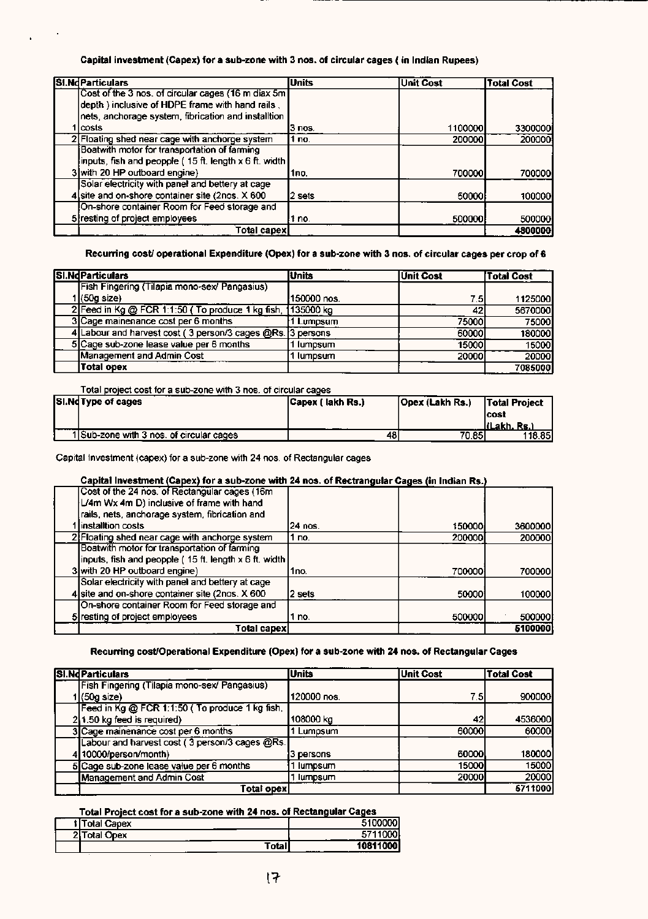#### Capital investment (Capex) for a sub-zone with 3 nos. of circular cages ( in Indian Rupees)

| SI.NdParticulars                                         | <b>Units</b> | Unit Cost | <b>Total Cost</b> |
|----------------------------------------------------------|--------------|-----------|-------------------|
| Cost of the 3 nos, of circular cages (16 m diax 5m)      |              |           |                   |
| depth) inclusive of HDPE frame with hand rails,          |              |           |                   |
| nets, anchorage system, fibrication and installtion      |              |           |                   |
| lcosts                                                   | l3 nos.      | 1100000   | 33000001          |
| 2 Floating shed near cage with anchorge system           | 1 по.        | 200000    | 200000            |
| Boatwith motor for transportation of farming             |              |           |                   |
| (inputs, fish and peopple ( 15 ft. length x 6 ft. width) |              |           |                   |
| 3 with 20 HP outboard engine)                            | 1no.         | 700000    | 700000            |
| Solar electricity with panel and bettery at cage         |              |           |                   |
| 4 site and on-shore container site (2nos. X 600          | l2 sets      | 50000     | 100000            |
| On-shore container Room for Feed storage and             |              |           |                   |
| 5 resting of project employees                           | 1 no.        | 500000    | 500000            |
| Total capex!                                             |              |           | 4800000           |

Recurring cost/ operational Expenditure (Opex) for a sub-zone with 3 nos. of circular cages per crop of 6

| <b>SI.NdParticulars</b>                                    | <b>Units</b> | <b>Unit Cost</b> | <b>Total Cost</b> |
|------------------------------------------------------------|--------------|------------------|-------------------|
| Fish Fingering (Tilapia mono-sex/ Pangasius)               |              |                  |                   |
| I (60g size).                                              | 150000 nos.  | 7.5I             | 1125000           |
| 2 Feed in Kg @ FCR 1:1:50 (To produce 1 kg fish,           | 135000 kg    | 42               | 5670000           |
| 3 Cage mainenance cost per 6 months                        | Lumpsum      | 750001           | 75000             |
| 4 Labour and harvest cost (3 person/3 cages @Rs. 3 persons |              | 600001           | 180000            |
| 5 Cage sub-zone lease value per 6 months                   | lumpsum      | 15000            | 15000             |
| Management and Admin Cost                                  | lumpsum      | 20000            | 20000             |
| Total opex                                                 |              |                  | 7085000           |

Total project cost for a sub-zone with 3 nos. of circular cages

| SI.Nd Type of cages                      | Capex ( lakh Rs.) | Opex (Lakh Rs.) | <b>Total Project</b>  |
|------------------------------------------|-------------------|-----------------|-----------------------|
|                                          |                   |                 | lcost<br>líLakh. Rs.) |
| 1 Sub-zone with 3 nos. of circular cages | 48                | 70.851          | 118.85                |

Capital Investment (capex) for a sub-zone with 24 nos. of Rectangular cages

#### Capital Investment (Capex) for a sub-zone with 24 nos. of Rectrangular Cages (in Indian Rs.

| Cost of the 24 nos. of Rectangular cages (16m                |          |        |         |
|--------------------------------------------------------------|----------|--------|---------|
| L/4m Wx 4m D) inclusive of frame with hand                   |          |        |         |
| rails, nets, anchorage system, fibrication and               |          |        |         |
| linstalltion costs                                           | 124 nos. | 150000 | 3600000 |
| 2 Floating shed near cage with anchorge system               | no.      | 200000 | 200000  |
| Boatwith motor for transportation of farming                 |          |        |         |
| inputs, fish and peopple (15 ft. length $\times$ 6 ft. width |          |        |         |
| 3 with 20 HP outboard engine)                                | 1no.     | 700000 | 700000  |
| Solar electricity with panel and bettery at cage             |          |        |         |
| 4 site and on-shore container site (2nos. X 600)             | 2 sets   | 50000  | 100000  |
| On-shore container Room for Feed storage and                 |          |        |         |
| 5 resting of project employees                               | no.      | 500000 | 500000  |
| Total capex                                                  |          |        | 5100000 |

#### Recurring cost/Operational Expenditure (Opex) for a sub-zone with 24 nos. of Rectangular Cages

| SI.NdParticulars                                | <b>Units</b> | <b>Unit Cost</b> | <b>Total Cost</b> |
|-------------------------------------------------|--------------|------------------|-------------------|
| Fish Fingering (Tilapia mono-sex/ Pangasius)    |              |                  |                   |
| 1 (50g size)                                    | 120000 nos.  | 7.5I             | 900000            |
| Feed in Kg @ FCR 1:1:50 ( To produce 1 kg fish, |              |                  |                   |
| $2 1.50$ kg feed is required)                   | 108000 kg    | 42I              | 4536000           |
| 3 Cage mainenance cost per 6 months             | 1 Lumpsum    | 60000            | 60000             |
| Labour and harvest cost (3 person/3 cages @Rs.  |              |                  |                   |
| 4 10000/person/month)                           | 3 persons    | 60000            | 180000            |
| 5 Cage sub-zone lease value per 6 months        | lumpsum      | 15000l           | 15000             |
| <b>Management and Admin Cost</b>                | lumpsum      | 20000            | 20000             |
| Total opex                                      |              |                  | 5711000           |

#### Total Project cost for a sub-zone with 24 nos. of Rectangular Cages

|    | Total Capex |        | m              |
|----|-------------|--------|----------------|
| ופ | otal Opex   |        | 00<br>57110    |
|    | -           | Totall | 10811<br>----- |
|    |             |        | ___            |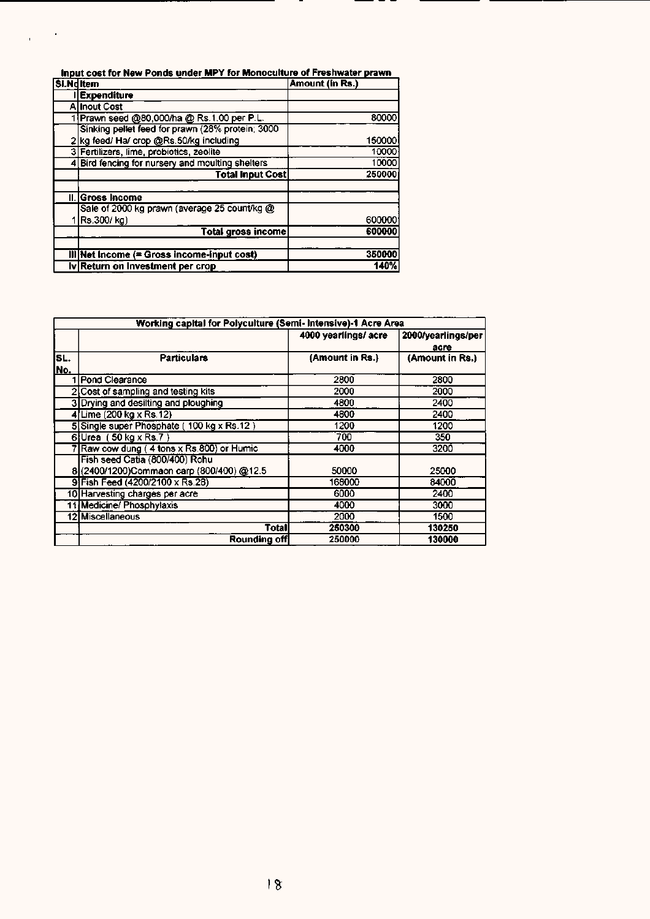| Input cost for New Ponds under MPY for Monoculture of Freshwater prawn |                                                  |                 |  |
|------------------------------------------------------------------------|--------------------------------------------------|-----------------|--|
| Si.NdItem                                                              |                                                  | Amount (in Rs.) |  |
|                                                                        | I Expenditure                                    |                 |  |
|                                                                        | <b>Allnout Cost</b>                              |                 |  |
|                                                                        | 1 Prawn seed @80,000/ha @ Rs.1.00 per P.L.       | 80000           |  |
|                                                                        | Sinking pellet feed for prawn (28% protein; 3000 |                 |  |
|                                                                        | 2 kg feed/ Ha/ crop @Rs.50/kg including          | 150000          |  |
|                                                                        | 3 Fertilizers, lime, probiotics, zeolite         | 10000           |  |
|                                                                        | 4 Bird fencing for nursery and moulting shelters | 10000           |  |
|                                                                        | <b>Total Input Cost</b>                          | 250000          |  |
|                                                                        | II. Gross Income                                 |                 |  |
|                                                                        | Sale of 2000 kg prawn (average 25 count/kg @     |                 |  |
|                                                                        | Rs.300/kg)                                       | 600000          |  |
|                                                                        | <b>Total gross income</b>                        | 600000          |  |
|                                                                        |                                                  |                 |  |
|                                                                        | $III$ Net Income (= Gross income-input cost)     | 350000          |  |
|                                                                        | iv Return on Investment per crop                 | 140%            |  |

|            | Working capital for Polyculture (Semi- Intensive)-1 Acre Area              |                     |                            |  |  |  |
|------------|----------------------------------------------------------------------------|---------------------|----------------------------|--|--|--|
|            |                                                                            | 4000 yearlings/acre | 2000/yearlings/per<br>acre |  |  |  |
| SL.<br>No. | <b>Particulars</b>                                                         | (Amount in Rs.)     | (Amount in Rs.)            |  |  |  |
|            | Pond Clearance                                                             | 2800                | 2800                       |  |  |  |
|            | 2 Cost of sampling and testing kits                                        | 2000                | 2000                       |  |  |  |
|            | 3 Drying and desilting and ploughing                                       | 4800                | 2400                       |  |  |  |
|            | 4 Lime (200 kg x Rs. 12)                                                   | 4800                | 2400                       |  |  |  |
|            | 5 Single super Phosphate (100 kg x Rs.12)                                  | 1200                | 1200                       |  |  |  |
|            | $6$ Urea (50 kg x Rs.7)                                                    | 700                 | 350                        |  |  |  |
|            | Raw cow dung (4 tons x Rs.800) or Humic                                    | 4000                | 3200                       |  |  |  |
|            | Fish seed Catia (800/400) Rohu<br>8(2400/1200)Commaon carp (800/400) @12.5 | 50000               | 25000                      |  |  |  |
|            | 9 Fish Feed (4200/2100 x Rs.28)                                            | 168000              | 84000                      |  |  |  |
|            | 10 Harvesting charges per acre                                             | 6000                | 2400                       |  |  |  |
|            | 11 Medicine/ Phosphylaxis                                                  | 4000                | 3000                       |  |  |  |
|            | 12 Miscellaneous                                                           | 2000                | 1500                       |  |  |  |
|            | Totall                                                                     | 250300              | 130250                     |  |  |  |
|            | Rounding off                                                               | 250000              | 130000                     |  |  |  |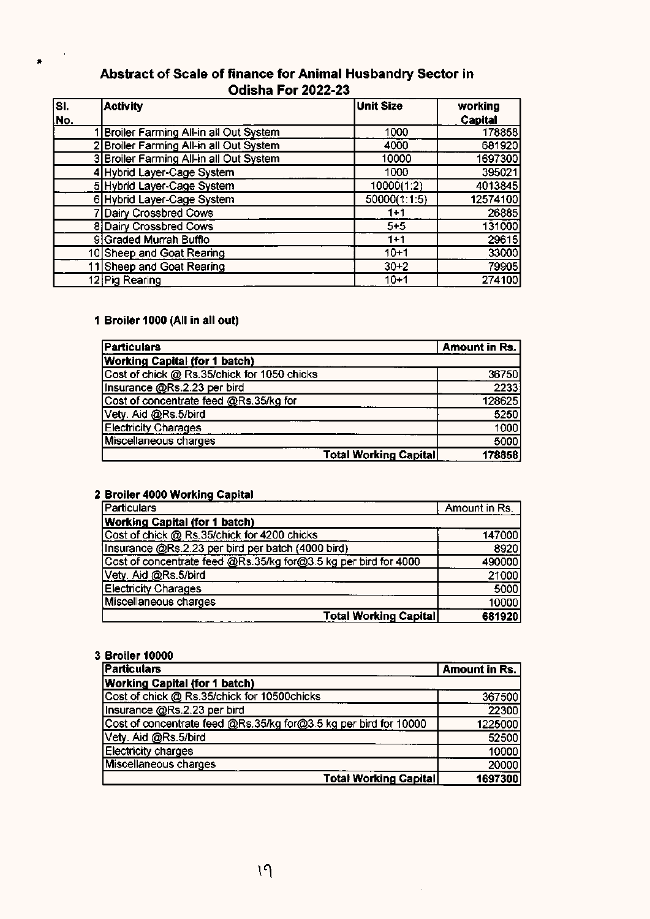### Abstract of Scale of finance for Animal Husbandry Sector in Odisha For 2022-23

| SI. | <b>Activity</b>                         | <b>Unit Size</b> | working  |
|-----|-----------------------------------------|------------------|----------|
| No. |                                         |                  | Capital  |
|     | Broiler Farming All-in all Out System   | 1000             | 178858   |
|     | 2 Broiler Farming All-in all Out System | 4000             | 681920   |
|     | 3 Broiler Farming All-in all Out System | 10000            | 1697300  |
|     | 4 Hybrid Layer-Cage System              | 1000             | 395021   |
|     | 5 Hybrid Layer-Cage System              | 10000(1:2)       | 4013845  |
|     | 6 Hybrid Layer-Cage System              | 50000(1:1:5)     | 12574100 |
|     | 7 Dairy Crossbred Cows                  | $1 + 1$          | 26885    |
|     | 8 Dairy Crossbred Cows                  | $5 + 5$          | 131000   |
|     | 9 Graded Murrah Bufflo                  | $1 + 1$          | 29615    |
|     | 10 Sheep and Goat Rearing               | $10 + 1$         | 33000    |
|     | 11 Sheep and Goat Rearing               | $30 + 2$         | 79905    |
|     | 12 Pig Rearing                          | $10+1$           | 274100   |

#### 1 Broiler 1000 (All in all out)

 $\blacksquare$ 

| <b>Particulars</b>                          |                              | Amount in Rs. |
|---------------------------------------------|------------------------------|---------------|
| <b>Working Capital (for 1 batch)</b>        |                              |               |
| Cost of chick @ Rs.35/chick for 1050 chicks |                              | 36750         |
| Insurance @Rs.2.23 per bird                 |                              | 2233          |
| Cost of concentrate feed @Rs.35/kg for      |                              | 128625        |
| Vety. Aid @Rs.5/bird                        |                              | 5250          |
| <b>Electricity Charages</b>                 |                              | 1000          |
| Miscellaneous charges                       |                              | 5000          |
|                                             | <b>Total Working Capital</b> | 178858        |

### 2 Broiler 4000 Working Capital

| <b>Particulars</b>                                              | Amount in Rs. |
|-----------------------------------------------------------------|---------------|
| <b>Working Capital (for 1 batch)</b>                            |               |
| Cost of chick @ Rs.35/chick for 4200 chicks                     | 147000        |
| Insurance @Rs.2.23 per bird per batch (4000 bird)               | 8920          |
| Cost of concentrate feed @Rs.35/kg for@3.5 kg per bird for 4000 | 490000        |
| Vety. Aid @Rs.5/bird                                            | 21000         |
| <b>Electricity Charages</b>                                     | 5000          |
| Miscellaneous charges                                           | 10000         |
| <b>Total Working Capital</b>                                    | 681920        |

#### 3 Broiler 10000

| <b>Particulars</b>                                               | Amount in Rs. |
|------------------------------------------------------------------|---------------|
| <b>Working Capital (for 1 batch)</b>                             |               |
| Cost of chick @ Rs.35/chick for 10500chicks                      | 367500        |
| Insurance @Rs.2.23 per bird                                      | 22300         |
| Cost of concentrate feed @Rs.35/kg for@3.5 kg per bird for 10000 | 1225000       |
| Vety. Aid @Rs.5/bird                                             | 52500         |
| <b>Electricity charges</b>                                       | 10000         |
| Miscellaneous charges                                            | 20000         |
| <b>Total Working Capital!</b>                                    | 1697300       |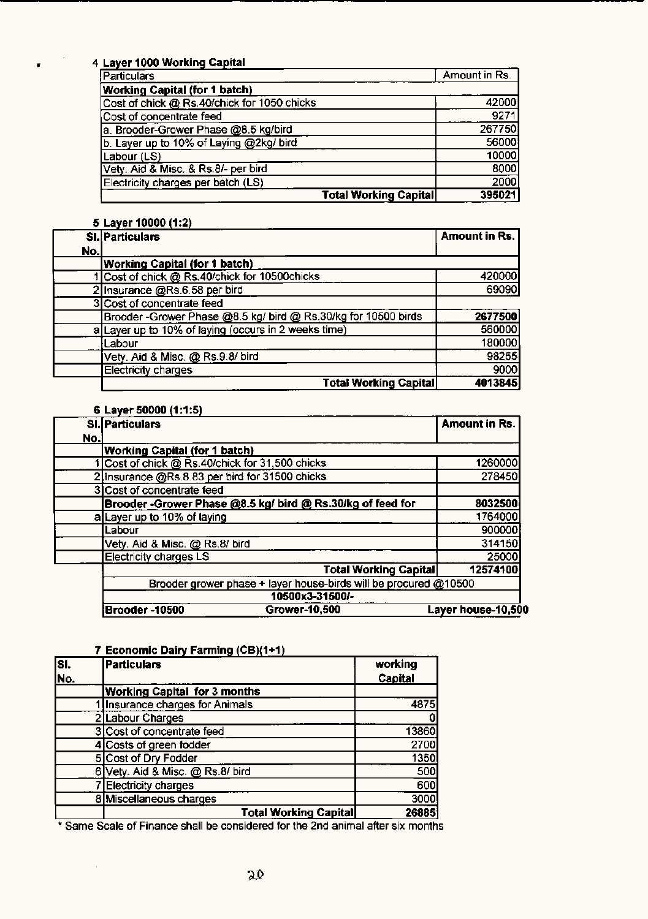### 4 **Layer 1000 Working Capital**

•

| <b>Particulars</b>                          | Amount in Rs. |
|---------------------------------------------|---------------|
| <b>Working Capital (for 1 batch)</b>        |               |
| Cost of chick @ Rs.40/chick for 1050 chicks | 42000         |
| Cost of concentrate feed                    | 9271          |
| a. Brooder-Grower Phase @8.5 kg/bird        | 267750        |
| b. Layer up to 10% of Laying @2kg/ bird     | 56000         |
| Labour (LS)                                 | 10000         |
| Vety. Aid & Misc. & Rs.8/- per bird         | 8000          |
| Electricity charges per batch (LS)          | 2000          |
| <b>Total Working Capital</b>                | 395021        |

### **5 Layer 10000 (1:2)**

|     | SI. Particulars                                               | <b>Amount in Rs.</b> |
|-----|---------------------------------------------------------------|----------------------|
| No. |                                                               |                      |
|     | <b>Working Capital (for 1 batch)</b>                          |                      |
|     | Cost of chick @ Rs.40/chick for 10500chicks                   | 420000               |
|     | 2 Insurance @Rs.6.58 per bird                                 | 69090                |
|     | 3 Cost of concentrate feed                                    |                      |
|     | Brooder-Grower Phase @8.5 kg/ bird @ Rs.30/kg for 10500 birds | 2677500              |
|     | a Layer up to 10% of laying (occurs in 2 weeks time)          | 560000               |
|     | Labour                                                        | 180000               |
|     | Vety. Aid & Misc. @ Rs.9.8/ bird                              | 98255                |
|     | <b>Electricity charges</b>                                    | 9000                 |
|     | <b>Total Working Capital</b>                                  | 4013845              |

#### **6 Layer 50000 (1:1:5)**

|     | SI. Particulars                                            |                                                                  | <b>Amount in Rs.</b> |
|-----|------------------------------------------------------------|------------------------------------------------------------------|----------------------|
| No. |                                                            |                                                                  |                      |
|     | <b>Working Capital (for 1 batch)</b>                       |                                                                  |                      |
|     | 1 Cost of chick @ Rs.40/chick for 31,500 chicks            |                                                                  | 1260000              |
|     | 2 Insurance @Rs.8.83 per bird for 31500 chicks             |                                                                  | 278450               |
|     | 3 Cost of concentrate feed                                 |                                                                  |                      |
|     | Brooder -Grower Phase @8.5 kg/ bird @ Rs.30/kg of feed for |                                                                  | 8032500              |
|     | a Layer up to 10% of laying                                |                                                                  | 1764000              |
|     | Labour                                                     |                                                                  | 900000               |
|     | Vety. Aid & Misc. @ Rs.8/ bird                             |                                                                  | 314150               |
|     | <b>Electricity charges LS</b>                              |                                                                  | 25000                |
|     |                                                            | <b>Total Working Capital</b>                                     | 12574100             |
|     |                                                            | Brooder grower phase + layer house-birds will be procured @10500 |                      |
|     | 10500x3-31500/-                                            |                                                                  |                      |
|     | Brooder-10500                                              | Grower-10,500                                                    | Layer house-10,500   |

### **7 Economic Dairy Farming (CB)(1+1)**

 $\bar{A}$ 

| lsı.<br>No. | <b>Particulars</b>                  | working<br>Capital |
|-------------|-------------------------------------|--------------------|
|             | <b>Working Capital for 3 months</b> |                    |
|             | Insurance charges for Animals       | 4875               |
|             | 2 Labour Charges                    |                    |
|             | 3 Cost of concentrate feed          | 13860              |
|             | 4 Costs of green fodder             | 2700               |
|             | 5 Cost of Dry Fodder                | 1350               |
|             | 6 Vety. Aid & Misc. @ Rs.8/ bird    | 500                |
|             | <b>Electricity charges</b>          | 600                |
|             | 8 Miscellaneous charges             | 3000               |
|             | <b>Total Working Capital</b>        | 26885              |

\* Same Scale of Finance shall be considered for the 2nd animal after SIX months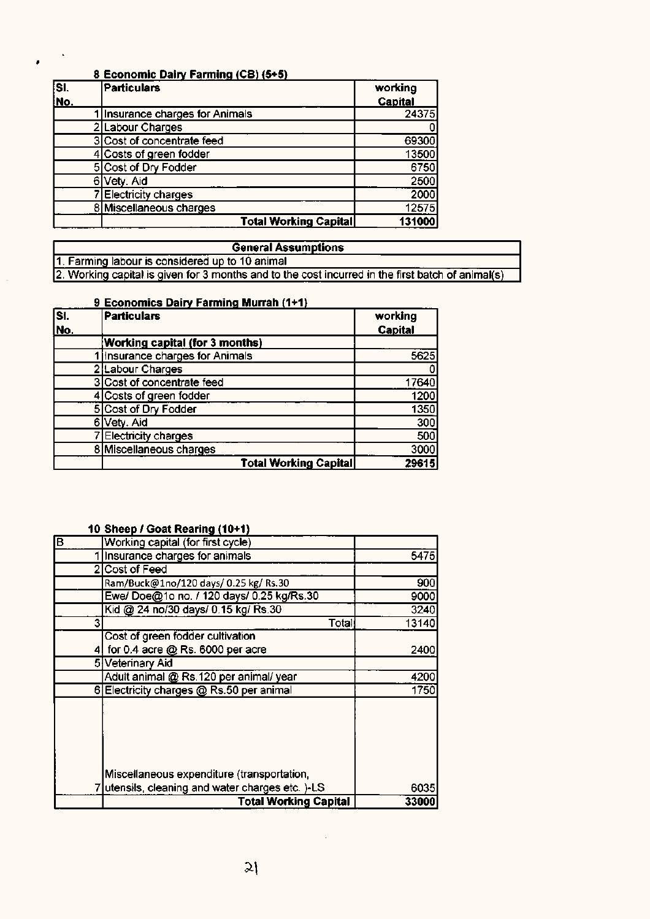### **8 Economic Dairy Farming (CB) (5+5)**

 $\pmb{\ast}$ 

| $\overline{\mathbf{S}}$ | Particulars                   | working |
|-------------------------|-------------------------------|---------|
| No.                     |                               | Capital |
|                         | Insurance charges for Animals | 24375   |
|                         | 2 Labour Charges              |         |
|                         | 3 Cost of concentrate feed    | 69300   |
|                         | 4 Costs of green fodder       | 13500   |
|                         | 5 Cost of Dry Fodder          | 6750    |
|                         | 6 Vety. Aid                   | 2500    |
|                         | <b>Electricity charges</b>    | 2000    |
|                         | 8 Miscellaneous charges       | 12575   |
|                         | <b>Total Working Capital</b>  | 131000  |

| <b>General Assumptions</b>                                                                        |
|---------------------------------------------------------------------------------------------------|
| 1. Farming labour is considered up to 10 animal                                                   |
| 2. Working capital is given for 3 months and to the cost incurred in the first batch of animal(s) |

### **9 Economics Dairy Farming Murrah (1+1)**

| ls۱. | <b>Particulars</b>                    | working        |
|------|---------------------------------------|----------------|
| No.  |                                       | <b>Capital</b> |
|      | <b>Working capital (for 3 months)</b> |                |
|      | Insurance charges for Animals         | 5625           |
|      | <b>Labour Charges</b>                 |                |
|      | 3 Cost of concentrate feed            | 17640          |
|      | 4 Costs of green fodder               | 1200           |
|      | <b>5</b> Cost of Dry Fodder           | 1350           |
|      | Vety. Aid<br>6                        | 300            |
|      | <b>Electricity charges</b>            | 500            |
|      | 8 Miscellaneous charges               | 3000           |
|      | <b>Total Working Capital</b>          | 29615          |

### **10 Sheep** *I* **Goat Rearing (10+1)**

| 厄 | Working capital (for first cycle)                |       |
|---|--------------------------------------------------|-------|
|   | Insurance charges for animals                    | 5475  |
|   | 2 Cost of Feed                                   |       |
|   | Ram/Buck@1no/120 days/ 0.25 kg/ Rs.30            | 900   |
|   | Ewe/ Doe@1o no. / 120 days/ 0.25 kg/Rs.30        | 9000  |
|   | Kid @ 24 no/30 days/ 0.15 kg/ Rs.30              | 3240  |
|   | 3<br>Total                                       | 13140 |
|   | Cost of green fodder cultivation                 |       |
|   | for 0.4 acre @ Rs. 6000 per acre<br>41           | 2400  |
|   | 5 Veterinary Aid                                 |       |
|   | Adult animal @ Rs.120 per animal/ year           | 4200  |
|   | 6 Electricity charges @ Rs.50 per animal         | 1750  |
|   | Miscellaneous expenditure (transportation,       |       |
|   |                                                  |       |
|   | 7 utensils, cleaning and water charges etc. )-LS | 6035  |
|   | <b>Total Working Capital</b>                     | 33000 |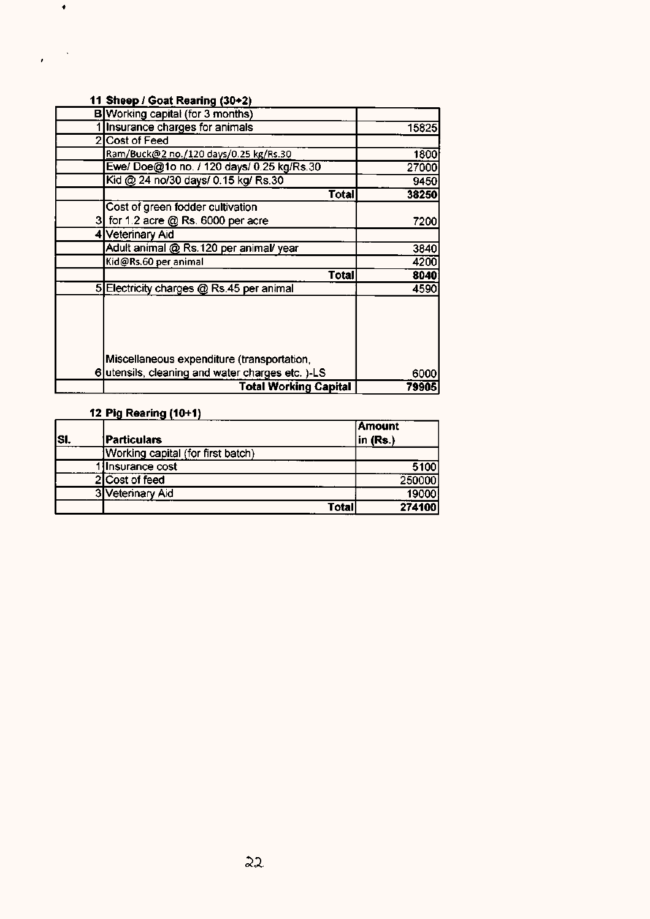### **11 Sheep** *I* **Goat Rearing (30+2)**

•

 $\pmb{\cdot}$ 

| <b>B</b> Working capital (for 3 months)          |       |
|--------------------------------------------------|-------|
| 1 Insurance charges for animals                  | 15825 |
| 2 Cost of Feed                                   |       |
| Ram/Buck@2 no./120 days/0.25 kg/Rs.30            | 1800  |
| Ewe/ Doe@1o no. / 120 days/ 0.25 kg/Rs.30        | 27000 |
| Kid @ 24 no/30 days/ 0.15 kg/ Rs.30              | 9450  |
| Total                                            | 38250 |
| Cost of green fodder cultivation                 |       |
| 3 for 1.2 acre @ Rs. 6000 per acre               | 7200  |
| 4 Veterinary Aid                                 |       |
| Adult animal @ Rs.120 per animal/ year           | 3840  |
| Kid@Rs.60 per animal                             | 4200  |
| Total                                            | 8040  |
| 5 Electricity charges @ Rs.45 per animal         | 4590  |
|                                                  |       |
| Miscellaneous expenditure (transportation,       |       |
| 6 utensils, cleaning and water charges etc. )-LS | 6000  |
| <b>Total Working Capital</b>                     | 79905 |

### **12 Pig Rearing (10+1)**

|      |                                   | <b>Amount</b>       |
|------|-----------------------------------|---------------------|
| ISI. | <b>Particulars</b>                | $\mathsf{in}$ (Rs.) |
|      | Working capital (for first batch) |                     |
|      | Insurance cost                    | 5100                |
|      | 2 Cost of feed                    | 250000              |
|      | 3 Veterinary Aid                  | 19000               |
|      | Total                             | 274100              |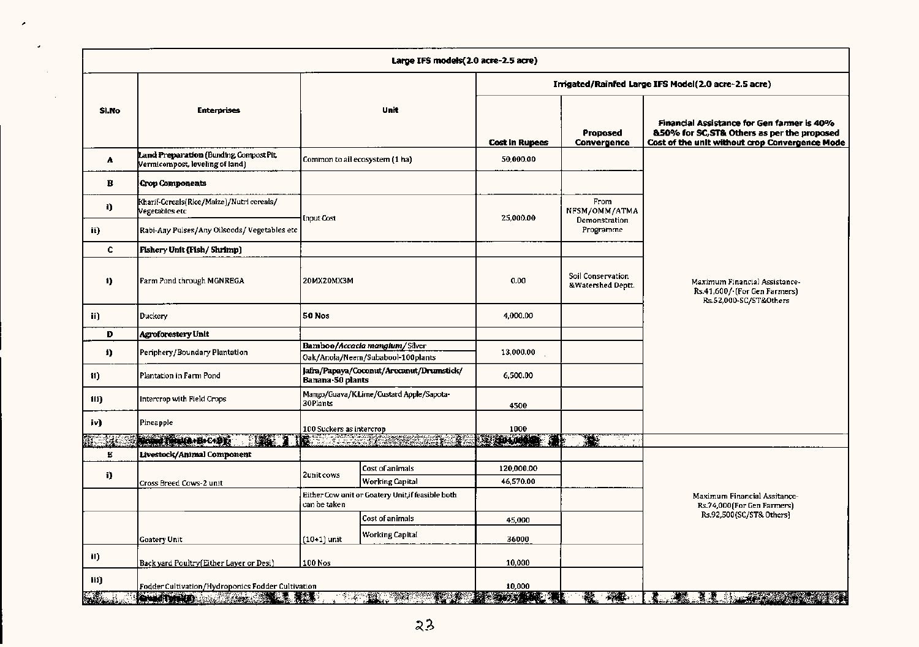|                     | Large IFS models(2.0 acre-2.5 acre)                                       |                          |                                                                    |                       |                                        |                                                                                                                                             |  |  |  |  |  |  |
|---------------------|---------------------------------------------------------------------------|--------------------------|--------------------------------------------------------------------|-----------------------|----------------------------------------|---------------------------------------------------------------------------------------------------------------------------------------------|--|--|--|--|--|--|
|                     |                                                                           |                          |                                                                    |                       |                                        | Imigated/Rainfed Large IFS Model(2.0 acre-2.5 acre)                                                                                         |  |  |  |  |  |  |
| SI.No               | <b>Enterprises</b>                                                        |                          | Unit                                                               | <b>Cost In Rupees</b> | Proposed<br>Convergence                | Financial Assistance for Gen farmer is 40%<br>&50% for SC, ST& Others as per the proposed<br>Cost of the unit without crop Convergence Mode |  |  |  |  |  |  |
| A                   | Land Preparation (Bunding Compost Pit,<br>Vermicompost, leveling of land) |                          | Common to all ecosystem (1 ha)                                     | 50,000.00             |                                        |                                                                                                                                             |  |  |  |  |  |  |
| в                   | <b>Crop Components</b>                                                    |                          |                                                                    |                       |                                        |                                                                                                                                             |  |  |  |  |  |  |
| I)                  | Kharif-Cereals(Rice/Maize)/Nutri cereals/<br>Vegetables etc               | Input Cost               |                                                                    | 25,000.00             | From<br>NFSM/OMM/ATMA<br>Demonstration |                                                                                                                                             |  |  |  |  |  |  |
| ii)                 | Rabi-Any Pulses/Any Oilsoeds/Vegetables etc                               |                          |                                                                    |                       | Programme                              |                                                                                                                                             |  |  |  |  |  |  |
| C.                  | Fishery Unit (Fish/Shrimp)                                                |                          |                                                                    |                       |                                        |                                                                                                                                             |  |  |  |  |  |  |
| 1)                  | Farm Pond through MGNREGA                                                 | 20MX20MX3M               |                                                                    | 0,00                  | Soil Conservation<br>&Watershed Deptt. | Maximum Financial Assistance-<br>Rs.41,600/ [For Gen Farmers]<br>Rs.52,000-SC/ST&Others                                                     |  |  |  |  |  |  |
| ii)                 | Duckery                                                                   | 50 Nos                   |                                                                    |                       |                                        |                                                                                                                                             |  |  |  |  |  |  |
| Ð                   | Agroforestery Unit                                                        |                          |                                                                    |                       |                                        |                                                                                                                                             |  |  |  |  |  |  |
| i)                  | Periphery/Boundary Plantation                                             |                          | Bamboo/Accacla manglum/Silver<br>Oak/Anola/Neem/Subabool-100plants | 13,000.00             |                                        |                                                                                                                                             |  |  |  |  |  |  |
| 11)                 | Plantation in Farm Pond                                                   | Banana-50 plants         | Jafra/Papaya/Coconut/Arecanut/Drumstick/                           | 6,500.00              |                                        |                                                                                                                                             |  |  |  |  |  |  |
| ili)                | Intercrop with Field Crops                                                | 30Plants                 | Mango/Guava/K.Lime/Custard Apple/Sapota-                           | 4500                  |                                        |                                                                                                                                             |  |  |  |  |  |  |
| iv)                 | Pineapple                                                                 | 100 Suckers as intercrop |                                                                    | 1000                  |                                        |                                                                                                                                             |  |  |  |  |  |  |
| 145                 | ACCORDING HERE IS NOT                                                     |                          |                                                                    | <b>BERTHAM</b>        | S S.                                   |                                                                                                                                             |  |  |  |  |  |  |
| E.                  | Livestock/Animal Component                                                |                          |                                                                    |                       |                                        |                                                                                                                                             |  |  |  |  |  |  |
| i)                  |                                                                           | 2unit cows               | Cost of animals                                                    | 120,000.00            |                                        |                                                                                                                                             |  |  |  |  |  |  |
|                     | Cross Breed Cows-2 unit                                                   |                          | Working Capital                                                    | 46,570.00             |                                        |                                                                                                                                             |  |  |  |  |  |  |
|                     |                                                                           | can be taken             | Either Cow unit or Goatery Unit, if feasible both                  |                       |                                        | Maximum Financial Assitance-<br>Rs.74,000(For Gen Farmers)                                                                                  |  |  |  |  |  |  |
|                     |                                                                           |                          | Cost of animals                                                    | 45,000                |                                        | Rs.92,500(SC/ST& Others)                                                                                                                    |  |  |  |  |  |  |
|                     | Goatery Unit                                                              | (10+1) unit              | <b>Working Capital</b>                                             | 36000                 |                                        |                                                                                                                                             |  |  |  |  |  |  |
| il)                 | Back yard Poultry(Either Layer or Desi)                                   | 100 Nos                  |                                                                    | 10,000                |                                        |                                                                                                                                             |  |  |  |  |  |  |
| III)                | Fodder Cultivation/Hydroponics Fodder Cultivation                         |                          |                                                                    | 10,000                |                                        |                                                                                                                                             |  |  |  |  |  |  |
| <b>BALL</b><br>. is | <b>Contract of the Contract of Advisor</b>                                | <b>ASSES</b>             | <u>a sa san</u> gguna                                              | ASSET OF              | <b>BOOK</b>                            | <u>Katungan Ka</u><br>美                                                                                                                     |  |  |  |  |  |  |

×

 $\cdot$ 

 $\sim$ 

 $\sim$   $\sim$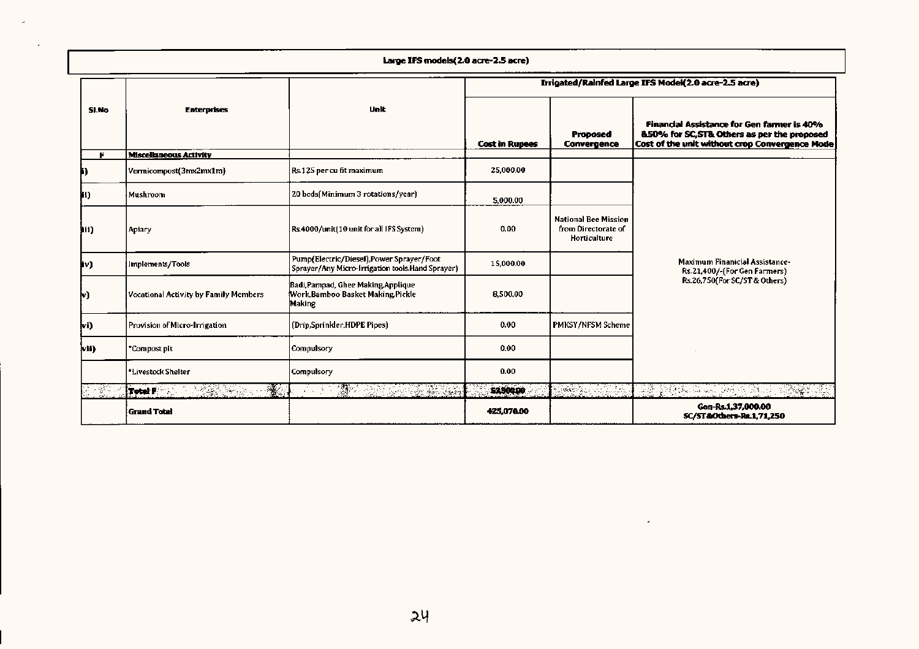|  | Large IFS models(2.0 acre-2.5 acre) |  |
|--|-------------------------------------|--|
|  |                                     |  |

|        |                                              |                                                                                               |                       |                                                                    | Irrigated/Rainfed Large IFS Model(2.0 acre-2.5 acre)                                                                                        |
|--------|----------------------------------------------|-----------------------------------------------------------------------------------------------|-----------------------|--------------------------------------------------------------------|---------------------------------------------------------------------------------------------------------------------------------------------|
| SI.No  | <b>Enterprises</b>                           | Unit                                                                                          | <b>Cost in Rupees</b> | Proposed<br>Convergence                                            | Financial Assistance for Gen farmer is 40%<br>&50% for SC, ST& Others as per the proposed<br>Cost of the unit without crop Convergence Mode |
|        | <b>Miscellaneous Activity</b>                |                                                                                               |                       |                                                                    |                                                                                                                                             |
|        | Vermicompost(3mx2mx1m)                       | Rs.125 per cu fit maximum                                                                     | 25,000.00             |                                                                    |                                                                                                                                             |
| il)    | Mushroom                                     | 20 beds(Minimum 3 rotations/year)                                                             | 5,000.00              |                                                                    |                                                                                                                                             |
| hii)   | Apiary                                       | Rs.4000/unit(10 unit for all IFS System)                                                      | 0.00                  | <b>National Bee Mission</b><br>from Directorate of<br>Horticulture |                                                                                                                                             |
| þν)    | Implements/Tools                             | Pump(Electric/Diesel), Power Sprayer/Foot<br>Sprayer/Any Micro-Irrigation tools.Hand Sprayer) | 15,000.00             |                                                                    | <b>Maximum Finanicial Assistance-</b><br>Rs.21,400/-(For Gen Farmers)                                                                       |
| lv)    | <b>Vocational Activity by Family Members</b> | Badi, Pampad, Ghee Making, Applique<br>Work, Bamboo Basket Making, Pickle<br><b>Making</b>    | 8,500.00              |                                                                    | Rs.26,750(For SC/ST & Others)                                                                                                               |
| (wi    | Provision of Micro-Irrigation                | (Drip,Sprinkler,HDPE Pipes)                                                                   | 0.00                  | PMKSY/NFSM Scheme                                                  |                                                                                                                                             |
| lvii). | *Compost pit                                 | <b>Compulsory</b>                                                                             | 0.00                  |                                                                    |                                                                                                                                             |
|        | *Livestock Shelter                           | <b>Compulsory</b>                                                                             | 0.00                  |                                                                    |                                                                                                                                             |
|        | $\mathcal{H}$<br>Total F<br>AS Same of the   | $\mathbb{R}$ .<br>J. A. Sand<br>$\alpha = 100$                                                | 52500.00              |                                                                    | 조화 오늘 나는 사람들의 사람들이 없                                                                                                                        |
|        | <b>Grand Total</b>                           |                                                                                               | 425,070.00            |                                                                    | Gen-Rs.1,37,000,00<br>SC/ST&Others-Ra.1,71,250                                                                                              |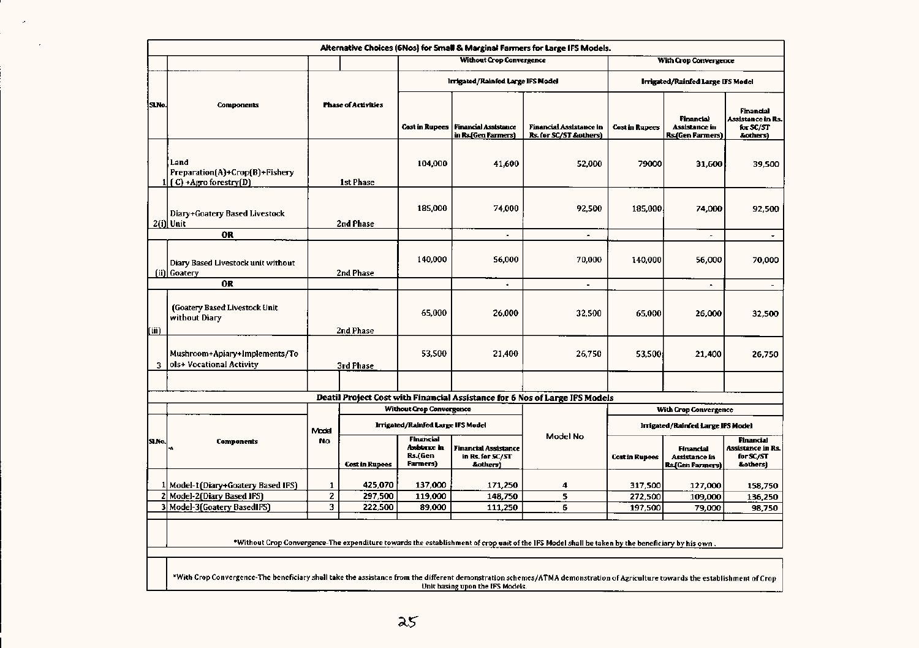|       | Alternative Choices (6Nos) for Small & Marginal Farmers for Large IFS Models.                                                                                                 |                    |                            |                                                          |                                                      |                                                                                                                                                  |                       |                                                |                                                                |  |  |  |  |
|-------|-------------------------------------------------------------------------------------------------------------------------------------------------------------------------------|--------------------|----------------------------|----------------------------------------------------------|------------------------------------------------------|--------------------------------------------------------------------------------------------------------------------------------------------------|-----------------------|------------------------------------------------|----------------------------------------------------------------|--|--|--|--|
|       |                                                                                                                                                                               |                    |                            |                                                          | <b>Without Crop Convergence</b>                      |                                                                                                                                                  |                       | With Crop Convergence                          |                                                                |  |  |  |  |
|       |                                                                                                                                                                               |                    |                            |                                                          | Irrigated/Rainfed Large IFS Model                    |                                                                                                                                                  |                       | Irrigated/Rainfed Large IFS Model              |                                                                |  |  |  |  |
| SLNo. | <b>Components</b>                                                                                                                                                             |                    | <b>Phase of Activities</b> | <b>Cost in Rupees</b>                                    | <b>Financial Assistance</b><br>in Rs.(Gen Farmers)   | Financial Assistance in<br>Rs. for SC/ST &others)                                                                                                | <b>Cost in Rupees</b> | Financial<br>Assistance in<br>Rs.(Gen Farmers) | Financial<br><b>Assistance in Rs.</b><br>for SC/ST<br>&others] |  |  |  |  |
|       | Land<br>Preparation(A)+Crop(B)+Fishery<br>$(C)$ +Agro forestry $(D)$                                                                                                          |                    | 1st Phase                  | 104,000                                                  | 41,600                                               | 52,000                                                                                                                                           | 79000                 | 31,600                                         | 39,500                                                         |  |  |  |  |
|       | Diary+Goatery Based Livestock<br>$2(i)$ Unit<br>2nd Phase                                                                                                                     |                    | 185,000                    | 74.000                                                   | 92,500                                               | 185,000                                                                                                                                          | 74,000                | 92,500                                         |                                                                |  |  |  |  |
|       | <b>OR</b>                                                                                                                                                                     |                    |                            |                                                          | $\blacksquare$                                       | $\blacksquare$                                                                                                                                   |                       | $\sim$                                         | $\bullet$                                                      |  |  |  |  |
|       | Diary Based Livestock unit without<br>(ii) Goatery                                                                                                                            | 2nd Phase          |                            | 140,000                                                  | 56.000                                               | 70,000                                                                                                                                           | 140,000               | 56,000                                         | 70,000                                                         |  |  |  |  |
|       | 0R                                                                                                                                                                            |                    |                            |                                                          | $\ddot{\phantom{0}}$                                 | ä,                                                                                                                                               |                       | $\blacksquare$                                 | $\overline{\phantom{a}}$                                       |  |  |  |  |
| (iii) | (Goatery Based Livestock Unit<br>without Diary                                                                                                                                |                    | 2nd Phase                  | 65,000                                                   | 26,000                                               | 32,500                                                                                                                                           | 65,000                | 26,000                                         | 32,500                                                         |  |  |  |  |
| 3     | Mushroom+Apiary+Implements/To<br>ols+ Vocational Activity                                                                                                                     |                    | 3rd Phase                  | 53.500                                                   | 21.400                                               | 26,750                                                                                                                                           | 53.500                | 21,400                                         | 26,750                                                         |  |  |  |  |
|       |                                                                                                                                                                               |                    |                            |                                                          |                                                      |                                                                                                                                                  |                       |                                                |                                                                |  |  |  |  |
|       |                                                                                                                                                                               |                    |                            |                                                          |                                                      | Deatil Project Cost with Financial Assistance for 6 Nos of Large IFS Models                                                                      |                       |                                                |                                                                |  |  |  |  |
|       |                                                                                                                                                                               |                    |                            | <b>Without Grop Convergence</b>                          |                                                      |                                                                                                                                                  |                       | <b>With Crop Convergence</b>                   |                                                                |  |  |  |  |
|       |                                                                                                                                                                               |                    |                            | Irrigated/Rainfed Large IFS Model                        |                                                      |                                                                                                                                                  |                       | Irrigated/Rainfed Large IFS Model              |                                                                |  |  |  |  |
| SLNo. | <b>Components</b>                                                                                                                                                             | Model<br><b>No</b> | <b>Cost in Rupees</b>      | <b>Financial</b><br>Assistance in<br>Rs.(Gen<br>Farmers) | Financial Assistance<br>in Rs. for SC/ST<br>&others) | Model No                                                                                                                                         | <b>Cost in Rupees</b> | Financial<br>Assistance in<br>Rs.(Gen Farmers) | <b>Financial</b><br>Assistance in Rs.<br>for SC/ST<br>&others) |  |  |  |  |
|       |                                                                                                                                                                               |                    |                            |                                                          |                                                      |                                                                                                                                                  |                       |                                                |                                                                |  |  |  |  |
| 2     | 1 Model-1 (Diary+Goatery Based IFS)                                                                                                                                           | $\mathbf{1}$<br>2  | 425,070                    | 137,000                                                  | 171,250                                              | 4                                                                                                                                                | 317,500               | 127,000                                        | 158,750                                                        |  |  |  |  |
|       | Model-2(Diary Based IFS)<br>3 Model-3 (Goatery Based IFS)                                                                                                                     | 3                  | 297,500<br>222,500         | 119,000<br>89,000                                        | 148,750<br>111,250                                   | 5<br>6                                                                                                                                           | 272,500<br>197,500    | 109,000<br>79,000                              | 136,250<br>98,750                                              |  |  |  |  |
|       |                                                                                                                                                                               |                    |                            |                                                          |                                                      | *Without Crop Convergence-The expenditure towards the establishment of crop unit of the IFS Model shall be taken by the beneficiary by his own . |                       |                                                |                                                                |  |  |  |  |
|       | *With Crop Convergence-The beneficiary shall take the assistance from the different demonstration schemes/ATMA demonstration of Agriculture towards the establishment of Crop |                    |                            |                                                          | Unit basing upon the IFS Models.                     |                                                                                                                                                  |                       |                                                |                                                                |  |  |  |  |

L

 $\sim$ 

 $\sim 100$  km s  $^{-1}$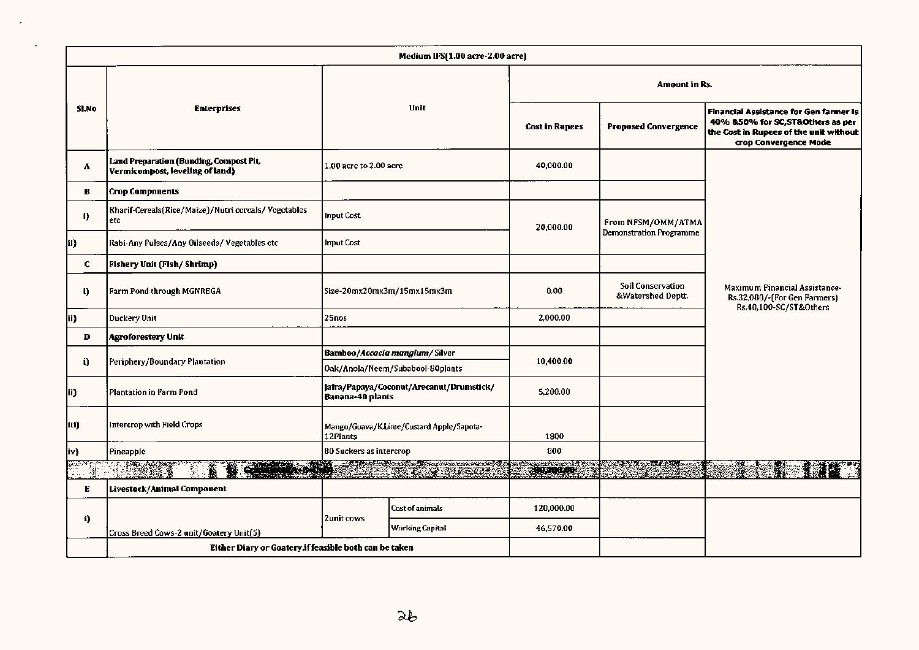|       |       |                                                                            |                                                      | Medium IFS(1.00 acre-2.00 acre)          |                       |                                               |                                                                                                                                                       |  |  |  |
|-------|-------|----------------------------------------------------------------------------|------------------------------------------------------|------------------------------------------|-----------------------|-----------------------------------------------|-------------------------------------------------------------------------------------------------------------------------------------------------------|--|--|--|
|       |       |                                                                            |                                                      |                                          |                       | Amount in Rs.                                 |                                                                                                                                                       |  |  |  |
|       | SI.No | <b>Enterprises</b>                                                         |                                                      | Unit                                     | <b>Cost in Rupees</b> | <b>Proposed Convergence</b>                   | <b>Financial Assistance for Gen farmer is</b><br>40% &50% for SC, ST&Others as per<br>the Cost in Rupees of the unit without<br>crop Convergence Mode |  |  |  |
|       | А     | Land Preparation (Bunding, Compost Pit,<br>Vermicompost, leveling of land) | 1.00 acre to 2.00 acre                               |                                          | 40,000.00             |                                               |                                                                                                                                                       |  |  |  |
|       | В     | <b>Crop Components</b>                                                     |                                                      |                                          |                       |                                               |                                                                                                                                                       |  |  |  |
|       | I)    | Kharif-Cereals(Rice/Maize)/Nutri cereals/Vegetables<br>etc                 | Input Cost                                           |                                          | 20,000.00             | From NFSM/OMM/ATMA                            |                                                                                                                                                       |  |  |  |
| ii}   |       | Rabi-Any Pulses/Any Oilseeds/Vegetables ctc                                | <b>Input Cost</b>                                    |                                          |                       | <b>Demonstration Programme</b>                |                                                                                                                                                       |  |  |  |
|       | c     | <b>Fishery Unit (Fish/Shrimp)</b>                                          |                                                      |                                          |                       |                                               |                                                                                                                                                       |  |  |  |
|       | ŋ,    | Farm Pond through MGNREGA                                                  | Size-20mx20mx3m/15mx15mx3m                           |                                          | 0.00                  | <b>Soil Conservation</b><br>&Watershed Deptt. | Maximum Financial Assistance-<br>Rs.32,080/-[For Gen Farmers]<br>Rs.40,100-SC/ST&Others                                                               |  |  |  |
| ii}   |       | Duckery Unit                                                               | 25nos                                                |                                          | 2,000.00              |                                               |                                                                                                                                                       |  |  |  |
|       | D     | Agroforestery Unit                                                         |                                                      |                                          |                       |                                               |                                                                                                                                                       |  |  |  |
|       | i)    | Periphery/Boundary Plantation                                              |                                                      | Bamboo/Accacia mangium/Silver            | 10,400.00             |                                               |                                                                                                                                                       |  |  |  |
|       |       |                                                                            |                                                      | Oak/Anola/Neem/Subabool-80plants         |                       |                                               |                                                                                                                                                       |  |  |  |
| II)   |       | Plantation in Farm Pond                                                    | <b>Banana-40 plants</b>                              | Jafra/Papaya/Coconut/Arecanut/Drumstick/ | 5,200.00              |                                               |                                                                                                                                                       |  |  |  |
| lli)  |       | Intercrop with Field Crops                                                 | Mango/Guava/K.Lime/Custard Apple/Sapota-<br>12Plants |                                          | 1800                  |                                               |                                                                                                                                                       |  |  |  |
| iv}   |       | Pineapple                                                                  | 80 Suckers as intercrop                              |                                          | 800                   |                                               |                                                                                                                                                       |  |  |  |
| 38.62 |       | <u>e ang</u><br><b>PARTICIPAL PROPERTY</b>                                 |                                                      |                                          | an wa                 |                                               |                                                                                                                                                       |  |  |  |
|       | E     | Livestock/Animal Component                                                 |                                                      |                                          |                       |                                               |                                                                                                                                                       |  |  |  |
|       |       |                                                                            |                                                      | Cost of animals                          | 120,000.00            |                                               |                                                                                                                                                       |  |  |  |
|       | i}    | Cross Breed Cows-2 unit/Goatery Unit(5)                                    | <b>2unit cows</b>                                    | <b>Working Capital</b>                   | 46.570.00             |                                               |                                                                                                                                                       |  |  |  |
|       |       | Either Diary or Goatery, if feasible both can be taken                     |                                                      |                                          |                       |                                               |                                                                                                                                                       |  |  |  |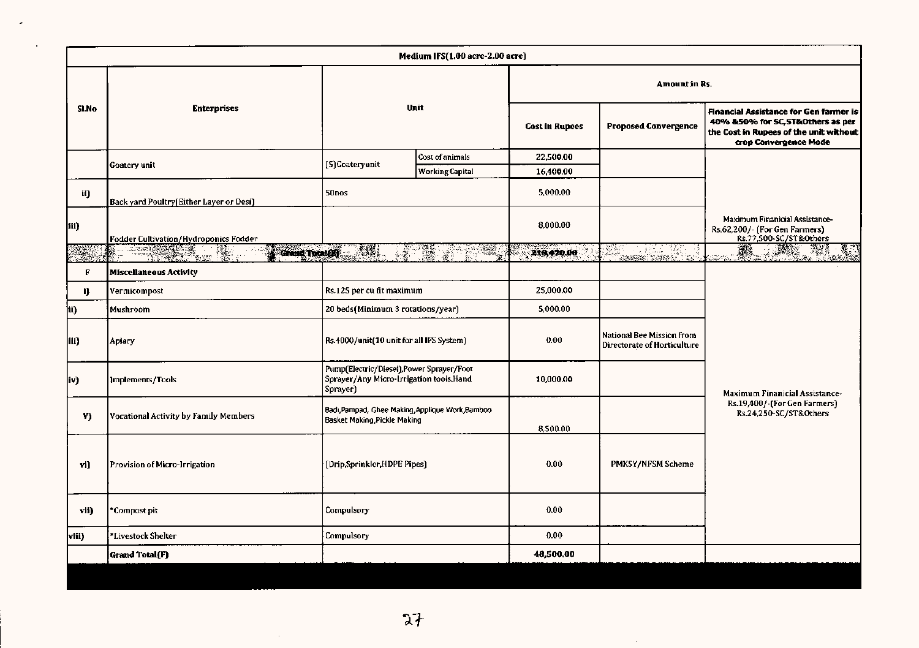|       | Medium IFS(1.00 acre-2.00 acre)         |                                                                                                  |                        |                |                                                          |                                                                                                                                                       |  |  |  |  |  |  |  |
|-------|-----------------------------------------|--------------------------------------------------------------------------------------------------|------------------------|----------------|----------------------------------------------------------|-------------------------------------------------------------------------------------------------------------------------------------------------------|--|--|--|--|--|--|--|
|       |                                         |                                                                                                  |                        |                | Amount in Rs.                                            |                                                                                                                                                       |  |  |  |  |  |  |  |
| SI.No | <b>Enterprises</b>                      |                                                                                                  | Unit                   | Cost in Rupees | <b>Proposed Convergence</b>                              | <b>Financial Assistance for Gen farmer is</b><br>40% &50% for SC, ST&Others as per<br>the Cost in Rupees of the unit without<br>crop Convergence Mode |  |  |  |  |  |  |  |
|       | Goatery unit                            | (5)Goateryunit                                                                                   | Cost of animals        | 22,500.00      |                                                          |                                                                                                                                                       |  |  |  |  |  |  |  |
|       |                                         |                                                                                                  | <b>Working Capital</b> | 16,400.00      |                                                          |                                                                                                                                                       |  |  |  |  |  |  |  |
| il)   | Back yard Poultry(Either Layer or Desi) | 50nos                                                                                            |                        | 5,000.00       |                                                          |                                                                                                                                                       |  |  |  |  |  |  |  |
| ili)  | Fodder Cultivation/Hydroponics Fodder   |                                                                                                  |                        | 8,000.00       |                                                          | Maximum Finanicial Assistance-<br>Rs.62,200/- (For Gen Farmers)<br>Rs.77,500-SC/ST&Others                                                             |  |  |  |  |  |  |  |
| ÷.    | Grand Tetal(H)                          | $\mathcal{L}(\mathbb{R})$                                                                        | 微感<br>物態               | 216,470.00     | <u>res Sa</u><br>92.                                     | 瓣<br><b>REGIS</b><br>و :<br>المتحدة                                                                                                                   |  |  |  |  |  |  |  |
| F     | <b>Miscellaneous Activity</b>           |                                                                                                  |                        |                |                                                          |                                                                                                                                                       |  |  |  |  |  |  |  |
| ij.   | Vermicompost                            | Rs.125 per cu fit maximum                                                                        |                        | 25,000.00      |                                                          |                                                                                                                                                       |  |  |  |  |  |  |  |
| ii)   | Mushroom                                | 20 beds(Minimum 3 rotations/year)                                                                |                        | 5,000.00       |                                                          |                                                                                                                                                       |  |  |  |  |  |  |  |
| 111)  | Apiary                                  | Rs.4000/unit(10 unit for all IFS System)                                                         |                        | 0.00           | National Bee Mission from<br>Directorate of Horticulture |                                                                                                                                                       |  |  |  |  |  |  |  |
| iv)   | Implements/Tools                        | Pump(Electric/Diesel), Power Sprayer/Foot<br>Sprayer/Any Micro-Irrigation tools.Hand<br>Sprayer) |                        | 10,000.00      |                                                          | <b>Maximum Finanicial Assistance-</b>                                                                                                                 |  |  |  |  |  |  |  |
| V)    | Vocational Activity by Family Members   | Badi, Pampad, Ghee Making, Applique Work, Bamboo<br>Basket Making, Pickle Making                 |                        | 8,500.00       |                                                          | Rs.19,400/-(For Gen Farmers)<br>Rs.24,250-SC/ST&Others                                                                                                |  |  |  |  |  |  |  |
| vi)   | Provision of Micro-Irrigation           | (Drip,Sprinkler,HDPE Pipes)                                                                      |                        | 0.00           | PMKSY/NFSM Scheme                                        |                                                                                                                                                       |  |  |  |  |  |  |  |
| vii)  | *Compost pit-                           | Compulsory                                                                                       |                        | 0.00           |                                                          |                                                                                                                                                       |  |  |  |  |  |  |  |
| viii} | *Livestock Shelter                      | Compulsory                                                                                       |                        | 0.00           |                                                          |                                                                                                                                                       |  |  |  |  |  |  |  |
|       | Grand Total(F)                          |                                                                                                  |                        | 48,500.00      |                                                          |                                                                                                                                                       |  |  |  |  |  |  |  |
|       |                                         |                                                                                                  |                        |                |                                                          |                                                                                                                                                       |  |  |  |  |  |  |  |

 $\sim$   $\sim$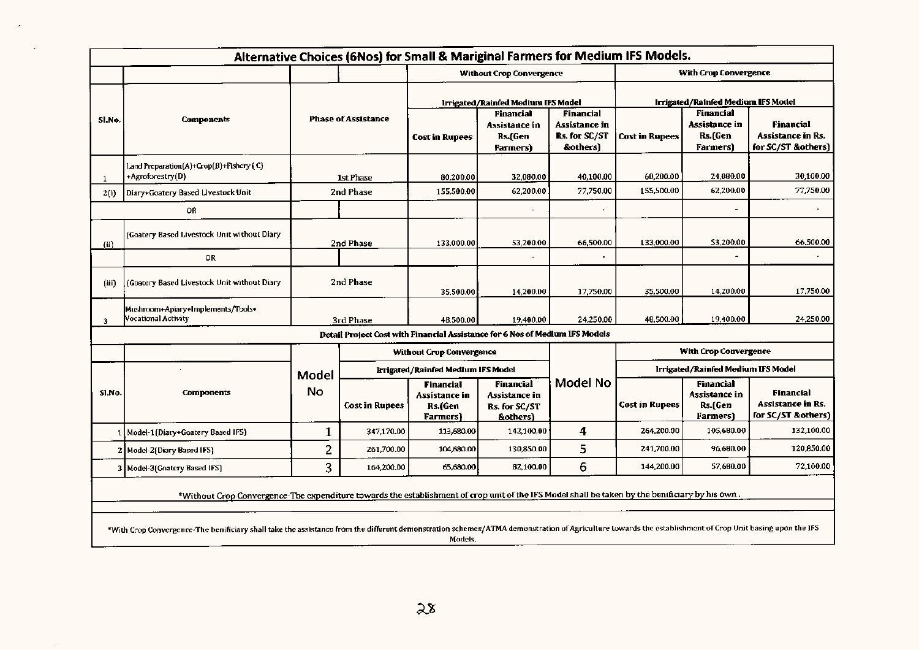|        | Alternative Choices (6Nos) for Small & Mariginal Farmers for Medium IFS Models.                                                                                                                        |              |                            |                                                          |                                                                              |                                                                |                                    |                                                   |                                                                    |  |  |  |  |
|--------|--------------------------------------------------------------------------------------------------------------------------------------------------------------------------------------------------------|--------------|----------------------------|----------------------------------------------------------|------------------------------------------------------------------------------|----------------------------------------------------------------|------------------------------------|---------------------------------------------------|--------------------------------------------------------------------|--|--|--|--|
|        |                                                                                                                                                                                                        |              |                            |                                                          | <b>Without Crop Convergence</b>                                              |                                                                |                                    | <b>With Crop Convergence</b>                      |                                                                    |  |  |  |  |
|        |                                                                                                                                                                                                        |              |                            |                                                          | Irrigated/Rainfed Medium IFS Model                                           |                                                                | Irrigated/Rainfed Medium IFS Model |                                                   |                                                                    |  |  |  |  |
| Sl.No. | <b>Components</b>                                                                                                                                                                                      |              | <b>Phase of Assistance</b> | <b>Cost in Rupees</b>                                    | <b>Financial</b><br>Assistance in<br>Rs.(Gen<br><b>Farmers</b> )             | <b>Financial</b><br>Assistance in<br>Rs. for SC/ST<br>&others) | <b>Cost in Rupees</b>              | Financial<br>Assistance in<br>Rs.(Gen<br>Farmers) | <b>Financial</b><br><b>Assistance in Rs.</b><br>for SC/ST &others) |  |  |  |  |
| 1      | Land Preparation(A)+Crop(B)+Fishery (C)<br>+Agroforestry(D)                                                                                                                                            |              | <b>1st Phase</b>           | 80,200.00                                                | 32,080.00                                                                    | 40.100.00                                                      | 60,200.00                          | 24,080.00                                         | 30.100.00                                                          |  |  |  |  |
| 2(i)   | Diary+Goatery Based Livestock Unit                                                                                                                                                                     |              | 2nd Phase                  | 155,500.00                                               | 62,200.00                                                                    | 77,750.00                                                      | 155,500.00                         | 62,200.00                                         | 77,750.00                                                          |  |  |  |  |
|        | 0R                                                                                                                                                                                                     |              |                            |                                                          |                                                                              |                                                                |                                    |                                                   | ٠                                                                  |  |  |  |  |
| (ii)   | (Goatery Based Livestock Unit without Diary                                                                                                                                                            | 2nd Phase    |                            | 133,000.00                                               | 53.200.00                                                                    | 66,500.00                                                      | 133,000.00                         | 53,200.00                                         | 66,500.00                                                          |  |  |  |  |
|        | 0R                                                                                                                                                                                                     |              |                            |                                                          |                                                                              |                                                                |                                    |                                                   |                                                                    |  |  |  |  |
| (iii)  | (Goatery Based Livestock Unit without Diary                                                                                                                                                            |              | 2nd Phase                  | 35,500.00                                                | 14,200.00                                                                    | 17,750.00                                                      | 35,500.00                          | 14,200.00                                         | 17,750.00                                                          |  |  |  |  |
| 3      | Mushroom+Apiary+Implements/Tools+<br>Vocational Activity                                                                                                                                               |              | 3rd Phase                  | 48,500.00                                                | 19,400.00                                                                    | 24,250.00                                                      | 48,500.00                          | 19,400.00                                         | 24,250.00                                                          |  |  |  |  |
|        |                                                                                                                                                                                                        |              |                            |                                                          | Detail Project Cost with Financial Assistance for 6 Nos of Medium IFS Models |                                                                |                                    |                                                   |                                                                    |  |  |  |  |
|        |                                                                                                                                                                                                        |              |                            | <b>Without Crop Convergence</b>                          |                                                                              |                                                                | With Crop Convergence              |                                                   |                                                                    |  |  |  |  |
|        |                                                                                                                                                                                                        | Model        |                            | <b>Irrigated/Rainfed Medium IFS Model</b>                |                                                                              |                                                                | Irrigated/Rainfed Medium IFS Model |                                                   |                                                                    |  |  |  |  |
| SI.No. | <b>Components</b>                                                                                                                                                                                      | <b>No</b>    | <b>Cost in Rupees</b>      | <b>Financial</b><br>Assistance in<br>Rs.fGen<br>Farmers) | Financial<br>Assistance in<br>Rs. for SC/ST<br>&others)                      | Model No                                                       | Cost in Rupees                     | Financial<br>Assistance in<br>Rs.(Gen<br>Farmers) | Financial<br><b>Assistance in Rs.</b><br>for SC/ST &others)        |  |  |  |  |
|        | 1   Model-1 (Diary+Goatery Based IFS)                                                                                                                                                                  | 1            | 347,170.00                 | 113,680.00                                               | 142,100.00                                                                   | 4                                                              | 264,200.00                         | 105,680.00                                        | 132.100.00                                                         |  |  |  |  |
|        | 2 Model-2 (Diary Based IFS)                                                                                                                                                                            | $\mathbf{2}$ | 261,700.00                 | 104,680.00                                               | 130,850.00                                                                   | 5                                                              | 241,700.00                         | 96,680.00                                         | 120.850.00                                                         |  |  |  |  |
|        | 3 Model-3 (Goatery Based IFS)                                                                                                                                                                          | 3            | 164,200.00                 | 65,680.00                                                | 82,100.00                                                                    | 6                                                              | 144,200.00                         | 57,680.00                                         | 72,100.00                                                          |  |  |  |  |
|        | *Without Crop Convergence-The expenditure towards the establishment of crop unit of the IFS Model shall be taken by the benificiary by his own.                                                        |              |                            |                                                          |                                                                              |                                                                |                                    |                                                   |                                                                    |  |  |  |  |
|        | *With Crop Convergence-The benificiary shall take the assistance from the different demonstration schemes/ATMA demonstration of Agriculture towards the establishment of Crop Unit basing upon the IFS |              |                            | Models.                                                  |                                                                              |                                                                |                                    |                                                   |                                                                    |  |  |  |  |

 $\mathcal{A}$ 

 $\Delta$ 

 $\sim$   $\epsilon$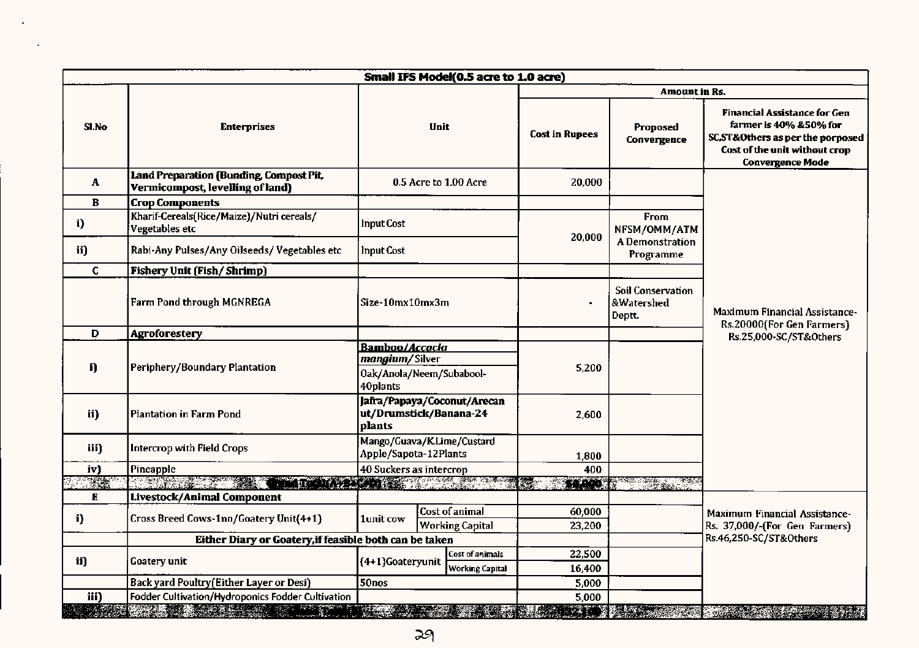|                             | Small IFS Model(0.5 acre to 1.0 acre)                                                                                                                                                                                           |                                                              |      |                                          |                             |                                                             |                                                                                                                                                                  |  |  |  |  |  |  |
|-----------------------------|---------------------------------------------------------------------------------------------------------------------------------------------------------------------------------------------------------------------------------|--------------------------------------------------------------|------|------------------------------------------|-----------------------------|-------------------------------------------------------------|------------------------------------------------------------------------------------------------------------------------------------------------------------------|--|--|--|--|--|--|
|                             |                                                                                                                                                                                                                                 |                                                              |      |                                          |                             | Amount in Rs.                                               |                                                                                                                                                                  |  |  |  |  |  |  |
| SI.No<br><b>Enterprises</b> |                                                                                                                                                                                                                                 |                                                              | Unit |                                          | <b>Cost in Rupees</b>       | <b>Proposed</b><br>Convergence                              | <b>Financial Assistance for Gen</b><br>farmer is 40% & 50% for<br>SC, ST& Others as per the porposed<br>Cost of the unit without crop<br><b>Convergence Mode</b> |  |  |  |  |  |  |
| A                           | Land Preparation (Bunding, Compost Pit,<br>Vermicompost, levelling of land)                                                                                                                                                     |                                                              |      | 0.5 Acre to 1.00 Acre                    | 20,000                      |                                                             |                                                                                                                                                                  |  |  |  |  |  |  |
| B                           | <b>Crop Components</b>                                                                                                                                                                                                          |                                                              |      |                                          |                             |                                                             |                                                                                                                                                                  |  |  |  |  |  |  |
| i)                          | Kharif-Cereals(Rice/Maize)/Nutri cereals/<br>Vegetables etc                                                                                                                                                                     | <b>Input Cost</b>                                            |      | 20,000                                   | <b>From</b><br>NFSM/OMM/ATM |                                                             |                                                                                                                                                                  |  |  |  |  |  |  |
| ii)                         | Rabi-Any Pulses/Any Oilseeds/Vegetables etc                                                                                                                                                                                     | <b>Input Cost</b>                                            |      |                                          |                             | A Demonstration<br>Programme                                |                                                                                                                                                                  |  |  |  |  |  |  |
| $\mathbf{C}$                | <b>Fishery Unit (Fish/Shrimp)</b>                                                                                                                                                                                               |                                                              |      |                                          |                             |                                                             |                                                                                                                                                                  |  |  |  |  |  |  |
|                             | Farm Pond through MGNREGA                                                                                                                                                                                                       | Size-10mx10mx3m                                              |      |                                          |                             | <b>Soil Conservation</b><br><b>&amp;Watershed</b><br>Deptt. | Maximum Financial Assistance-<br>Rs.20000(For Gen Farmers)                                                                                                       |  |  |  |  |  |  |
| D                           | <b>Agroforestery</b>                                                                                                                                                                                                            |                                                              |      |                                          |                             |                                                             | Rs.25,000-SC/ST&Others                                                                                                                                           |  |  |  |  |  |  |
| i)                          | Periphery/Boundary Plantation                                                                                                                                                                                                   | Bamboo/Accacia<br>mangium/Silver<br>Oak/Anola/Neem/Subabool- |      |                                          | 5,200                       |                                                             |                                                                                                                                                                  |  |  |  |  |  |  |
|                             |                                                                                                                                                                                                                                 | 40plants                                                     |      |                                          |                             |                                                             |                                                                                                                                                                  |  |  |  |  |  |  |
| ii)                         | <b>Plantation in Farm Pond</b>                                                                                                                                                                                                  | ut/Drumstick/Banana-24<br>plants                             |      | Jafra/Papaya/Coconut/Arecan              | 2,600                       |                                                             |                                                                                                                                                                  |  |  |  |  |  |  |
| iii)                        | <b>Intercrop with Field Crops</b>                                                                                                                                                                                               | Mango/Guava/K.Lime/Custard<br>Apple/Sapota-12Plants          |      |                                          | 1,800                       |                                                             |                                                                                                                                                                  |  |  |  |  |  |  |
| iv)                         | Pineapple                                                                                                                                                                                                                       | 40 Suckers as intercrop                                      |      |                                          | 400                         |                                                             |                                                                                                                                                                  |  |  |  |  |  |  |
| en de l                     | and the company of the company of the company of the company of the company of the company of the company of t                                                                                                                  |                                                              |      |                                          | <b>PARTS</b>                | <u>an dina ser</u>                                          |                                                                                                                                                                  |  |  |  |  |  |  |
| E                           | Livestock/Animal Component                                                                                                                                                                                                      |                                                              |      |                                          |                             |                                                             |                                                                                                                                                                  |  |  |  |  |  |  |
| i)                          | Cross Breed Cows-1no/Goatery Unit(4+1)                                                                                                                                                                                          | 1unit cow                                                    |      | Cost of animal<br><b>Working Capital</b> | 60,000<br>23,200            |                                                             | Maximum Financial Assistance-<br>Rs. 37,000/-(For Gen Farmers)                                                                                                   |  |  |  |  |  |  |
|                             | Either Diary or Goatery, if feasible both can be taken                                                                                                                                                                          |                                                              |      |                                          |                             | Rs.46,250-SC/ST&Others                                      |                                                                                                                                                                  |  |  |  |  |  |  |
| ii)                         | Goatery unit                                                                                                                                                                                                                    | (4+1)Goateryunit                                             |      | Cost of animals                          | 22,500                      |                                                             |                                                                                                                                                                  |  |  |  |  |  |  |
|                             |                                                                                                                                                                                                                                 |                                                              |      | <b>Working Capital</b>                   | 16,400                      |                                                             |                                                                                                                                                                  |  |  |  |  |  |  |
|                             | Back yard Poultry(Either Layer or Desi)                                                                                                                                                                                         | <b>50nos</b>                                                 |      |                                          | 5,000                       |                                                             |                                                                                                                                                                  |  |  |  |  |  |  |
| iii)                        | Fodder Cultivation/Hydroponics Fodder Cultivation                                                                                                                                                                               |                                                              |      |                                          | 5,000                       |                                                             |                                                                                                                                                                  |  |  |  |  |  |  |
|                             | e provincia provincia de la contra de la consegue de la consegue de la componencia de la componencia de la com<br>A la componencia de la componencia de la componencia de la componencia de la componencia de la componencia de |                                                              |      |                                          | STAR MARKET STAR            | <b>SEARCH AND READ</b>                                      | <b>RADIOS DE</b>                                                                                                                                                 |  |  |  |  |  |  |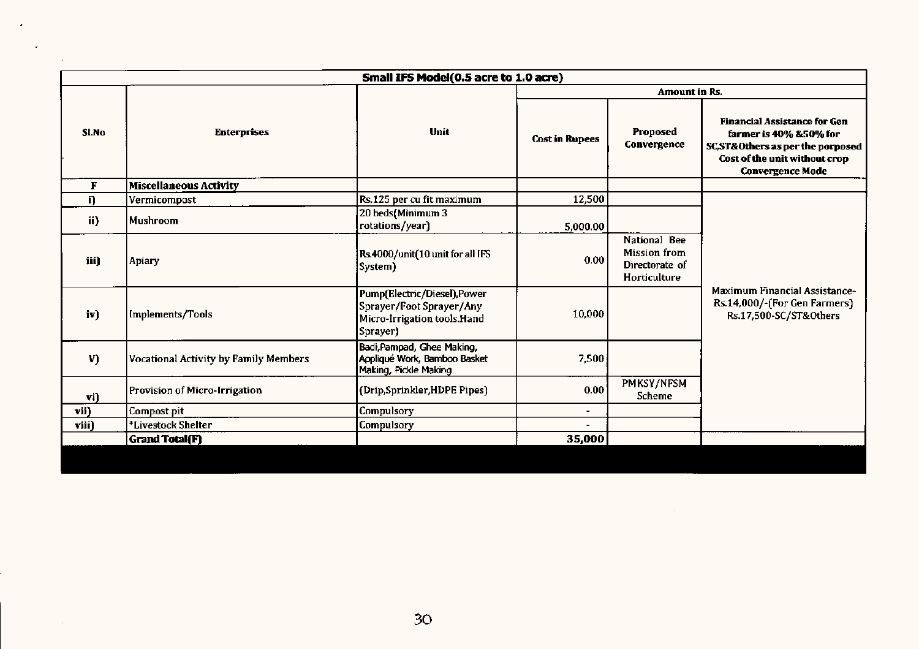|                                      |                                              | Small IFS Model(0.5 acre to 1.0 acre)                                                               |                       |                                                                |                                                                                                                                                                |
|--------------------------------------|----------------------------------------------|-----------------------------------------------------------------------------------------------------|-----------------------|----------------------------------------------------------------|----------------------------------------------------------------------------------------------------------------------------------------------------------------|
|                                      |                                              |                                                                                                     |                       | <b>Amount</b> in Rs.                                           |                                                                                                                                                                |
| SI.No                                | <b>Enterprises</b>                           | Unit                                                                                                | <b>Cost in Rupees</b> | Proposed<br>Convergence                                        | <b>Financial Assistance for Gen</b><br>farmer is 40% & 50% for<br>SC,ST&Others as per the porposed<br>Cost of the unit without crop<br><b>Convergence Mode</b> |
| F                                    | <b>Miscellaneous Activity</b>                |                                                                                                     |                       |                                                                |                                                                                                                                                                |
| i)                                   | Vermicompost                                 | Rs.125 per cu fit maximum                                                                           | 12,500                |                                                                |                                                                                                                                                                |
| ii)                                  | Mushroom                                     | 20 beds(Minimum 3<br>rotations/year)                                                                | 5,000.00              |                                                                |                                                                                                                                                                |
| iii)                                 | Apiary                                       | Rs.4000/unit(10 unit for all IFS<br>System)                                                         | 0.00                  | National Bee<br>Mission from<br>Directorate of<br>Horticulture |                                                                                                                                                                |
| iv)                                  | Implements/Tools                             | Pump(Electric/Diesel), Power<br>Sprayer/Foot Sprayer/Any<br>Micro-Irrigation tools.Hand<br>Sprayer) | 10,000                |                                                                | <b>Maximum Financial Assistance-</b><br>Rs.14,000/-(For Gen Farmers)<br>Rs.17,500-SC/ST&Others                                                                 |
| V)                                   | <b>Vocational Activity by Family Members</b> | Badi, Pampad, Ghee Making,<br>Appliqué Work, Bamboo Basket<br>Making, Pickle Making                 | 7,500                 |                                                                |                                                                                                                                                                |
| Provision of Micro-Irrigation<br>vi) |                                              | (Drip,Sprinkler,HDPE Pipes)                                                                         | 0.00 <sub>1</sub>     | PMKSY/NFSM<br>Scheme                                           |                                                                                                                                                                |
| vii)                                 | Compost pit                                  | Compulsory                                                                                          |                       |                                                                |                                                                                                                                                                |
| viii)                                | *Livestock Shelter                           | Compulsory                                                                                          |                       |                                                                |                                                                                                                                                                |
|                                      | Grand Total(F)                               |                                                                                                     | 35,000                |                                                                |                                                                                                                                                                |
|                                      |                                              |                                                                                                     |                       |                                                                |                                                                                                                                                                |

 $\overline{\phantom{a}}$ 

 $\mathcal{A}^{\mathcal{A}}$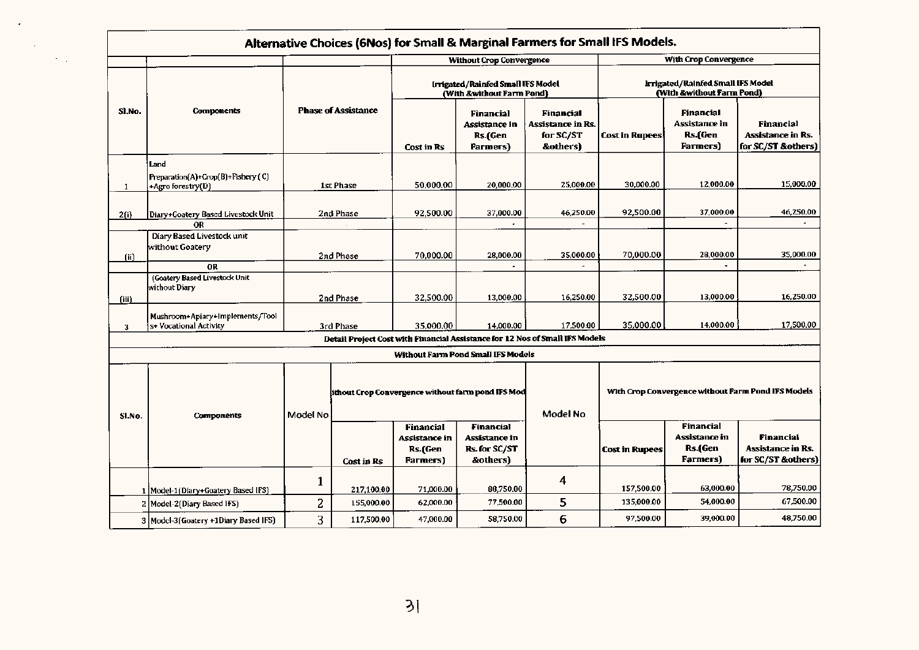|        |                                                                 |                            |            |                                                                |                                                                  | Alternative Choices (6Nos) for Small & Marginal Farmers for Small IFS Models. |                                                                |                                                                |                                                                    |  |
|--------|-----------------------------------------------------------------|----------------------------|------------|----------------------------------------------------------------|------------------------------------------------------------------|-------------------------------------------------------------------------------|----------------------------------------------------------------|----------------------------------------------------------------|--------------------------------------------------------------------|--|
|        |                                                                 |                            |            |                                                                | <b>Without Crop Convergence</b>                                  |                                                                               |                                                                | <b>With Crop Convergence</b>                                   |                                                                    |  |
|        |                                                                 |                            |            | Irrigated/Rainfed Small IFS Model<br>(With &without Farm Pond) |                                                                  |                                                                               | Irrigated/Rainfed Small IFS Model<br>(With &without Farm Pond) |                                                                |                                                                    |  |
| Sl No. | <b>Components</b>                                               | <b>Phase of Assistance</b> |            | Cost in Rs                                                     | <b>Financial</b><br>Assistance in<br>Rs.(Gen<br><b>Farmers</b> ) | <b>Financial</b><br>Assistance in Rs.<br>for SC/ST<br>&others)                | <b>Cost in Rupees</b>                                          | <b>Financial</b><br>Assistance in<br>Rs.(Gen<br><b>Farmers</b> | Financial<br><b>Assistance in Rs.</b><br>for SC/ST &others)        |  |
| 1      | Land<br>Preparation(A)+Crop(B)+Fishery (C)<br>+Agro forestry(D) | 1st Phase                  |            | 50,000.00                                                      | 20,000.00                                                        | 25,000.00                                                                     | 30,000.00                                                      | 12,000.00                                                      | 15,000.00                                                          |  |
| 2(i)   | Diary+Goatery Based Livestock Unit                              |                            | 2nd Phase  | 92,500.00                                                      | 37,000.00                                                        | 46,250.00                                                                     | 92,500.00                                                      | 37,000.00                                                      | 46,250.00                                                          |  |
|        | OR                                                              |                            |            |                                                                |                                                                  |                                                                               |                                                                |                                                                |                                                                    |  |
| (ii)   | Diary Based Livestock unit<br>without Goatery                   |                            | 2nd Phase  |                                                                | 28,000.00                                                        | 35,000.00                                                                     | 70,000.00                                                      | 28,000.00                                                      | 35,000.00<br>$\blacksquare$                                        |  |
|        | <b>OR</b>                                                       |                            |            |                                                                |                                                                  |                                                                               |                                                                |                                                                |                                                                    |  |
| (iii)  | (Goatery Based Livestock Unit<br>without Diary                  |                            | 2nd Phase  |                                                                | 13,000.00                                                        | 16,250.00                                                                     | 32,500.00                                                      | 13,000.00                                                      | 16,250.00                                                          |  |
| 3      | Mushroom+Apiary+Implements/Tool<br>s+ Vocational Activity       |                            | 3rd Phase  | 35.000.00                                                      | 14,000.00                                                        | 17,500.00                                                                     | 35,000.00                                                      | 14.000.00                                                      | 17,500.00                                                          |  |
|        |                                                                 |                            |            |                                                                |                                                                  | Detail Project Cost with Financial Assistance for 12 Nos of Small IFS Models  |                                                                |                                                                |                                                                    |  |
|        |                                                                 |                            |            |                                                                | Without Farm Pond Small IFS Models                               |                                                                               |                                                                |                                                                |                                                                    |  |
| SI.No. | <b>Components</b>                                               | Model No                   |            |                                                                | ithout Crop Convergence without farm pond IFS Mod                | Model No                                                                      |                                                                | With Crop Convergence without Farm Pond IFS Models             |                                                                    |  |
|        |                                                                 |                            | Cost in Rs | <b>Financial</b><br>Assistance in<br>Rs.(Gen<br>Farmers)       | <b>Financial</b><br>Assistance in<br>Rs. for SC/ST<br>&others)   |                                                                               | <b>Cost in Rupees</b>                                          | Financial<br>Assistance in<br>Rs.(Gen<br><b>Farmers</b> )      | <b>Financial</b><br><b>Assistance in Rs.</b><br>for SC/ST &others) |  |
|        | 1   Model-1 (Diary+Goatery Based IFS)                           | 1                          | 217,100.00 | 71,000.00                                                      | 88,750.00                                                        | 4                                                                             | 157,500.00                                                     | 63,000.00                                                      | 78,750.00                                                          |  |
|        | 2 Model-2(Diary Based IFS)                                      | 2                          | 155,000.00 | 62,000.00                                                      | 77,500.00                                                        | 5                                                                             | 135,000.00                                                     | 54,000.00                                                      | 67,500.00                                                          |  |
|        | 3   Model-3 (Goatery +1Diary Based IFS)                         | 3                          | 117,500.00 | 47.000.00                                                      | 58,750.00                                                        | 6                                                                             | 97.500.00                                                      | 39,000.00                                                      | 48,750.00                                                          |  |

 $\bullet$ 

 $\sim$ 

 $\langle\sigma_{\rm{eff}}\rangle$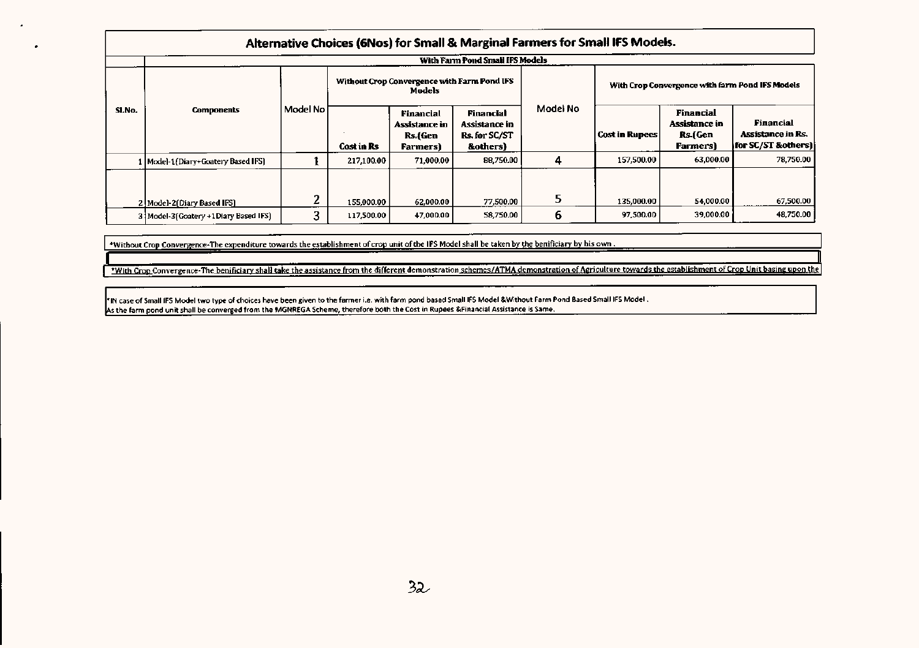|        | Alternative Choices (6Nos) for Small & Marginal Farmers for Small IFS Models. |          |                                                       |                                                         |                                                               |          |                                                 |                                                                 |                                                                      |  |  |  |
|--------|-------------------------------------------------------------------------------|----------|-------------------------------------------------------|---------------------------------------------------------|---------------------------------------------------------------|----------|-------------------------------------------------|-----------------------------------------------------------------|----------------------------------------------------------------------|--|--|--|
|        |                                                                               |          |                                                       |                                                         | With Farm Pond Small IFS Models                               |          |                                                 |                                                                 |                                                                      |  |  |  |
| SI.No. | <b>Components</b>                                                             | Model No | Without Crop Convergence with Farm Pond IFS<br>Models |                                                         |                                                               |          | With Crop Convergence with farm Pond IFS Models |                                                                 |                                                                      |  |  |  |
|        |                                                                               |          | Cost in Rs                                            | Financial<br>Assistance in<br>Rs (Gen<br><b>Farmers</b> | Financial<br>Assistance in<br><b>Rs.for SC/ST</b><br>&others) | Model No | <b>Cost in Rupees</b>                           | <b>Financial</b><br>Assistance in<br>Rs (Gen<br><b>Farmers)</b> | <b>Financial</b><br><b>Assistance in Rs.</b><br>  for SC/ST &others) |  |  |  |
|        | l   Model-1 (Diary+Goatery Based IFS)                                         |          | 217.100.00                                            | 71,000.00                                               | 88,750.00                                                     | 4        | 157.500.00                                      | 63,000.00                                                       | 78,750.00                                                            |  |  |  |
|        | 2 Model-2 (Diary Based IFS)                                                   | າ        | 155.000.00                                            | 62,000.00                                               | 77.500.00                                                     | 5        | 135.000.00                                      | 54,000.00                                                       | 67,500.00                                                            |  |  |  |
|        | 3   Model-3 (Goatery +1 Diary Based IFS)                                      | 3        | 117.500.00                                            | 47,000.00                                               | 58,750.00                                                     | 6        | 97,500.00                                       | 39,000.00                                                       | 48,750.00                                                            |  |  |  |

\*Without Crop Convergence-The expenditure towards the establishment of crop unit of the IFS Model shall be taken by the benificiary by his own.

'With Crop Convergence-The benificiary shall take the assistance from the different demonstration schemes/ATMA demonstration of Agriculture towards the establishment of Crop Unit basing upon the

'IN case of Small IFS Model two type of choices have been given to the farmer i.e. with farm pond based SmalllFS Model &Without Farm Pond Based Small IFSModel. As the farm pond unit shall be converged from the MGNREGA Scheme, therefore both the Cost in Rupees &Financial Assistance is Same.